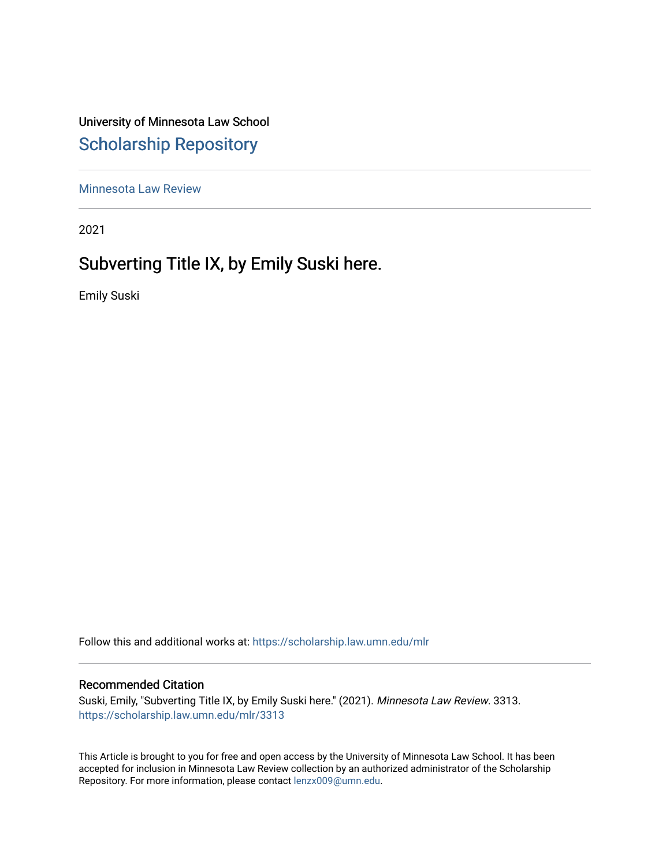University of Minnesota Law School [Scholarship Repository](https://scholarship.law.umn.edu/) 

[Minnesota Law Review](https://scholarship.law.umn.edu/mlr) 

2021

# Subverting Title IX, by Emily Suski here.

Emily Suski

Follow this and additional works at: [https://scholarship.law.umn.edu/mlr](https://scholarship.law.umn.edu/mlr?utm_source=scholarship.law.umn.edu%2Fmlr%2F3313&utm_medium=PDF&utm_campaign=PDFCoverPages)

# Recommended Citation

Suski, Emily, "Subverting Title IX, by Emily Suski here." (2021). Minnesota Law Review. 3313. [https://scholarship.law.umn.edu/mlr/3313](https://scholarship.law.umn.edu/mlr/3313?utm_source=scholarship.law.umn.edu%2Fmlr%2F3313&utm_medium=PDF&utm_campaign=PDFCoverPages)

This Article is brought to you for free and open access by the University of Minnesota Law School. It has been accepted for inclusion in Minnesota Law Review collection by an authorized administrator of the Scholarship Repository. For more information, please contact [lenzx009@umn.edu.](mailto:lenzx009@umn.edu)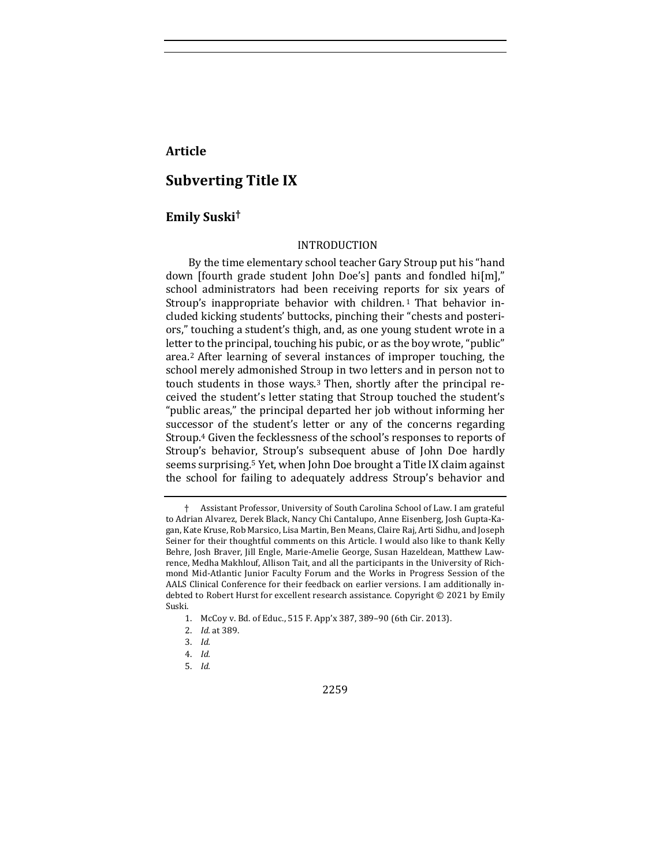# **Article**

# **Subverting Title IX**

# **Emily Suski†**

#### INTRODUCTION

By the time elementary school teacher Gary Stroup put his "hand down [fourth grade student John Doe's] pants and fondled hi[m]," school administrators had been receiving reports for six years of Stroup's inappropriate behavior with children.<sup>1</sup> That behavior included kicking students' buttocks, pinching their "chests and posteriors," touching a student's thigh, and, as one young student wrote in a letter to the principal, touching his pubic, or as the boy wrote, "public" area.<sup>2</sup> After learning of several instances of improper touching, the school merely admonished Stroup in two letters and in person not to touch students in those ways.<sup>3</sup> Then, shortly after the principal received the student's letter stating that Stroup touched the student's "public areas," the principal departed her job without informing her successor of the student's letter or any of the concerns regarding Stroup.<sup>4</sup> Given the fecklessness of the school's responses to reports of Stroup's behavior, Stroup's subsequent abuse of John Doe hardly seems surprising.<sup>5</sup> Yet, when John Doe brought a Title IX claim against the school for failing to adequately address Stroup's behavior and

2259

<sup>†</sup> Assistant Professor, University of South Carolina School of Law. I am grateful to Adrian Alvarez, Derek Black, Nancy Chi Cantalupo, Anne Eisenberg, Josh Gupta-Kagan, Kate Kruse, Rob Marsico, Lisa Martin, Ben Means, Claire Raj, Arti Sidhu, and Joseph Seiner for their thoughtful comments on this Article. I would also like to thank Kelly Behre, Josh Braver, Jill Engle, Marie-Amelie George, Susan Hazeldean, Matthew Lawrence, Medha Makhlouf, Allison Tait, and all the participants in the University of Richmond Mid-Atlantic Junior Faculty Forum and the Works in Progress Session of the AALS Clinical Conference for their feedback on earlier versions. I am additionally indebted to Robert Hurst for excellent research assistance. Copyright  $©$  2021 by Emily Suski.

<sup>1.</sup> McCoy v. Bd. of Educ., 515 F. App'x 387, 389-90 (6th Cir. 2013).

<sup>2.</sup> *Id.* at 389.

<sup>3.</sup> *Id.*

<sup>4.</sup> *Id.*

<sup>5.</sup> *Id.*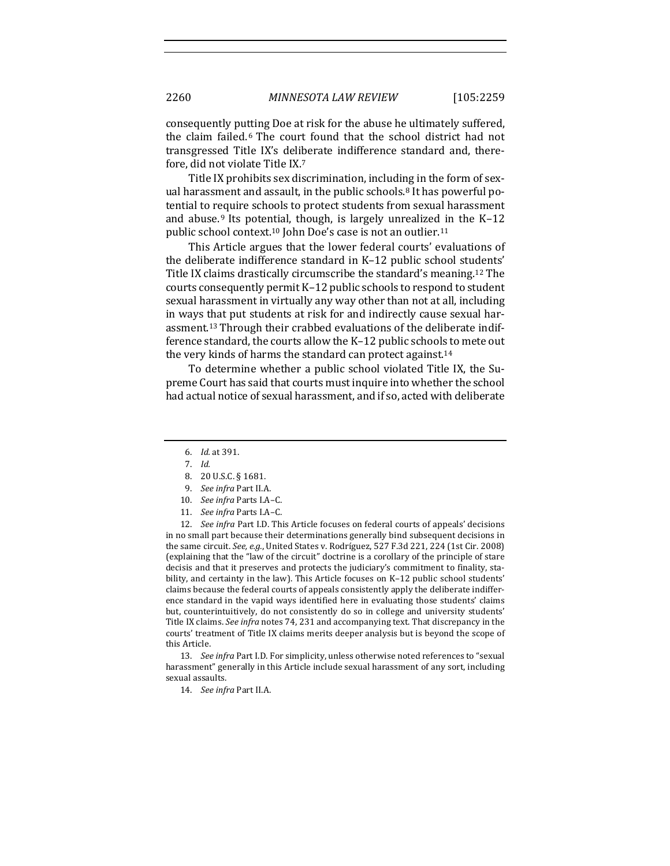consequently putting Doe at risk for the abuse he ultimately suffered, the claim failed.<sup>6</sup> The court found that the school district had not transgressed Title IX's deliberate indifference standard and, therefore, did not violate Title IX.<sup>7</sup>

Title IX prohibits sex discrimination, including in the form of sexual harassment and assault, in the public schools.<sup>8</sup> It has powerful potential to require schools to protect students from sexual harassment and abuse.<sup>9</sup> Its potential, though, is largely unrealized in the  $K-12$ public school context.<sup>10</sup> John Doe's case is not an outlier.<sup>11</sup>

This Article argues that the lower federal courts' evaluations of the deliberate indifference standard in K-12 public school students' Title IX claims drastically circumscribe the standard's meaning.<sup>12</sup> The courts consequently permit K-12 public schools to respond to student sexual harassment in virtually any way other than not at all, including in ways that put students at risk for and indirectly cause sexual harassment.<sup>13</sup> Through their crabbed evaluations of the deliberate indifference standard, the courts allow the K-12 public schools to mete out the very kinds of harms the standard can protect against.<sup>14</sup>

To determine whether a public school violated Title IX, the Supreme Court has said that courts must inquire into whether the school had actual notice of sexual harassment, and if so, acted with deliberate

- 8. 20 U.S.C. § 1681.
- 9. *See infra* Part II.A.
- 10. See infra Parts I.A-C.
- 11. *See infra Parts I.A-C.*

12. *See infra* Part I.D. This Article focuses on federal courts of appeals' decisions in no small part because their determinations generally bind subsequent decisions in the same circuit. See, e.g., United States v. Rodríguez, 527 F.3d 221, 224 (1st Cir. 2008) (explaining that the "law of the circuit" doctrine is a corollary of the principle of stare decisis and that it preserves and protects the judiciary's commitment to finality, stability, and certainty in the law). This Article focuses on K-12 public school students' claims because the federal courts of appeals consistently apply the deliberate indifference standard in the vapid ways identified here in evaluating those students' claims but, counterintuitively, do not consistently do so in college and university students' Title IX claims. See infra notes 74, 231 and accompanying text. That discrepancy in the courts' treatment of Title IX claims merits deeper analysis but is beyond the scope of this Article.

13. See infra Part I.D. For simplicity, unless otherwise noted references to "sexual harassment" generally in this Article include sexual harassment of any sort, including sexual assaults.

14. *See infra Part II.A.* 

<sup>6.</sup> *Id.* at 391.

<sup>7.</sup> *Id.*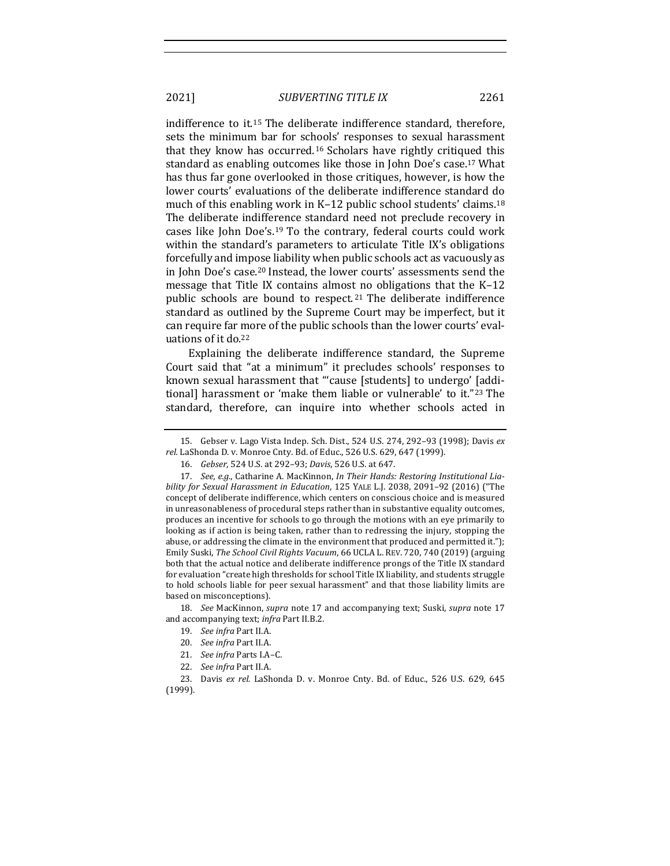indifference to it.<sup>15</sup> The deliberate indifference standard, therefore, sets the minimum bar for schools' responses to sexual harassment that they know has occurred.<sup>16</sup> Scholars have rightly critiqued this standard as enabling outcomes like those in John Doe's case.<sup>17</sup> What has thus far gone overlooked in those critiques, however, is how the lower courts' evaluations of the deliberate indifference standard do much of this enabling work in K–12 public school students' claims.<sup>18</sup> The deliberate indifference standard need not preclude recovery in cases like John Doe's.<sup>19</sup> To the contrary, federal courts could work within the standard's parameters to articulate Title IX's obligations forcefully and impose liability when public schools act as vacuously as in John Doe's case.<sup>20</sup> Instead, the lower courts' assessments send the message that Title IX contains almost no obligations that the  $K-12$ public schools are bound to respect.<sup>21</sup> The deliberate indifference standard as outlined by the Supreme Court may be imperfect, but it

Explaining the deliberate indifference standard, the Supreme Court said that "at a minimum" it precludes schools' responses to known sexual harassment that "'cause [students] to undergo' [additional] harassment or 'make them liable or vulnerable' to it."<sup>23</sup> The standard, therefore, can inquire into whether schools acted in

can require far more of the public schools than the lower courts' eval-

15. Gebser v. Lago Vista Indep. Sch. Dist., 524 U.S. 274, 292-93 (1998); Davis *ex rel.* LaShonda D. v. Monroe Cnty. Bd. of Educ., 526 U.S. 629, 647 (1999).

18. *See* MacKinnon, *supra* note 17 and accompanying text; Suski, *supra* note 17 and accompanying text; infra Part II.B.2.

23. Davis ex rel. LaShonda D. v. Monroe Cnty. Bd. of Educ., 526 U.S. 629, 645 (1999).

uations of it do.<sup>22</sup>

<sup>16.</sup> *Gebser*, 524 U.S. at 292-93; *Davis*, 526 U.S. at 647.

<sup>17.</sup> See, e.g., Catharine A. MacKinnon, *In Their Hands: Restoring Institutional Liability for Sexual Harassment in Education*, 125 YALE L.J. 2038, 2091-92 (2016) ("The concept of deliberate indifference, which centers on conscious choice and is measured in unreasonableness of procedural steps rather than in substantive equality outcomes, produces an incentive for schools to go through the motions with an eye primarily to looking as if action is being taken, rather than to redressing the injury, stopping the abuse, or addressing the climate in the environment that produced and permitted it."); Emily Suski, The School Civil Rights Vacuum, 66 UCLA L. REV. 720, 740 (2019) (arguing both that the actual notice and deliberate indifference prongs of the Title IX standard for evaluation "create high thresholds for school Title IX liability, and students struggle to hold schools liable for peer sexual harassment" and that those liability limits are based on misconceptions).

<sup>19.</sup> *See infra* Part II.A.

<sup>20.</sup> See infra Part II.A.

<sup>21.</sup> *See infra Parts I.A-C.* 

<sup>22.</sup> *See infra* Part II.A.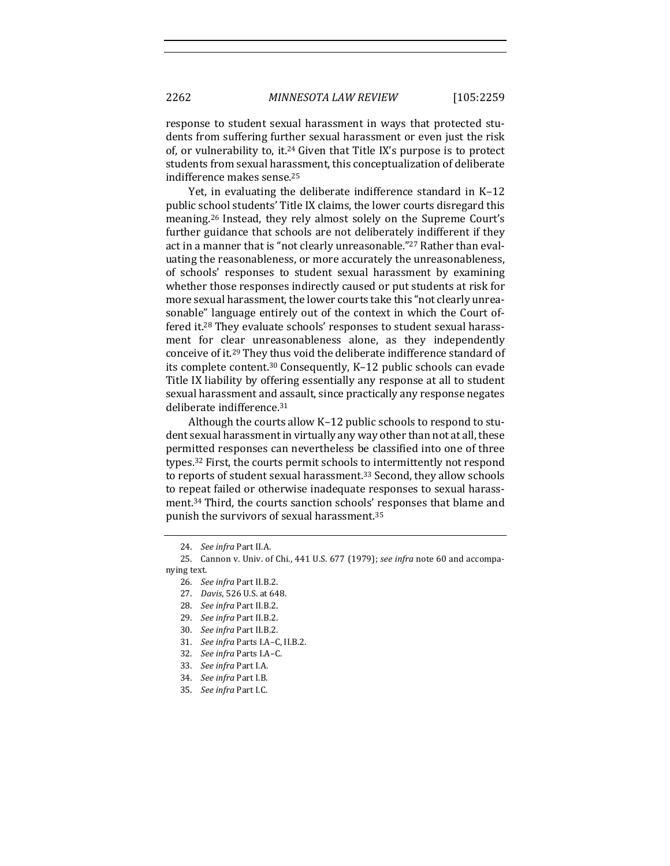response to student sexual harassment in ways that protected students from suffering further sexual harassment or even just the risk of, or vulnerability to, it.<sup>24</sup> Given that Title IX's purpose is to protect students from sexual harassment, this conceptualization of deliberate indifference makes sense.<sup>25</sup>

Yet, in evaluating the deliberate indifference standard in  $K-12$ public school students' Title IX claims, the lower courts disregard this meaning.<sup>26</sup> Instead, they rely almost solely on the Supreme Court's further guidance that schools are not deliberately indifferent if they act in a manner that is "not clearly unreasonable."<sup>27</sup> Rather than evaluating the reasonableness, or more accurately the unreasonableness, of schools' responses to student sexual harassment by examining whether those responses indirectly caused or put students at risk for more sexual harassment, the lower courts take this "not clearly unreasonable" language entirely out of the context in which the Court offered it.<sup>28</sup> They evaluate schools' responses to student sexual harassment for clear unreasonableness alone, as they independently conceive of it.<sup>29</sup> They thus void the deliberate indifference standard of its complete content.<sup>30</sup> Consequently, K-12 public schools can evade Title IX liability by offering essentially any response at all to student sexual harassment and assault, since practically any response negates deliberate indifference.<sup>31</sup>

Although the courts allow  $K-12$  public schools to respond to student sexual harassment in virtually any way other than not at all, these permitted responses can nevertheless be classified into one of three types.<sup>32</sup> First, the courts permit schools to intermittently not respond to reports of student sexual harassment.<sup>33</sup> Second, they allow schools to repeat failed or otherwise inadequate responses to sexual harassment.<sup>34</sup> Third, the courts sanction schools' responses that blame and punish the survivors of sexual harassment.<sup>35</sup>

27. *Davis*, 526 U.S. at 648.

- 32. See infra Parts I.A-C.
- 33. *See infra Part I.A.*
- 34. *See infra Part I.B.*

<sup>24.</sup> *See infra Part II.A.* 

<sup>25.</sup> Cannon v. Univ. of Chi., 441 U.S. 677 (1979); see infra note 60 and accompanying text.

<sup>26.</sup> *See infra* Part II.B.2.

<sup>28.</sup> *See infra* Part II.B.2.

<sup>29.</sup> *See infra Part II.B.2.* 

<sup>30.</sup> See infra Part II.B.2.

<sup>31.</sup> *See infra Parts I.A-C, II.B.2.* 

<sup>35.</sup> *See infra Part I.C.*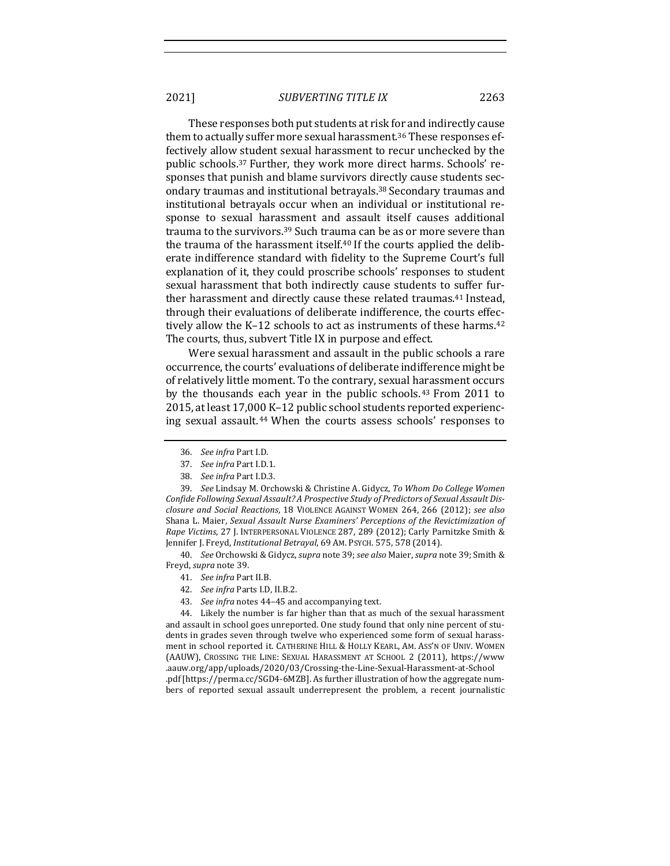These responses both put students at risk for and indirectly cause them to actually suffer more sexual harassment.<sup>36</sup> These responses effectively allow student sexual harassment to recur unchecked by the public schools.<sup>37</sup> Further, they work more direct harms. Schools' responses that punish and blame survivors directly cause students secondary traumas and institutional betrayals.<sup>38</sup> Secondary traumas and institutional betrayals occur when an individual or institutional response to sexual harassment and assault itself causes additional trauma to the survivors.<sup>39</sup> Such trauma can be as or more severe than the trauma of the harassment itself.<sup>40</sup> If the courts applied the deliberate indifference standard with fidelity to the Supreme Court's full explanation of it, they could proscribe schools' responses to student sexual harassment that both indirectly cause students to suffer further harassment and directly cause these related traumas.<sup>41</sup> Instead, through their evaluations of deliberate indifference, the courts effectively allow the K-12 schools to act as instruments of these harms. $42$ The courts, thus, subvert Title IX in purpose and effect.

Were sexual harassment and assault in the public schools a rare occurrence, the courts' evaluations of deliberate indifference might be of relatively little moment. To the contrary, sexual harassment occurs by the thousands each year in the public schools.<sup>43</sup> From  $2011$  to 2015, at least 17,000 K-12 public school students reported experiencing sexual assault.<sup>44</sup> When the courts assess schools' responses to

39. *See* Lindsay M. Orchowski & Christine A. Gidycz, To Whom Do College Women Confide Following Sexual Assault? A Prospective Study of Predictors of Sexual Assault Dis*closure and Social Reactions*, 18 VIOLENCE AGAINST WOMEN 264, 266 (2012); *see also* Shana L. Maier, *Sexual Assault Nurse Examiners' Perceptions of the Revictimization of Rape Victims*, 27 J. INTERPERSONAL VIOLENCE 287, 289 (2012); Carly Parnitzke Smith & Jennifer J. Freyd, *Institutional Betrayal*, 69 AM. PSYCH. 575, 578 (2014).

40. *See* Orchowski & Gidycz, *supra* note 39; *see also* Maier, *supra* note 39; Smith & Freyd, *supra* note 39.

- 42. *See infra Parts I.D, II.B.2.*
- 43. *See infra* notes 44-45 and accompanying text.

44. Likely the number is far higher than that as much of the sexual harassment and assault in school goes unreported. One study found that only nine percent of students in grades seven through twelve who experienced some form of sexual harassment in school reported it. CATHERINE HILL & HOLLY KEARL, AM. ASS'N OF UNIV. WOMEN (AAUW), CROSSING THE LINE: SEXUAL HARASSMENT AT SCHOOL 2 (2011), https://www .aauw.org/app/uploads/2020/03/Crossing-the-Line-Sexual-Harassment-at-School .pdf [https://perma.cc/SGD4-6MZB]. As further illustration of how the aggregate numbers of reported sexual assault underrepresent the problem, a recent journalistic

<sup>36.</sup> *See infra* Part I.D.

<sup>37.</sup> See infra Part I.D.1.

<sup>38.</sup> *See infra* Part I.D.3.

<sup>41.</sup> *See infra Part II.B.*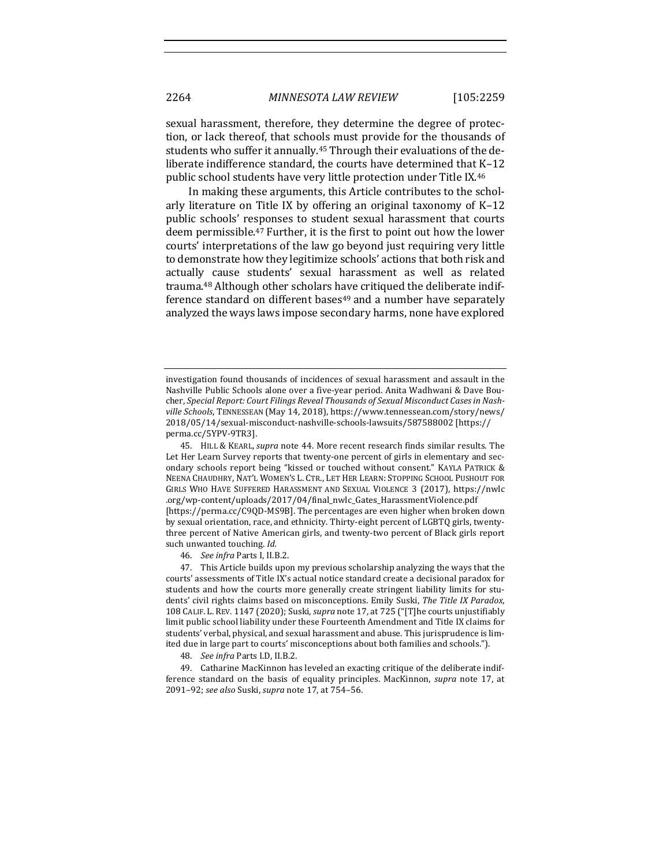sexual harassment, therefore, they determine the degree of protection, or lack thereof, that schools must provide for the thousands of students who suffer it annually.<sup>45</sup> Through their evaluations of the deliberate indifference standard, the courts have determined that  $K-12$ public school students have very little protection under Title IX.<sup>46</sup>

In making these arguments, this Article contributes to the scholarly literature on Title IX by offering an original taxonomy of  $K-12$ public schools' responses to student sexual harassment that courts deem permissible.<sup>47</sup> Further, it is the first to point out how the lower courts' interpretations of the law go beyond just requiring very little to demonstrate how they legitimize schools' actions that both risk and actually cause students' sexual harassment as well as related trauma.<sup>48</sup> Although other scholars have critiqued the deliberate indifference standard on different bases<sup>49</sup> and a number have separately analyzed the ways laws impose secondary harms, none have explored

investigation found thousands of incidences of sexual harassment and assault in the Nashville Public Schools alone over a five-year period. Anita Wadhwani & Dave Boucher, Special Report: Court Filings Reveal Thousands of Sexual Misconduct Cases in Nashville Schools, TENNESSEAN (May 14, 2018), https://www.tennessean.com/story/news/ 2018/05/14/sexual-misconduct-nashville-schools-lawsuits/587588002 [https:// perma.cc/5YPV-9TR3].

<sup>45.</sup> HILL & KEARL, *supra* note 44. More recent research finds similar results. The Let Her Learn Survey reports that twenty-one percent of girls in elementary and secondary schools report being "kissed or touched without consent." KAYLA PATRICK & NEENA CHAUDHRY, NAT'L WOMEN'S L. CTR., LET HER LEARN: STOPPING SCHOOL PUSHOUT FOR GIRLS WHO HAVE SUFFERED HARASSMENT AND SEXUAL VIOLENCE 3 (2017), https://nwlc .org/wp-content/uploads/2017/04/final\_nwlc\_Gates\_HarassmentViolence.pdf

<sup>[</sup>https://perma.cc/C9QD-MS9B]. The percentages are even higher when broken down by sexual orientation, race, and ethnicity. Thirty-eight percent of LGBTQ girls, twentythree percent of Native American girls, and twenty-two percent of Black girls report such unwanted touching. Id.

<sup>46.</sup> *See infra Parts I, II.B.2.* 

<sup>47.</sup> This Article builds upon my previous scholarship analyzing the ways that the courts' assessments of Title IX's actual notice standard create a decisional paradox for students and how the courts more generally create stringent liability limits for students' civil rights claims based on misconceptions. Emily Suski, *The Title IX Paradox*, 108 CALIF. L. REV. 1147 (2020); Suski, *supra* note 17, at 725 ("[T]he courts unjustifiably limit public school liability under these Fourteenth Amendment and Title IX claims for students' verbal, physical, and sexual harassment and abuse. This jurisprudence is limited due in large part to courts' misconceptions about both families and schools.").

<sup>48.</sup> *See infra Parts I.D, II.B.2.* 

<sup>49.</sup> Catharine MacKinnon has leveled an exacting critique of the deliberate indifference standard on the basis of equality principles. MacKinnon, *supra* note 17, at 2091-92; *see also* Suski, *supra* note 17, at 754-56.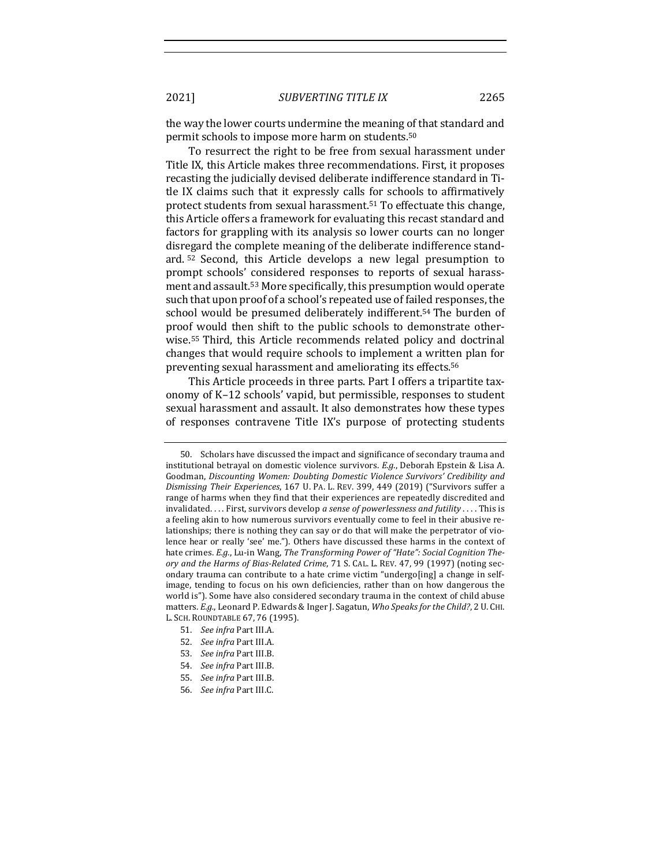the way the lower courts undermine the meaning of that standard and permit schools to impose more harm on students.<sup>50</sup>

To resurrect the right to be free from sexual harassment under Title IX, this Article makes three recommendations. First, it proposes recasting the judicially devised deliberate indifference standard in Title IX claims such that it expressly calls for schools to affirmatively protect students from sexual harassment.<sup>51</sup> To effectuate this change, this Article offers a framework for evaluating this recast standard and factors for grappling with its analysis so lower courts can no longer disregard the complete meaning of the deliberate indifference standard.<sup>52</sup> Second, this Article develops a new legal presumption to prompt schools' considered responses to reports of sexual harassment and assault.<sup>53</sup> More specifically, this presumption would operate such that upon proof of a school's repeated use of failed responses, the school would be presumed deliberately indifferent.<sup>54</sup> The burden of proof would then shift to the public schools to demonstrate otherwise.<sup>55</sup> Third, this Article recommends related policy and doctrinal changes that would require schools to implement a written plan for preventing sexual harassment and ameliorating its effects.<sup>56</sup>

This Article proceeds in three parts. Part I offers a tripartite taxonomy of K–12 schools' vapid, but permissible, responses to student sexual harassment and assault. It also demonstrates how these types of responses contravene Title IX's purpose of protecting students

- 51. *See infra* Part III.A.
- 52. *See infra Part III.A.*
- 53. *See infra Part III.B.*
- 54. *See infra Part III.B.*
- 55. *See infra Part III.B.*
- 56. *See infra Part III.C.*

<sup>50.</sup> Scholars have discussed the impact and significance of secondary trauma and institutional betrayal on domestic violence survivors. *E.g.*, Deborah Epstein & Lisa A. Goodman, Discounting Women: Doubting Domestic Violence Survivors' Credibility and *Dismissing Their Experiences*, 167 U. PA. L. REV. 399, 449 (2019) ("Survivors suffer a range of harms when they find that their experiences are repeatedly discredited and invalidated. . . . First, survivors develop a sense of powerlessness and futility . . . . This is a feeling akin to how numerous survivors eventually come to feel in their abusive relationships; there is nothing they can say or do that will make the perpetrator of violence hear or really 'see' me."). Others have discussed these harms in the context of hate crimes. E.g., Lu-in Wang, The Transforming Power of "Hate": Social Cognition The*ory* and the Harms of Bias-Related Crime, 71 S. CAL. L. REV. 47, 99 (1997) (noting secondary trauma can contribute to a hate crime victim "undergo[ing] a change in selfimage, tending to focus on his own deficiencies, rather than on how dangerous the world is"). Some have also considered secondary trauma in the context of child abuse matters. *E.g.*, Leonard P. Edwards & Inger J. Sagatun, Who Speaks for the Child?, 2 U. CHI. L. SCH. ROUNDTABLE 67, 76 (1995).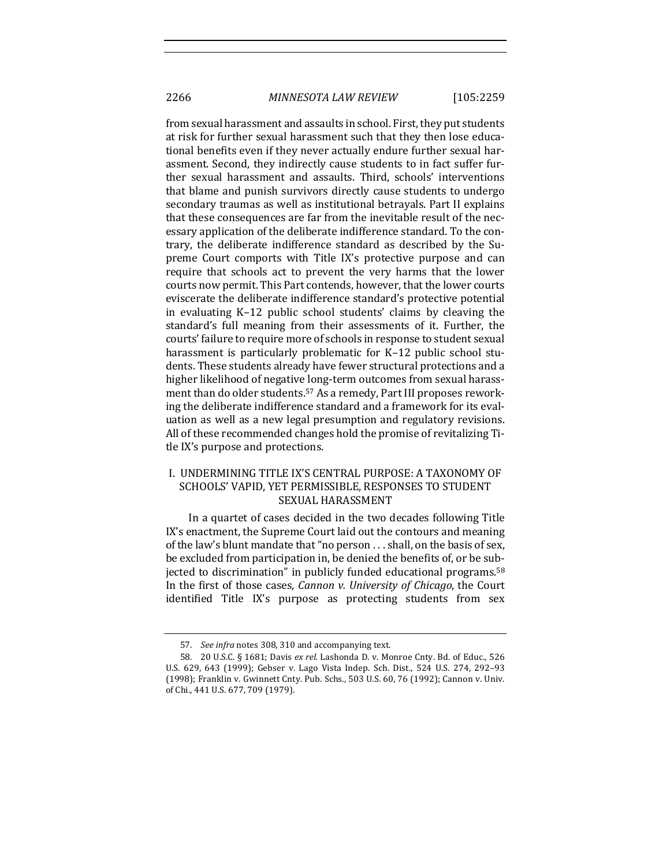2266 *MINNESOTA LAW REVIEW* [105:2259

from sexual harassment and assaults in school. First, they put students at risk for further sexual harassment such that they then lose educational benefits even if they never actually endure further sexual harassment. Second, they indirectly cause students to in fact suffer further sexual harassment and assaults. Third, schools' interventions that blame and punish survivors directly cause students to undergo secondary traumas as well as institutional betrayals. Part II explains that these consequences are far from the inevitable result of the necessary application of the deliberate indifference standard. To the contrary, the deliberate indifference standard as described by the Supreme Court comports with Title IX's protective purpose and can require that schools act to prevent the very harms that the lower courts now permit. This Part contends, however, that the lower courts eviscerate the deliberate indifference standard's protective potential in evaluating K-12 public school students' claims by cleaving the standard's full meaning from their assessments of it. Further, the courts' failure to require more of schools in response to student sexual harassment is particularly problematic for K-12 public school students. These students already have fewer structural protections and a higher likelihood of negative long-term outcomes from sexual harassment than do older students.<sup>57</sup> As a remedy, Part III proposes reworking the deliberate indifference standard and a framework for its evaluation as well as a new legal presumption and regulatory revisions. All of these recommended changes hold the promise of revitalizing Title IX's purpose and protections.

## I. UNDERMINING TITLE IX'S CENTRAL PURPOSE: A TAXONOMY OF SCHOOLS' VAPID, YET PERMISSIBLE, RESPONSES TO STUDENT SEXUAL HARASSMENT

In a quartet of cases decided in the two decades following Title IX's enactment, the Supreme Court laid out the contours and meaning of the law's blunt mandate that "no person  $\dots$  shall, on the basis of sex, be excluded from participation in, be denied the benefits of, or be subjected to discrimination" in publicly funded educational programs.<sup>58</sup> In the first of those cases, *Cannon v. University of Chicago*, the Court identified Title IX's purpose as protecting students from sex

<sup>57.</sup> *See infra* notes 308, 310 and accompanying text.

<sup>58. 20</sup> U.S.C. § 1681; Davis ex rel. Lashonda D. v. Monroe Cnty. Bd. of Educ., 526 U.S. 629, 643 (1999); Gebser v. Lago Vista Indep. Sch. Dist., 524 U.S. 274, 292-93 (1998); Franklin v. Gwinnett Cnty. Pub. Schs., 503 U.S. 60, 76 (1992); Cannon v. Univ. of Chi., 441 U.S. 677, 709 (1979).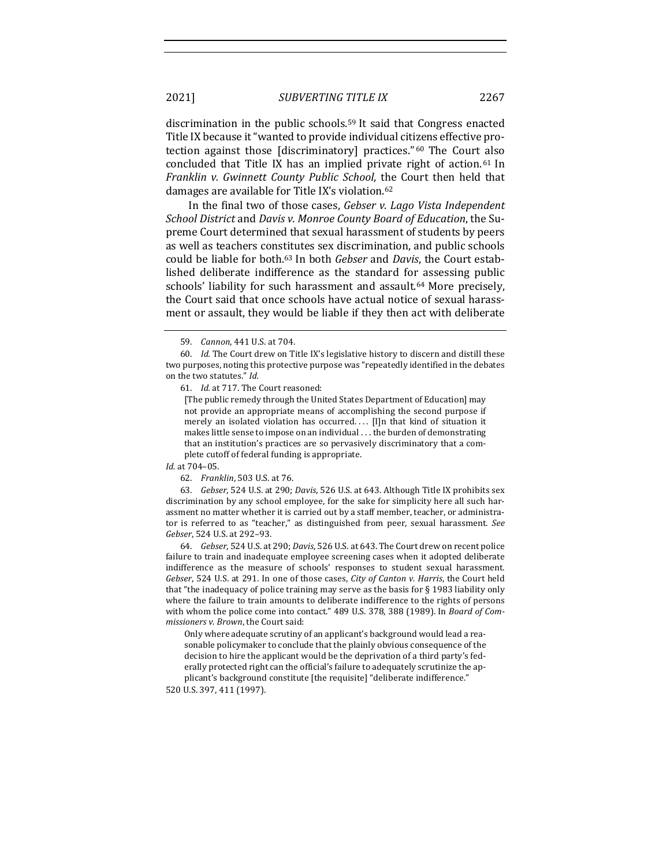discrimination in the public schools.<sup>59</sup> It said that Congress enacted Title IX because it "wanted to provide individual citizens effective protection against those [discriminatory] practices." 60 The Court also concluded that Title IX has an implied private right of action.<sup>61</sup> In *Franklin v. Gwinnett County Public School*, the Court then held that damages are available for Title IX's violation.<sup>62</sup>

In the final two of those cases, *Gebser v. Lago Vista Independent School District* and *Davis v. Monroe County Board of Education*, the Supreme Court determined that sexual harassment of students by peers as well as teachers constitutes sex discrimination, and public schools could be liable for both.<sup>63</sup> In both *Gebser* and *Davis*, the Court established deliberate indifference as the standard for assessing public schools' liability for such harassment and assault.<sup>64</sup> More precisely, the Court said that once schools have actual notice of sexual harassment or assault, they would be liable if they then act with deliberate

61. *Id.* at 717. The Court reasoned:

[The public remedy through the United States Department of Education] may not provide an appropriate means of accomplishing the second purpose if merely an isolated violation has occurred.... [I]n that kind of situation it makes little sense to impose on an individual . . . the burden of demonstrating that an institution's practices are so pervasively discriminatory that a complete cutoff of federal funding is appropriate.

63. *Gebser*, 524 U.S. at 290; *Davis*, 526 U.S. at 643. Although Title IX prohibits sex discrimination by any school employee, for the sake for simplicity here all such harassment no matter whether it is carried out by a staff member, teacher, or administrator is referred to as "teacher," as distinguished from peer, sexual harassment. See *Gebser*, 524 U.S. at 292-93.

64. *Gebser*, 524 U.S. at 290; *Davis*, 526 U.S. at 643. The Court drew on recent police failure to train and inadequate employee screening cases when it adopted deliberate indifference as the measure of schools' responses to student sexual harassment. *Gebser*, 524 U.S. at 291. In one of those cases, *City of Canton v. Harris*, the Court held that "the inadequacy of police training may serve as the basis for  $\S$  1983 liability only where the failure to train amounts to deliberate indifference to the rights of persons with whom the police come into contact." 489 U.S. 378, 388 (1989). In *Board of Commissioners v. Brown*, the Court said:

Only where adequate scrutiny of an applicant's background would lead a reasonable policymaker to conclude that the plainly obvious consequence of the decision to hire the applicant would be the deprivation of a third party's federally protected right can the official's failure to adequately scrutinize the applicant's background constitute [the requisite] "deliberate indifference."

520 U.S. 397, 411 (1997).

<sup>59.</sup> *Cannon*, 441 U.S. at 704.

<sup>60.</sup> Id. The Court drew on Title IX's legislative history to discern and distill these two purposes, noting this protective purpose was "repeatedly identified in the debates on the two statutes." Id.

*Id.* at 704–05.

<sup>62.</sup> *Franklin*, 503 U.S. at 76.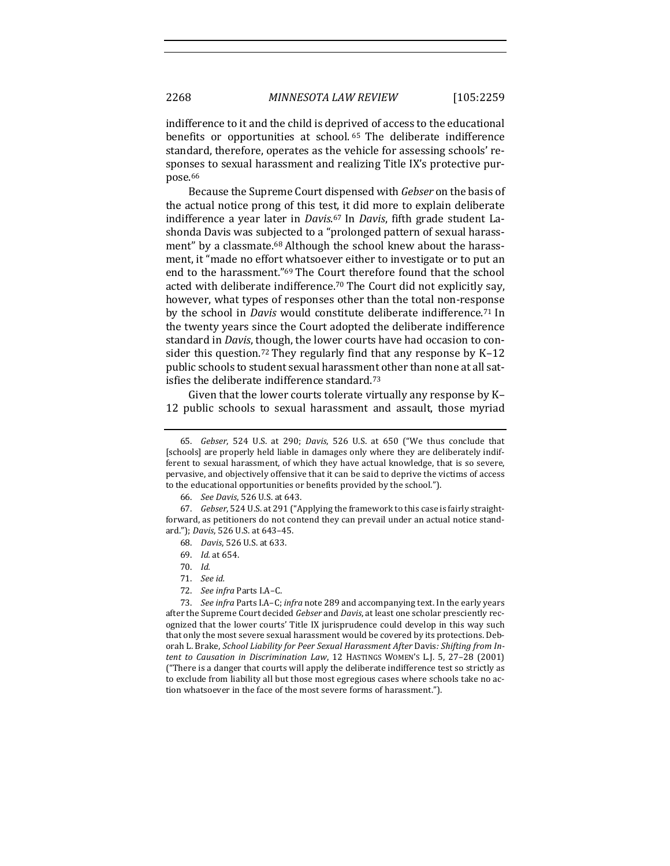indifference to it and the child is deprived of access to the educational benefits or opportunities at school. <sup>65</sup> The deliberate indifference standard, therefore, operates as the vehicle for assessing schools' responses to sexual harassment and realizing Title IX's protective purpose.66

Because the Supreme Court dispensed with *Gebser* on the basis of the actual notice prong of this test, it did more to explain deliberate indifference a year later in *Davis*.<sup>67</sup> In *Davis*, fifth grade student Lashonda Davis was subjected to a "prolonged pattern of sexual harassment" by a classmate.<sup>68</sup> Although the school knew about the harassment, it "made no effort whatsoever either to investigate or to put an end to the harassment."<sup>69</sup> The Court therefore found that the school acted with deliberate indifference.<sup>70</sup> The Court did not explicitly say, however, what types of responses other than the total non-response by the school in *Davis* would constitute deliberate indifference.<sup>71</sup> In the twenty years since the Court adopted the deliberate indifference standard in *Davis*, though, the lower courts have had occasion to consider this question.<sup>72</sup> They regularly find that any response by  $K-12$ public schools to student sexual harassment other than none at all satisfies the deliberate indifference standard. $73$ 

Given that the lower courts tolerate virtually any response by K-12 public schools to sexual harassment and assault, those myriad

<sup>65.</sup> *Gebser*, 524 U.S. at 290; *Davis*, 526 U.S. at 650 ("We thus conclude that [schools] are properly held liable in damages only where they are deliberately indifferent to sexual harassment, of which they have actual knowledge, that is so severe, pervasive, and objectively offensive that it can be said to deprive the victims of access to the educational opportunities or benefits provided by the school.").

<sup>66.</sup> *See Davis*, 526 U.S. at 643.

<sup>67.</sup> *Gebser*, 524 U.S. at 291 ("Applying the framework to this case is fairly straightforward, as petitioners do not contend they can prevail under an actual notice standard."); *Davis*, 526 U.S. at 643-45.

<sup>68.</sup> *Davis*, 526 U.S. at 633.

<sup>69.</sup> *Id.* at 654.

<sup>70.</sup> *Id.*

<sup>71.</sup> *See id.*

<sup>72.</sup> See infra Parts I.A-C.

<sup>73.</sup> *See infra* Parts I.A–C; *infra* note 289 and accompanying text. In the early years after the Supreme Court decided *Gebser* and *Davis*, at least one scholar presciently recognized that the lower courts' Title IX jurisprudence could develop in this way such that only the most severe sexual harassment would be covered by its protections. Deborah L. Brake, *School Liability for Peer Sexual Harassment After Davis: Shifting from Intent to Causation in Discrimination Law*, 12 HASTINGS WOMEN'S L.J. 5, 27-28 (2001) ("There is a danger that courts will apply the deliberate indifference test so strictly as to exclude from liability all but those most egregious cases where schools take no action whatsoever in the face of the most severe forms of harassment.").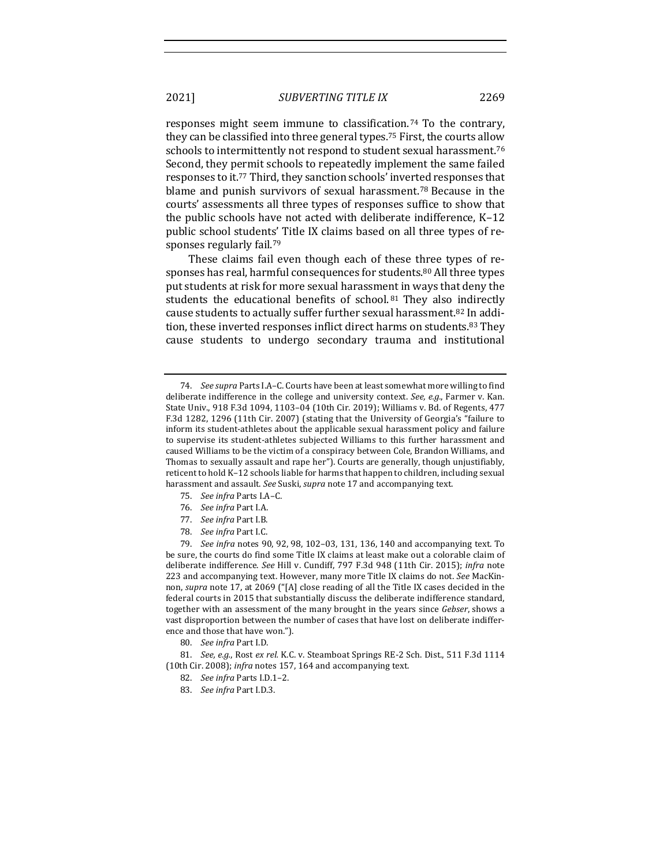responses might seem immune to classification.<sup>74</sup> To the contrary, they can be classified into three general types.<sup>75</sup> First, the courts allow schools to intermittently not respond to student sexual harassment.<sup>76</sup> Second, they permit schools to repeatedly implement the same failed responses to it.<sup>77</sup> Third, they sanction schools' inverted responses that blame and punish survivors of sexual harassment.<sup>78</sup> Because in the courts' assessments all three types of responses suffice to show that the public schools have not acted with deliberate indifference,  $K-12$ public school students' Title IX claims based on all three types of responses regularly fail.<sup>79</sup>

These claims fail even though each of these three types of responses has real, harmful consequences for students.<sup>80</sup> All three types put students at risk for more sexual harassment in ways that deny the students the educational benefits of school.<sup>81</sup> They also indirectly cause students to actually suffer further sexual harassment.<sup>82</sup> In addition, these inverted responses inflict direct harms on students.<sup>83</sup> They cause students to undergo secondary trauma and institutional

- 75. *See infra Parts I.A-C.*
- 76. *See infra* Part I.A.
- 77. *See infra* Part I.B.
- 78. *See infra Part I.C.*

79. *See infra* notes 90, 92, 98, 102-03, 131, 136, 140 and accompanying text. To be sure, the courts do find some Title IX claims at least make out a colorable claim of deliberate indifference. See Hill v. Cundiff, 797 F.3d 948 (11th Cir. 2015); infra note 223 and accompanying text. However, many more Title IX claims do not. See MacKinnon, *supra* note 17, at 2069 ("[A] close reading of all the Title IX cases decided in the federal courts in 2015 that substantially discuss the deliberate indifference standard, together with an assessment of the many brought in the years since *Gebser*, shows a vast disproportion between the number of cases that have lost on deliberate indifference and those that have won.").

80. *See infra Part I.D.* 

81. *See, e.g.*, Rost ex rel. K.C. v. Steamboat Springs RE-2 Sch. Dist., 511 F.3d 1114 (10th Cir. 2008); *infra* notes 157, 164 and accompanying text.

<sup>74.</sup> *See supra* Parts I.A-C. Courts have been at least somewhat more willing to find deliberate indifference in the college and university context. See, e.g., Farmer v. Kan. State Univ., 918 F.3d 1094, 1103-04 (10th Cir. 2019); Williams v. Bd. of Regents, 477 F.3d 1282, 1296 (11th Cir. 2007) (stating that the University of Georgia's "failure to inform its student-athletes about the applicable sexual harassment policy and failure to supervise its student-athletes subjected Williams to this further harassment and caused Williams to be the victim of a conspiracy between Cole, Brandon Williams, and Thomas to sexually assault and rape her"). Courts are generally, though unjustifiably, reticent to hold K-12 schools liable for harms that happen to children, including sexual harassment and assault. See Suski, supra note 17 and accompanying text.

<sup>82.</sup> *See infra Parts I.D.1-2.* 

<sup>83.</sup> *See infra Part I.D.3.*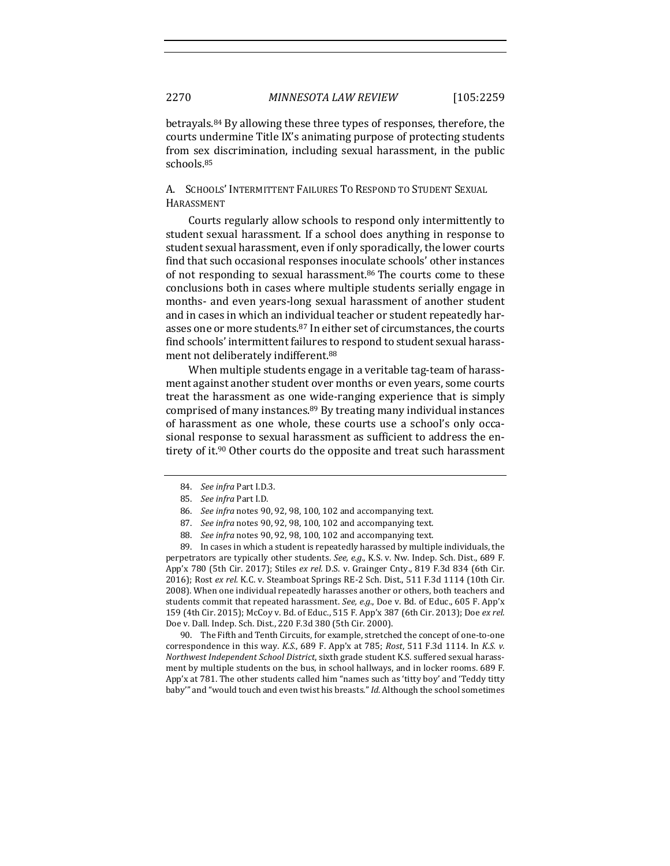betrayals.<sup>84</sup> By allowing these three types of responses, therefore, the courts undermine Title IX's animating purpose of protecting students from sex discrimination, including sexual harassment, in the public schools.85

A. SCHOOLS' INTERMITTENT FAILURES TO RESPOND TO STUDENT SEXUAL HARASSMENT

Courts regularly allow schools to respond only intermittently to student sexual harassment. If a school does anything in response to student sexual harassment, even if only sporadically, the lower courts find that such occasional responses inoculate schools' other instances of not responding to sexual harassment. $86$  The courts come to these conclusions both in cases where multiple students serially engage in months- and even years-long sexual harassment of another student and in cases in which an individual teacher or student repeatedly harasses one or more students.<sup>87</sup> In either set of circumstances, the courts find schools' intermittent failures to respond to student sexual harassment not deliberately indifferent.<sup>88</sup>

When multiple students engage in a veritable tag-team of harassment against another student over months or even years, some courts treat the harassment as one wide-ranging experience that is simply comprised of many instances. $89$  By treating many individual instances of harassment as one whole, these courts use a school's only occasional response to sexual harassment as sufficient to address the entirety of it.<sup>90</sup> Other courts do the opposite and treat such harassment

90. The Fifth and Tenth Circuits, for example, stretched the concept of one-to-one correspondence in this way. *K.S.*, 689 F. App'x at 785; *Rost*, 511 F.3d 1114. In *K.S. v. Northwest Independent School District*, sixth grade student K.S. suffered sexual harassment by multiple students on the bus, in school hallways, and in locker rooms. 689 F. App'x at 781. The other students called him "names such as 'titty boy' and 'Teddy titty baby" and "would touch and even twist his breasts." *Id.* Although the school sometimes

<sup>84.</sup> *See infra* Part I.D.3.

<sup>85.</sup> *See infra Part I.D.* 

<sup>86.</sup> *See infra* notes 90, 92, 98, 100, 102 and accompanying text.

<sup>87.</sup> *See infra* notes 90, 92, 98, 100, 102 and accompanying text.

<sup>88.</sup> *See infra* notes 90, 92, 98, 100, 102 and accompanying text.

<sup>89.</sup> In cases in which a student is repeatedly harassed by multiple individuals, the perpetrators are typically other students. See, e.g., K.S. v. Nw. Indep. Sch. Dist., 689 F. App'x 780 (5th Cir. 2017); Stiles *ex rel.* D.S. v. Grainger Cnty., 819 F.3d 834 (6th Cir. 2016); Rost ex rel. K.C. v. Steamboat Springs RE-2 Sch. Dist., 511 F.3d 1114 (10th Cir. 2008). When one individual repeatedly harasses another or others, both teachers and students commit that repeated harassment. See, e.g., Doe v. Bd. of Educ., 605 F. App'x 159 (4th Cir. 2015); McCoy v. Bd. of Educ., 515 F. App'x 387 (6th Cir. 2013); Doe ex rel. Doe v. Dall. Indep. Sch. Dist., 220 F.3d 380 (5th Cir. 2000).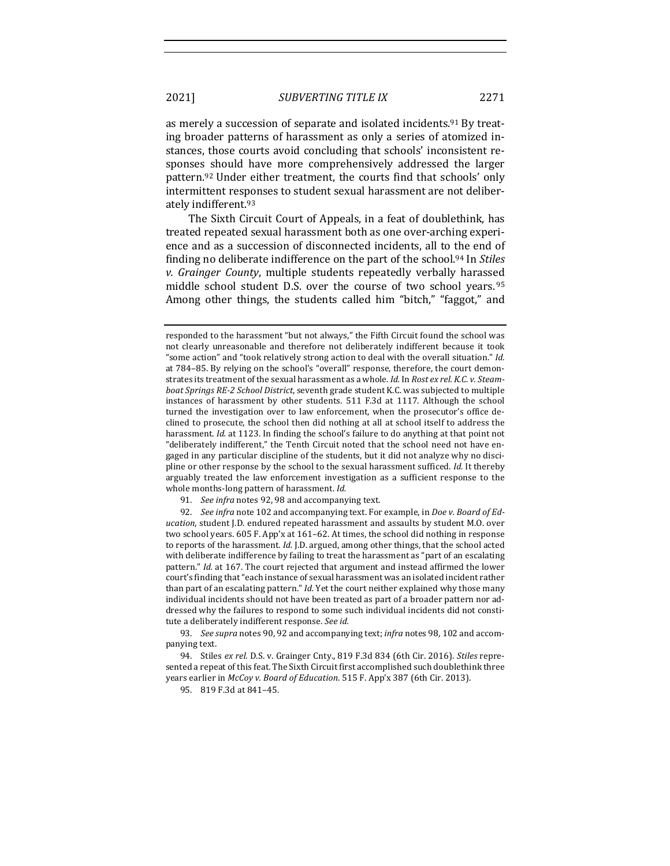as merely a succession of separate and isolated incidents.<sup>91</sup> By treat-

ing broader patterns of harassment as only a series of atomized instances, those courts avoid concluding that schools' inconsistent responses should have more comprehensively addressed the larger pattern.<sup>92</sup> Under either treatment, the courts find that schools' only intermittent responses to student sexual harassment are not deliberately indifferent.<sup>93</sup>

The Sixth Circuit Court of Appeals, in a feat of doublethink, has treated repeated sexual harassment both as one over-arching experience and as a succession of disconnected incidents, all to the end of finding no deliberate indifference on the part of the school.<sup>94</sup> In *Stiles v. Grainger County*, multiple students repeatedly verbally harassed middle school student D.S. over the course of two school years. 95 Among other things, the students called him "bitch," "faggot," and

92. *See infra* note 102 and accompanying text. For example, in *Doe v. Board of Education*, student J.D. endured repeated harassment and assaults by student M.O. over two school years. 605 F. App'x at 161–62. At times, the school did nothing in response to reports of the harassment. *Id.* J.D. argued, among other things, that the school acted with deliberate indifference by failing to treat the harassment as "part of an escalating pattern." *Id.* at 167. The court rejected that argument and instead affirmed the lower court's finding that "each instance of sexual harassment was an isolated incident rather than part of an escalating pattern." *Id.* Yet the court neither explained why those many individual incidents should not have been treated as part of a broader pattern nor addressed why the failures to respond to some such individual incidents did not constitute a deliberately indifferent response. See id.

93. See supra notes 90, 92 and accompanying text; infra notes 98, 102 and accompanying text.

94. Stiles ex rel. D.S. v. Grainger Cnty., 819 F.3d 834 (6th Cir. 2016). Stiles represented a repeat of this feat. The Sixth Circuit first accomplished such doublethink three years earlier in *McCoy v. Board of Education*. 515 F. App'x 387 (6th Cir. 2013).

95. 819 F.3d at 841-45.

responded to the harassment "but not always," the Fifth Circuit found the school was not clearly unreasonable and therefore not deliberately indifferent because it took "some action" and "took relatively strong action to deal with the overall situation." Id. at 784–85. By relying on the school's "overall" response, therefore, the court demonstrates its treatment of the sexual harassment as a whole. *Id.* In *Rost ex rel. K.C. v. Steamboat Springs RE-2 School District*, seventh grade student K.C. was subjected to multiple instances of harassment by other students. 511 F.3d at 1117. Although the school turned the investigation over to law enforcement, when the prosecutor's office declined to prosecute, the school then did nothing at all at school itself to address the harassment. *Id.* at 1123. In finding the school's failure to do anything at that point not "deliberately indifferent," the Tenth Circuit noted that the school need not have engaged in any particular discipline of the students, but it did not analyze why no discipline or other response by the school to the sexual harassment sufficed. *Id.* It thereby arguably treated the law enforcement investigation as a sufficient response to the whole months-long pattern of harassment. Id.

<sup>91.</sup> *See infra* notes 92, 98 and accompanying text.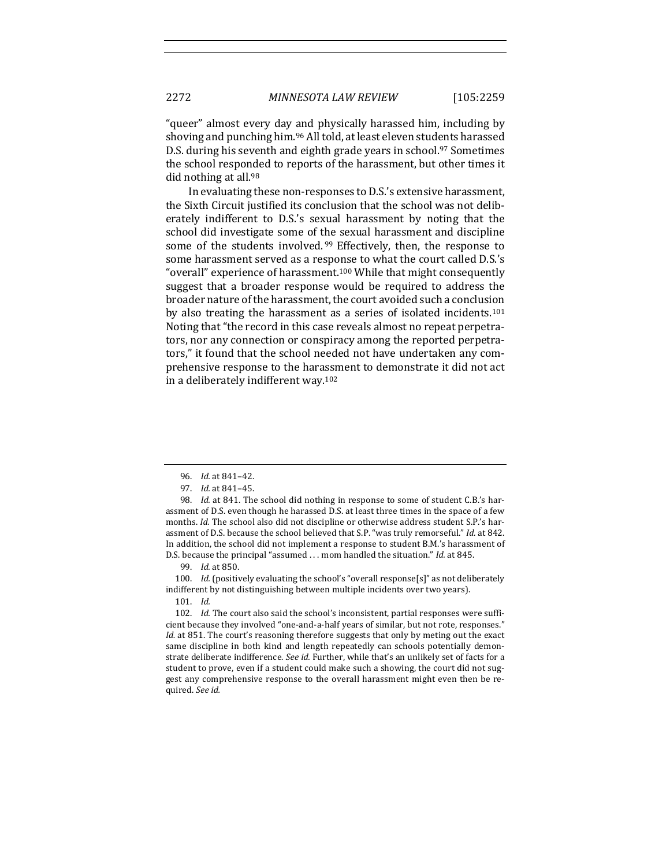"queer" almost every day and physically harassed him, including by shoving and punching him.<sup>96</sup> All told, at least eleven students harassed D.S. during his seventh and eighth grade years in school.<sup>97</sup> Sometimes the school responded to reports of the harassment, but other times it did nothing at all. $98$ 

In evaluating these non-responses to D.S.'s extensive harassment, the Sixth Circuit justified its conclusion that the school was not deliberately indifferent to D.S.'s sexual harassment by noting that the school did investigate some of the sexual harassment and discipline some of the students involved.<sup>99</sup> Effectively, then, the response to some harassment served as a response to what the court called D.S.'s "overall" experience of harassment.<sup>100</sup> While that might consequently suggest that a broader response would be required to address the broader nature of the harassment, the court avoided such a conclusion by also treating the harassment as a series of isolated incidents.<sup>101</sup> Noting that "the record in this case reveals almost no repeat perpetrators, nor any connection or conspiracy among the reported perpetrators," it found that the school needed not have undertaken any comprehensive response to the harassment to demonstrate it did not act in a deliberately indifferent way. $102$ 

99. *Id.* at 850.

100. *Id.* (positively evaluating the school's "overall response[s]" as not deliberately indifferent by not distinguishing between multiple incidents over two years).

101. *Id.*

102. *Id.* The court also said the school's inconsistent, partial responses were sufficient because they involved "one-and-a-half years of similar, but not rote, responses." *Id.* at 851. The court's reasoning therefore suggests that only by meting out the exact same discipline in both kind and length repeatedly can schools potentially demonstrate deliberate indifference. *See id.* Further, while that's an unlikely set of facts for a student to prove, even if a student could make such a showing, the court did not suggest any comprehensive response to the overall harassment might even then be required. *See id.*

<sup>96.</sup> *Id.* at 841-42.

<sup>97.</sup> *Id.* at 841–45.

<sup>98.</sup> *Id.* at 841. The school did nothing in response to some of student C.B.'s harassment of D.S. even though he harassed D.S. at least three times in the space of a few months. *Id.* The school also did not discipline or otherwise address student S.P.'s harassment of D.S. because the school believed that S.P. "was truly remorseful." *Id.* at 842. In addition, the school did not implement a response to student B.M.'s harassment of D.S. because the principal "assumed . . . mom handled the situation." *Id.* at 845.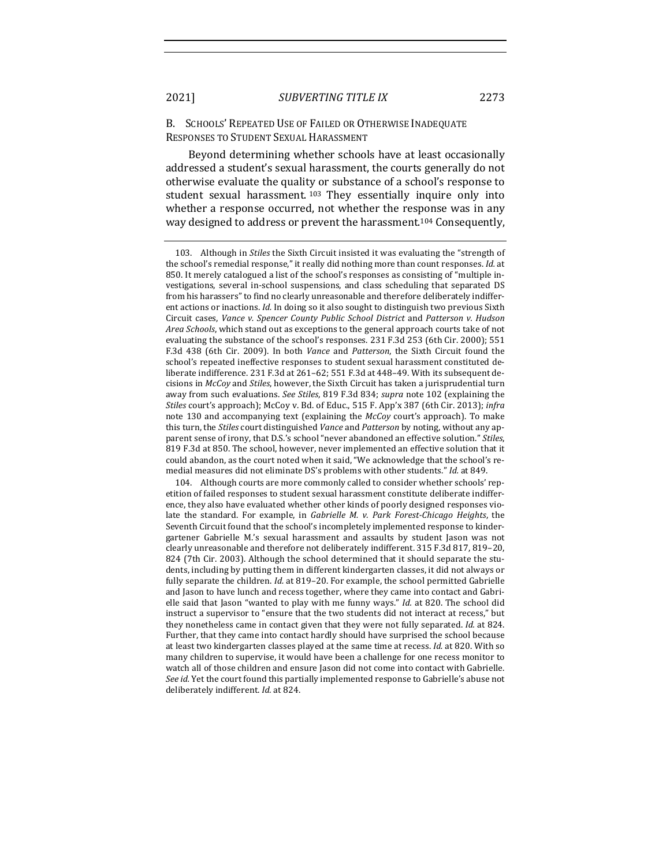#### B. SCHOOLS' REPEATED USE OF FAILED OR OTHERWISE INADEQUATE RESPONSES TO STUDENT SEXUAL HARASSMENT

Beyond determining whether schools have at least occasionally addressed a student's sexual harassment, the courts generally do not otherwise evaluate the quality or substance of a school's response to student sexual harassment.<sup>103</sup> They essentially inquire only into whether a response occurred, not whether the response was in any way designed to address or prevent the harassment.<sup>104</sup> Consequently,

104. Although courts are more commonly called to consider whether schools' repetition of failed responses to student sexual harassment constitute deliberate indifference, they also have evaluated whether other kinds of poorly designed responses violate the standard. For example, in *Gabrielle M. v. Park Forest-Chicago Heights*, the Seventh Circuit found that the school's incompletely implemented response to kindergartener Gabrielle M.'s sexual harassment and assaults by student Jason was not clearly unreasonable and therefore not deliberately indifferent. 315 F.3d 817, 819-20, 824 (7th Cir. 2003). Although the school determined that it should separate the students, including by putting them in different kindergarten classes, it did not always or fully separate the children. *Id.* at 819–20. For example, the school permitted Gabrielle and Jason to have lunch and recess together, where they came into contact and Gabrielle said that Jason "wanted to play with me funny ways." *Id.* at 820. The school did instruct a supervisor to "ensure that the two students did not interact at recess," but they nonetheless came in contact given that they were not fully separated. *Id.* at 824. Further, that they came into contact hardly should have surprised the school because at least two kindergarten classes played at the same time at recess. *Id.* at 820. With so many children to supervise, it would have been a challenge for one recess monitor to watch all of those children and ensure Jason did not come into contact with Gabrielle. *See id.* Yet the court found this partially implemented response to Gabrielle's abuse not deliberately indifferent. *Id.* at 824.

<sup>103.</sup> Although in *Stiles* the Sixth Circuit insisted it was evaluating the "strength of the school's remedial response," it really did nothing more than count responses. *Id.* at 850. It merely catalogued a list of the school's responses as consisting of "multiple investigations, several in-school suspensions, and class scheduling that separated DS from his harassers" to find no clearly unreasonable and therefore deliberately indifferent actions or inactions. *Id.* In doing so it also sought to distinguish two previous Sixth Circuit cases, *Vance v. Spencer County Public School District* and *Patterson v. Hudson Area Schools*, which stand out as exceptions to the general approach courts take of not evaluating the substance of the school's responses. 231 F.3d 253 (6th Cir. 2000); 551 F.3d 438 (6th Cir. 2009). In both *Vance* and *Patterson*, the Sixth Circuit found the school's repeated ineffective responses to student sexual harassment constituted deliberate indifference.  $231$  F.3d at  $261-62$ ;  $551$  F.3d at  $448-49$ . With its subsequent decisions in *McCoy* and *Stiles*, however, the Sixth Circuit has taken a jurisprudential turn away from such evaluations. See Stiles, 819 F.3d 834; *supra* note 102 (explaining the Stiles court's approach); McCoy v. Bd. of Educ., 515 F. App'x 387 (6th Cir. 2013); infra note 130 and accompanying text (explaining the *McCoy* court's approach). To make this turn, the *Stiles* court distinguished *Vance* and *Patterson* by noting, without any apparent sense of irony, that D.S.'s school "never abandoned an effective solution." Stiles, 819 F.3d at 850. The school, however, never implemented an effective solution that it could abandon, as the court noted when it said, "We acknowledge that the school's remedial measures did not eliminate DS's problems with other students." *Id.* at 849.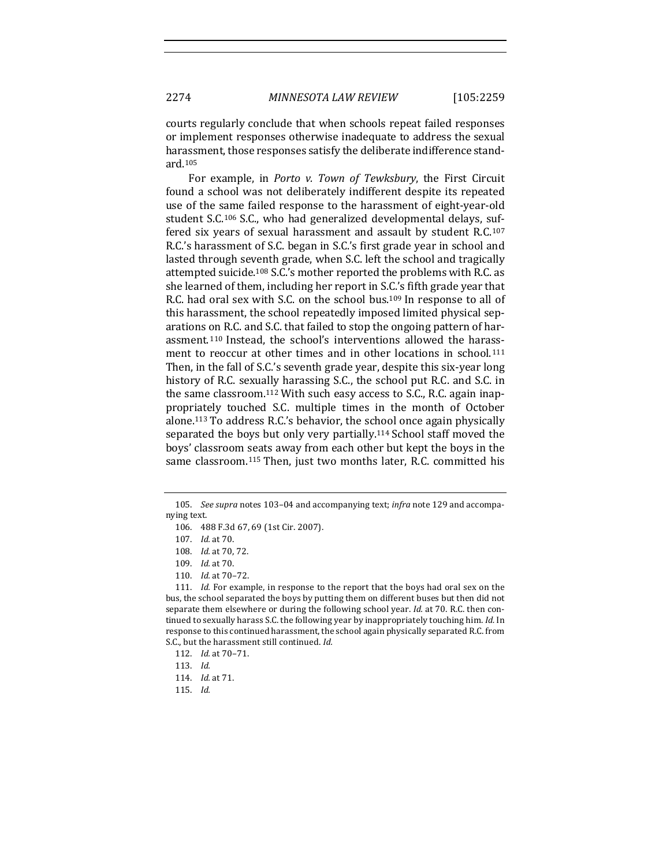courts regularly conclude that when schools repeat failed responses or implement responses otherwise inadequate to address the sexual harassment, those responses satisfy the deliberate indifference standard.105

For example, in *Porto v. Town of Tewksbury*, the First Circuit found a school was not deliberately indifferent despite its repeated use of the same failed response to the harassment of eight-year-old student S.C.<sup>106</sup> S.C., who had generalized developmental delays, suffered six years of sexual harassment and assault by student R.C.<sup>107</sup> R.C.'s harassment of S.C. began in S.C.'s first grade year in school and lasted through seventh grade, when S.C. left the school and tragically attempted suicide.<sup>108</sup> S.C.'s mother reported the problems with R.C. as she learned of them, including her report in S.C.'s fifth grade year that R.C. had oral sex with S.C. on the school bus.<sup>109</sup> In response to all of this harassment, the school repeatedly imposed limited physical separations on R.C. and S.C. that failed to stop the ongoing pattern of harassment.<sup>110</sup> Instead, the school's interventions allowed the harassment to reoccur at other times and in other locations in school.<sup>111</sup> Then, in the fall of S.C.'s seventh grade year, despite this six-year long history of R.C. sexually harassing S.C., the school put R.C. and S.C. in the same classroom.<sup>112</sup> With such easy access to S.C., R.C. again inappropriately touched S.C. multiple times in the month of October alone.<sup>113</sup> To address R.C.'s behavior, the school once again physically separated the boys but only very partially.<sup>114</sup> School staff moved the boys' classroom seats away from each other but kept the boys in the same classroom.<sup>115</sup> Then, just two months later, R.C. committed his

<sup>105.</sup> See supra notes 103-04 and accompanying text; *infra* note 129 and accompanying text.

<sup>106. 488</sup> F.3d 67, 69 (1st Cir. 2007).

<sup>107.</sup> *Id.* at 70.

<sup>108.</sup> *Id.* at 70, 72.

<sup>109.</sup> *Id.* at 70.

<sup>110.</sup> *Id.* at  $70-72$ .

<sup>111.</sup> *Id.* For example, in response to the report that the boys had oral sex on the bus, the school separated the boys by putting them on different buses but then did not separate them elsewhere or during the following school year. *Id.* at 70. R.C. then continued to sexually harass S.C. the following year by inappropriately touching him. *Id.* In response to this continued harassment, the school again physically separated R.C. from S.C., but the harassment still continued. *Id.* 

<sup>112.</sup> *Id.* at 70-71.

<sup>113.</sup> *Id.*

<sup>114.</sup> *Id.* at 71.

<sup>115.</sup> *Id.*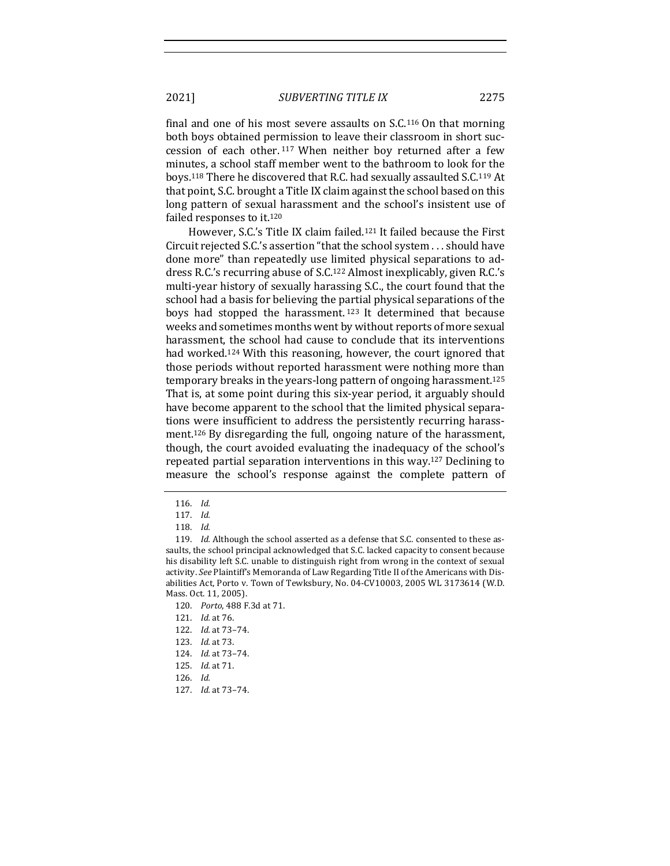final and one of his most severe assaults on  $S.C.<sup>116</sup>$  On that morning both boys obtained permission to leave their classroom in short succession of each other. 117 When neither boy returned after a few minutes, a school staff member went to the bathroom to look for the boys.<sup>118</sup> There he discovered that R.C. had sexually assaulted S.C.<sup>119</sup> At that point, S.C. brought a Title IX claim against the school based on this long pattern of sexual harassment and the school's insistent use of failed responses to it.<sup>120</sup>

However, S.C.'s Title IX claim failed.<sup>121</sup> It failed because the First Circuit rejected S.C.'s assertion "that the school system . . . should have done more" than repeatedly use limited physical separations to address R.C.'s recurring abuse of S.C.<sup>122</sup> Almost inexplicably, given R.C.'s multi-year history of sexually harassing S.C., the court found that the school had a basis for believing the partial physical separations of the boys had stopped the harassment.<sup>123</sup> It determined that because weeks and sometimes months went by without reports of more sexual harassment, the school had cause to conclude that its interventions had worked.<sup>124</sup> With this reasoning, however, the court ignored that those periods without reported harassment were nothing more than temporary breaks in the years-long pattern of ongoing harassment.<sup>125</sup> That is, at some point during this six-year period, it arguably should have become apparent to the school that the limited physical separations were insufficient to address the persistently recurring harassment.<sup>126</sup> By disregarding the full, ongoing nature of the harassment, though, the court avoided evaluating the inadequacy of the school's repeated partial separation interventions in this way.<sup>127</sup> Declining to measure the school's response against the complete pattern of

- 122. *Id.* at 73-74.
- 123. *Id.* at 73.
- 124. *Id.* at 73-74.
- 125. *Id.* at 71.
- 126. *Id.*
- 127. *Id.* at 73-74.

<sup>116.</sup> *Id.*

<sup>117.</sup> *Id.*

<sup>118.</sup> *Id.*

<sup>119.</sup> *Id.* Although the school asserted as a defense that S.C. consented to these assaults, the school principal acknowledged that S.C. lacked capacity to consent because his disability left S.C. unable to distinguish right from wrong in the context of sexual activity. See Plaintiff's Memoranda of Law Regarding Title II of the Americans with Disabilities Act, Porto v. Town of Tewksbury, No. 04-CV10003, 2005 WL 3173614 (W.D. Mass. Oct. 11, 2005).

<sup>120.</sup> *Porto*, 488 F.3d at 71.

<sup>121.</sup> *Id.* at 76.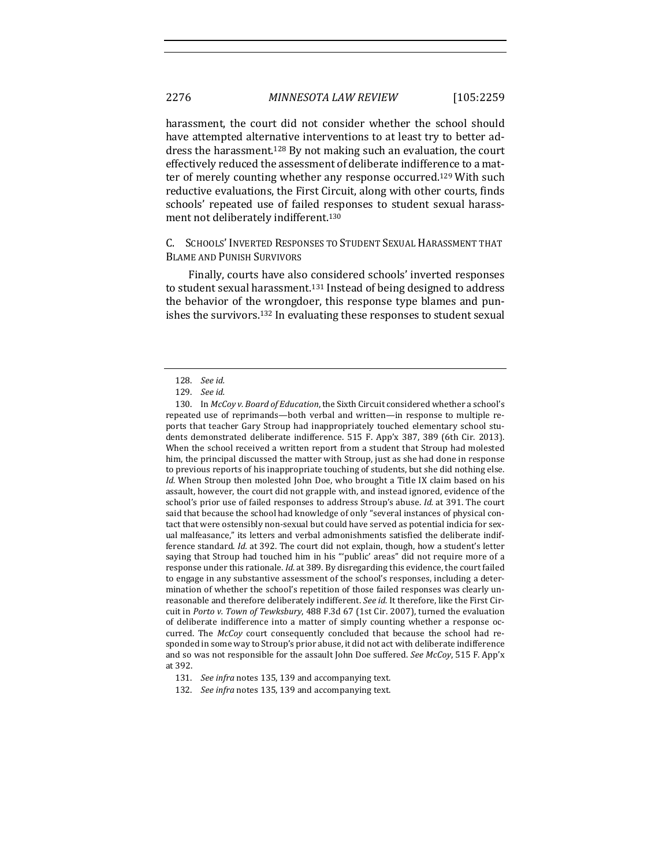harassment, the court did not consider whether the school should have attempted alternative interventions to at least try to better address the harassment.<sup>128</sup> By not making such an evaluation, the court effectively reduced the assessment of deliberate indifference to a matter of merely counting whether any response occurred.<sup>129</sup> With such reductive evaluations, the First Circuit, along with other courts, finds schools' repeated use of failed responses to student sexual harassment not deliberately indifferent.<sup>130</sup>

# C. SCHOOLS' INVERTED RESPONSES TO STUDENT SEXUAL HARASSMENT THAT **BLAME AND PUNISH SURVIVORS**

Finally, courts have also considered schools' inverted responses to student sexual harassment.<sup>131</sup> Instead of being designed to address the behavior of the wrongdoer, this response type blames and punishes the survivors.<sup>132</sup> In evaluating these responses to student sexual

<sup>128.</sup> *See id.*

<sup>129.</sup> *See id.*

<sup>130.</sup> In *McCoy v. Board of Education*, the Sixth Circuit considered whether a school's repeated use of reprimands—both verbal and written—in response to multiple reports that teacher Gary Stroup had inappropriately touched elementary school students demonstrated deliberate indifference. 515 F. App'x 387, 389 (6th Cir. 2013). When the school received a written report from a student that Stroup had molested him, the principal discussed the matter with Stroup, just as she had done in response to previous reports of his inappropriate touching of students, but she did nothing else. *Id.* When Stroup then molested John Doe, who brought a Title IX claim based on his assault, however, the court did not grapple with, and instead ignored, evidence of the school's prior use of failed responses to address Stroup's abuse. *Id.* at 391. The court said that because the school had knowledge of only "several instances of physical contact that were ostensibly non-sexual but could have served as potential indicia for sexual malfeasance," its letters and verbal admonishments satisfied the deliberate indifference standard. *Id.* at 392. The court did not explain, though, how a student's letter saying that Stroup had touched him in his "'public' areas" did not require more of a response under this rationale. *Id.* at 389. By disregarding this evidence, the court failed to engage in any substantive assessment of the school's responses, including a determination of whether the school's repetition of those failed responses was clearly unreasonable and therefore deliberately indifferent. See id. It therefore, like the First Circuit in *Porto v. Town of Tewksbury*, 488 F.3d 67 (1st Cir. 2007), turned the evaluation of deliberate indifference into a matter of simply counting whether a response occurred. The *McCoy* court consequently concluded that because the school had responded in some way to Stroup's prior abuse, it did not act with deliberate indifference and so was not responsible for the assault John Doe suffered. *See McCoy*, 515 F. App'x at 392.

<sup>131.</sup> *See infra* notes 135, 139 and accompanying text.

<sup>132.</sup> *See infra* notes 135, 139 and accompanying text.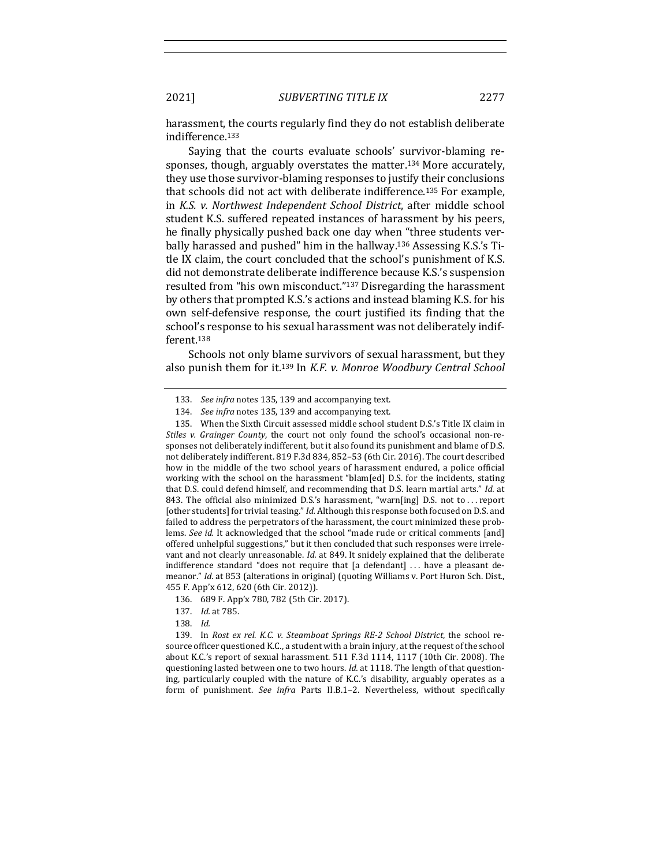harassment, the courts regularly find they do not establish deliberate indifference. 133

Saying that the courts evaluate schools' survivor-blaming responses, though, arguably overstates the matter.<sup>134</sup> More accurately, they use those survivor-blaming responses to justify their conclusions that schools did not act with deliberate indifference.<sup>135</sup> For example, in *K.S. v. Northwest Independent School District*, after middle school student K.S. suffered repeated instances of harassment by his peers, he finally physically pushed back one day when "three students verbally harassed and pushed" him in the hallway.<sup>136</sup> Assessing K.S.'s Title IX claim, the court concluded that the school's punishment of K.S. did not demonstrate deliberate indifference because K.S.'s suspension resulted from "his own misconduct."<sup>137</sup> Disregarding the harassment by others that prompted K.S.'s actions and instead blaming K.S. for his own self-defensive response, the court justified its finding that the school's response to his sexual harassment was not deliberately indifferent.138

Schools not only blame survivors of sexual harassment, but they also punish them for it.<sup>139</sup> In *K.F. v. Monroe Woodbury Central School* 

139. In *Rost ex rel. K.C. v. Steamboat Springs RE-2 School District*, the school resource officer questioned K.C., a student with a brain injury, at the request of the school about K.C.'s report of sexual harassment. 511 F.3d 1114, 1117 (10th Cir. 2008). The questioning lasted between one to two hours. *Id.* at 1118. The length of that questioning, particularly coupled with the nature of K.C.'s disability, arguably operates as a form of punishment. See infra Parts II.B.1–2. Nevertheless, without specifically

<sup>133.</sup> *See infra* notes 135, 139 and accompanying text.

<sup>134.</sup> *See infra* notes 135, 139 and accompanying text.

<sup>135.</sup> When the Sixth Circuit assessed middle school student D.S.'s Title IX claim in *Stiles* v. *Grainger County*, the court not only found the school's occasional non-responses not deliberately indifferent, but it also found its punishment and blame of D.S. not deliberately indifferent. 819 F.3d 834, 852-53 (6th Cir. 2016). The court described how in the middle of the two school years of harassment endured, a police official working with the school on the harassment "blam[ed] D.S. for the incidents, stating that D.S. could defend himself, and recommending that D.S. learn martial arts." *Id.* at 843. The official also minimized D.S.'s harassment, "warn[ing] D.S. not to ... report [other students] for trivial teasing." Id. Although this response both focused on D.S. and failed to address the perpetrators of the harassment, the court minimized these problems. See id. It acknowledged that the school "made rude or critical comments [and] offered unhelpful suggestions," but it then concluded that such responses were irrelevant and not clearly unreasonable. *Id.* at 849. It snidely explained that the deliberate indifference standard "does not require that [a defendant] ... have a pleasant demeanor." *Id.* at 853 (alterations in original) (quoting Williams v. Port Huron Sch. Dist., 455 F. App'x 612, 620 (6th Cir. 2012)).

<sup>136. 689</sup> F. App'x 780, 782 (5th Cir. 2017).

<sup>137.</sup> *Id.* at 785.

<sup>138.</sup> *Id.*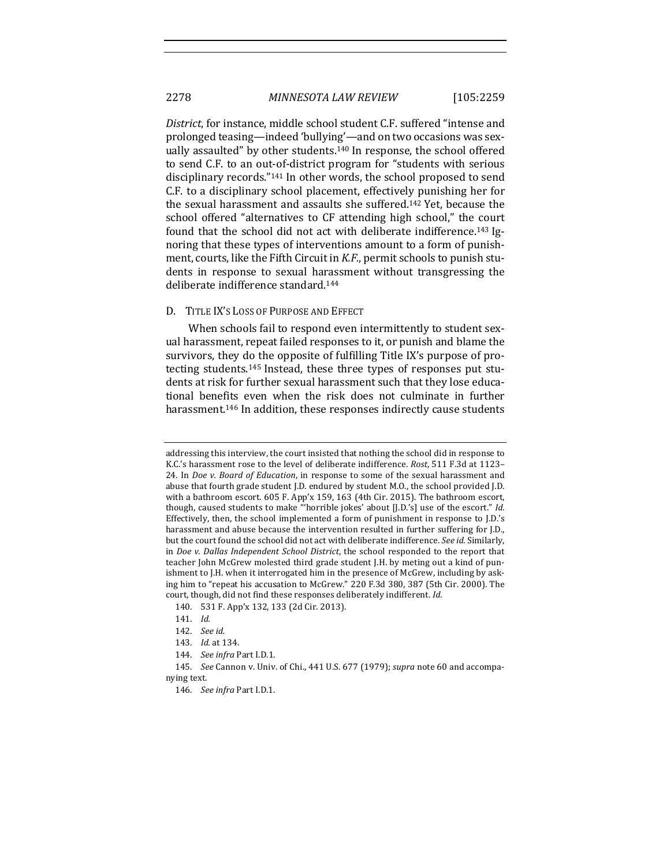*District*, for instance, middle school student C.F. suffered "intense and prolonged teasing—indeed 'bullying'—and on two occasions was sexually assaulted" by other students.<sup>140</sup> In response, the school offered to send C.F. to an out-of-district program for "students with serious disciplinary records."<sup>141</sup> In other words, the school proposed to send C.F. to a disciplinary school placement, effectively punishing her for the sexual harassment and assaults she suffered.<sup>142</sup> Yet, because the school offered "alternatives to CF attending high school," the court found that the school did not act with deliberate indifference.<sup>143</sup> Ignoring that these types of interventions amount to a form of punishment, courts, like the Fifth Circuit in *K.F.*, permit schools to punish students in response to sexual harassment without transgressing the deliberate indifference standard.<sup>144</sup>

#### D. TITLE IX'S LOSS OF PURPOSE AND EFFECT

When schools fail to respond even intermittently to student sexual harassment, repeat failed responses to it, or punish and blame the survivors, they do the opposite of fulfilling Title IX's purpose of protecting students.<sup>145</sup> Instead, these three types of responses put students at risk for further sexual harassment such that they lose educational benefits even when the risk does not culminate in further harassment.<sup>146</sup> In addition, these responses indirectly cause students

addressing this interview, the court insisted that nothing the school did in response to K.C.'s harassment rose to the level of deliberate indifference. *Rost*, 511 F.3d at 1123-24. In *Doe v. Board of Education*, in response to some of the sexual harassment and abuse that fourth grade student J.D. endured by student M.O., the school provided J.D. with a bathroom escort.  $605$  F. App'x 159, 163 (4th Cir. 2015). The bathroom escort, though, caused students to make "horrible jokes' about [J.D.'s] use of the escort." *Id.* Effectively, then, the school implemented a form of punishment in response to  $J.D.'s$ harassment and abuse because the intervention resulted in further suffering for J.D., but the court found the school did not act with deliberate indifference. See id. Similarly, in *Doe* v. Dallas Independent School District, the school responded to the report that teacher John McGrew molested third grade student J.H. by meting out a kind of punishment to J.H. when it interrogated him in the presence of McGrew, including by asking him to "repeat his accusation to McGrew." 220 F.3d 380, 387 (5th Cir. 2000). The court, though, did not find these responses deliberately indifferent. Id.

<sup>140. 531</sup> F. App'x 132, 133 (2d Cir. 2013).

<sup>141.</sup> *Id.*

<sup>142.</sup> *See id.*

<sup>143.</sup> *Id.* at 134.

<sup>144.</sup> *See infra Part I.D.1.* 

<sup>145.</sup> *See* Cannon v. Univ. of Chi., 441 U.S. 677 (1979); *supra* note 60 and accompanving text.

<sup>146.</sup> *See infra* Part I.D.1.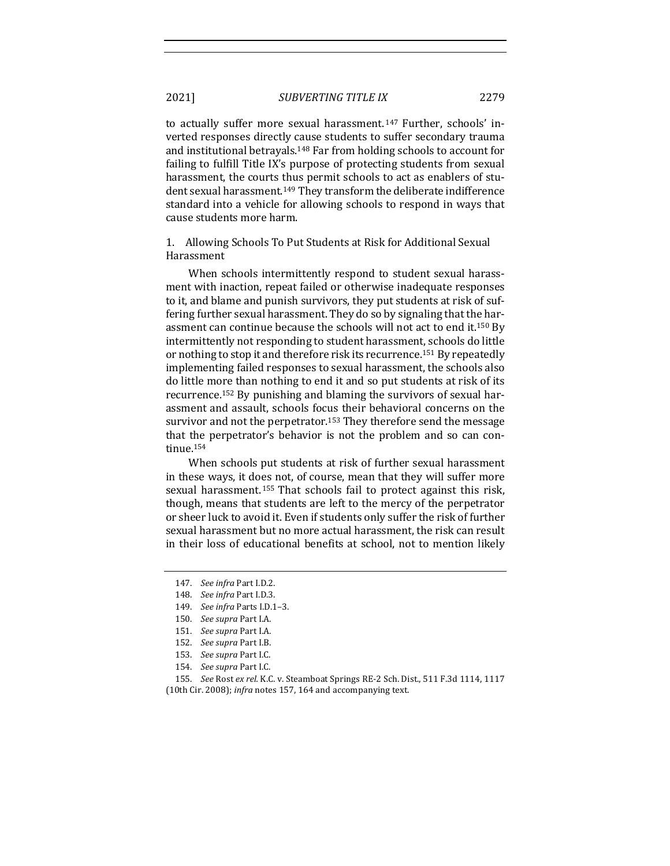to actually suffer more sexual harassment.<sup>147</sup> Further, schools' inverted responses directly cause students to suffer secondary trauma and institutional betrayals.<sup>148</sup> Far from holding schools to account for failing to fulfill Title IX's purpose of protecting students from sexual harassment, the courts thus permit schools to act as enablers of student sexual harassment.<sup>149</sup> They transform the deliberate indifference standard into a vehicle for allowing schools to respond in ways that cause students more harm.

1. Allowing Schools To Put Students at Risk for Additional Sexual Harassment

When schools intermittently respond to student sexual harassment with inaction, repeat failed or otherwise inadequate responses to it, and blame and punish survivors, they put students at risk of suffering further sexual harassment. They do so by signaling that the harassment can continue because the schools will not act to end it.<sup>150</sup> By intermittently not responding to student harassment, schools do little or nothing to stop it and therefore risk its recurrence.<sup>151</sup> By repeatedly implementing failed responses to sexual harassment, the schools also do little more than nothing to end it and so put students at risk of its recurrence.<sup>152</sup> By punishing and blaming the survivors of sexual harassment and assault, schools focus their behavioral concerns on the survivor and not the perpetrator.<sup>153</sup> They therefore send the message that the perpetrator's behavior is not the problem and so can continue.154

When schools put students at risk of further sexual harassment in these ways, it does not, of course, mean that they will suffer more sexual harassment.<sup>155</sup> That schools fail to protect against this risk, though, means that students are left to the mercy of the perpetrator or sheer luck to avoid it. Even if students only suffer the risk of further sexual harassment but no more actual harassment, the risk can result in their loss of educational benefits at school, not to mention likely

<sup>147.</sup> *See infra* Part I.D.2.

<sup>148.</sup> *See infra* Part I.D.3.

<sup>149.</sup> *See infra* Parts I.D.1–3.

<sup>150.</sup> See supra Part I.A.

<sup>151.</sup> *See supra* Part I.A.

<sup>152.</sup> *See supra* Part I.B.

<sup>153.</sup> *See supra* Part I.C.

<sup>154.</sup> *See supra* Part I.C.

<sup>155.</sup> *See* Rost ex rel. K.C. v. Steamboat Springs RE-2 Sch. Dist., 511 F.3d 1114, 1117

<sup>(10</sup>th Cir. 2008); *infra* notes 157, 164 and accompanying text.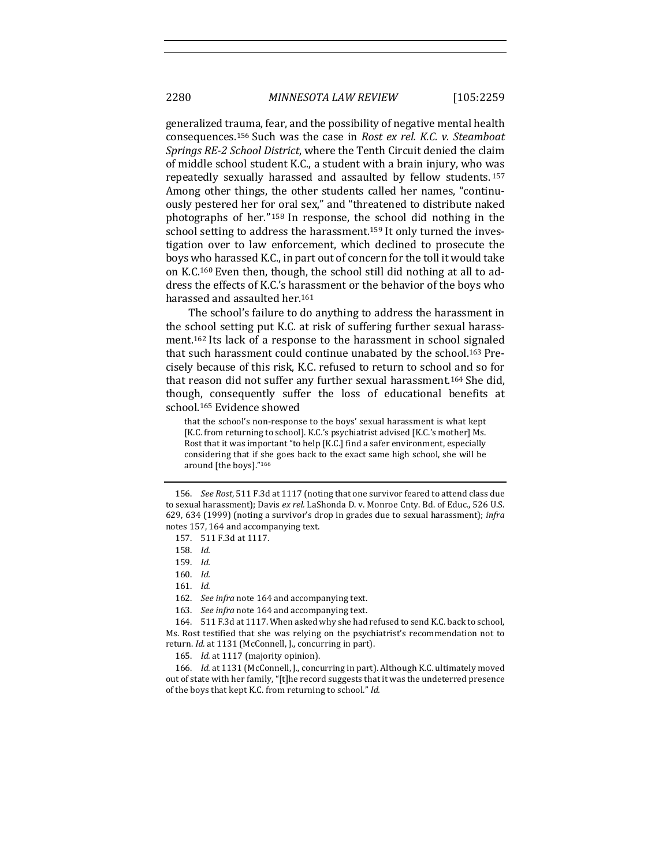generalized trauma, fear, and the possibility of negative mental health consequences.<sup>156</sup> Such was the case in *Rost ex rel. K.C. v. Steamboat Springs RE-2 School District*, where the Tenth Circuit denied the claim of middle school student K.C., a student with a brain injury, who was repeatedly sexually harassed and assaulted by fellow students.<sup>157</sup> Among other things, the other students called her names, "continuously pestered her for oral sex," and "threatened to distribute naked photographs of her."  $158$  In response, the school did nothing in the school setting to address the harassment.<sup>159</sup> It only turned the investigation over to law enforcement, which declined to prosecute the boys who harassed K.C., in part out of concern for the toll it would take on K.C.<sup>160</sup> Even then, though, the school still did nothing at all to address the effects of K.C.'s harassment or the behavior of the boys who harassed and assaulted her.<sup>161</sup>

The school's failure to do anything to address the harassment in the school setting put K.C. at risk of suffering further sexual harassment.<sup>162</sup> Its lack of a response to the harassment in school signaled that such harassment could continue unabated by the school.<sup>163</sup> Precisely because of this risk, K.C. refused to return to school and so for that reason did not suffer any further sexual harassment.<sup>164</sup> She did, though, consequently suffer the loss of educational benefits at school.<sup>165</sup> Evidence showed

that the school's non-response to the boys' sexual harassment is what kept [K.C. from returning to school]. K.C.'s psychiatrist advised [K.C.'s mother] Ms. Rost that it was important "to help [K.C.] find a safer environment, especially considering that if she goes back to the exact same high school, she will be around [the boys]."166

162. *See infra* note 164 and accompanying text.

165. *Id.* at 1117 (majority opinion).

166. *Id.* at 1131 (McConnell, J., concurring in part). Although K.C. ultimately moved out of state with her family, "[t]he record suggests that it was the undeterred presence of the boys that kept K.C. from returning to school." *Id.* 

<sup>156.</sup> *See Rost*, 511 F.3d at 1117 (noting that one survivor feared to attend class due to sexual harassment); Davis ex rel. LaShonda D. v. Monroe Cnty. Bd. of Educ., 526 U.S. 629, 634 (1999) (noting a survivor's drop in grades due to sexual harassment); *infra* notes 157, 164 and accompanying text.

<sup>157.</sup> 511 F.3d at 1117.

<sup>158.</sup> *Id.*

<sup>159.</sup> *Id.*

<sup>160.</sup> *Id.*

<sup>161.</sup> *Id.*

<sup>163.</sup> See infra note 164 and accompanying text.

<sup>164. 511</sup> F.3d at 1117. When asked why she had refused to send K.C. back to school, Ms. Rost testified that she was relying on the psychiatrist's recommendation not to return. *Id.* at 1131 (McConnell, J., concurring in part).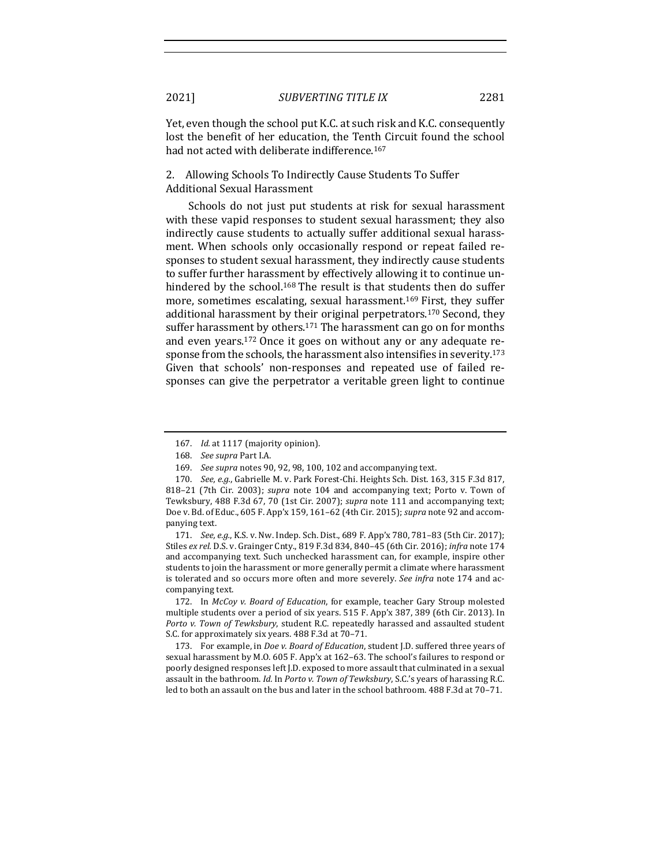Yet, even though the school put K.C. at such risk and K.C. consequently lost the benefit of her education, the Tenth Circuit found the school had not acted with deliberate indifference.<sup>167</sup>

2. Allowing Schools To Indirectly Cause Students To Suffer Additional Sexual Harassment

Schools do not just put students at risk for sexual harassment with these vapid responses to student sexual harassment; they also indirectly cause students to actually suffer additional sexual harassment. When schools only occasionally respond or repeat failed responses to student sexual harassment, they indirectly cause students to suffer further harassment by effectively allowing it to continue unhindered by the school.<sup>168</sup> The result is that students then do suffer more, sometimes escalating, sexual harassment.<sup>169</sup> First, they suffer additional harassment by their original perpetrators.<sup>170</sup> Second, they suffer harassment by others.<sup>171</sup> The harassment can go on for months and even years.<sup>172</sup> Once it goes on without any or any adequate response from the schools, the harassment also intensifies in severity.<sup>173</sup> Given that schools' non-responses and repeated use of failed responses can give the perpetrator a veritable green light to continue

171. *See, e.g.*, K.S. v. Nw. Indep. Sch. Dist., 689 F. App'x 780, 781-83 (5th Cir. 2017); Stiles ex rel. D.S. v. Grainger Cnty., 819 F.3d 834, 840-45 (6th Cir. 2016); infra note 174 and accompanying text. Such unchecked harassment can, for example, inspire other students to join the harassment or more generally permit a climate where harassment is tolerated and so occurs more often and more severely. See infra note 174 and accompanying text.

172. In *McCoy v. Board of Education*, for example, teacher Gary Stroup molested multiple students over a period of six years. 515 F. App'x 387, 389 (6th Cir. 2013). In *Porto v. Town of Tewksbury*, student R.C. repeatedly harassed and assaulted student S.C. for approximately six years. 488 F.3d at 70-71.

173. For example, in *Doe v. Board of Education*, student J.D. suffered three years of sexual harassment by M.O. 605 F. App'x at 162–63. The school's failures to respond or poorly designed responses left J.D. exposed to more assault that culminated in a sexual assault in the bathroom. *Id.* In *Porto v. Town of Tewksbury*, S.C.'s years of harassing R.C. led to both an assault on the bus and later in the school bathroom. 488 F.3d at 70-71.

<sup>167.</sup> *Id.* at 1117 (majority opinion).

<sup>168.</sup> *See supra* Part I.A.

<sup>169.</sup> *See supra* notes 90, 92, 98, 100, 102 and accompanying text.

<sup>170.</sup> *See, e.g.*, Gabrielle M. v. Park Forest-Chi. Heights Sch. Dist. 163, 315 F.3d 817, 818–21 (7th Cir. 2003); *supra* note 104 and accompanying text; Porto v. Town of Tewksbury, 488 F.3d 67, 70 (1st Cir. 2007); *supra* note 111 and accompanying text; Doe v. Bd. of Educ., 605 F. App'x 159, 161-62 (4th Cir. 2015); *supra* note 92 and accompanying text.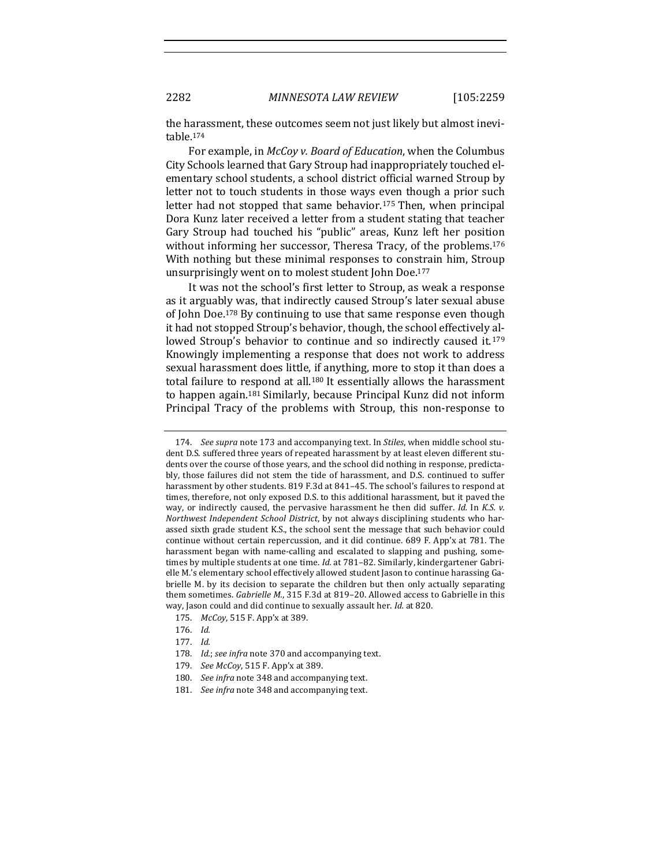the harassment, these outcomes seem not just likely but almost inevitable.174

For example, in *McCoy v. Board of Education*, when the Columbus City Schools learned that Gary Stroup had inappropriately touched elementary school students, a school district official warned Stroup by letter not to touch students in those ways even though a prior such letter had not stopped that same behavior.<sup>175</sup> Then, when principal Dora Kunz later received a letter from a student stating that teacher Gary Stroup had touched his "public" areas, Kunz left her position without informing her successor, Theresa Tracy, of the problems.<sup>176</sup> With nothing but these minimal responses to constrain him, Stroup unsurprisingly went on to molest student John Doe.<sup>177</sup>

It was not the school's first letter to Stroup, as weak a response as it arguably was, that indirectly caused Stroup's later sexual abuse of John Doe.<sup>178</sup> By continuing to use that same response even though it had not stopped Stroup's behavior, though, the school effectively allowed Stroup's behavior to continue and so indirectly caused it.<sup>179</sup> Knowingly implementing a response that does not work to address sexual harassment does little, if anything, more to stop it than does a total failure to respond at all.<sup>180</sup> It essentially allows the harassment to happen again.<sup>181</sup> Similarly, because Principal Kunz did not inform Principal Tracy of the problems with Stroup, this non-response to

<sup>174.</sup> *See supra* note 173 and accompanying text. In *Stiles*, when middle school student D.S. suffered three years of repeated harassment by at least eleven different students over the course of those years, and the school did nothing in response, predictably, those failures did not stem the tide of harassment, and D.S. continued to suffer harassment by other students. 819 F.3d at 841-45. The school's failures to respond at times, therefore, not only exposed D.S. to this additional harassment, but it paved the way, or indirectly caused, the pervasive harassment he then did suffer. *Id.* In *K.S. v. Northwest Independent School District*, by not always disciplining students who harassed sixth grade student K.S., the school sent the message that such behavior could continue without certain repercussion, and it did continue. 689 F. App'x at 781. The harassment began with name-calling and escalated to slapping and pushing, sometimes by multiple students at one time. *Id.* at 781–82. Similarly, kindergartener Gabrielle M.'s elementary school effectively allowed student Jason to continue harassing Gabrielle M. by its decision to separate the children but then only actually separating them sometimes. *Gabrielle M.*, 315 F.3d at 819-20. Allowed access to Gabrielle in this way, Jason could and did continue to sexually assault her. *Id.* at 820.

<sup>175.</sup> *McCoy*, 515 F. App'x at 389.

<sup>176.</sup> *Id.*

<sup>177.</sup> *Id.*

<sup>178.</sup> *Id.*; see infra note 370 and accompanying text.

<sup>179.</sup> *See McCoy*, 515 F. App'x at 389.

<sup>180.</sup> *See infra* note 348 and accompanying text.

<sup>181.</sup> *See infra* note 348 and accompanying text.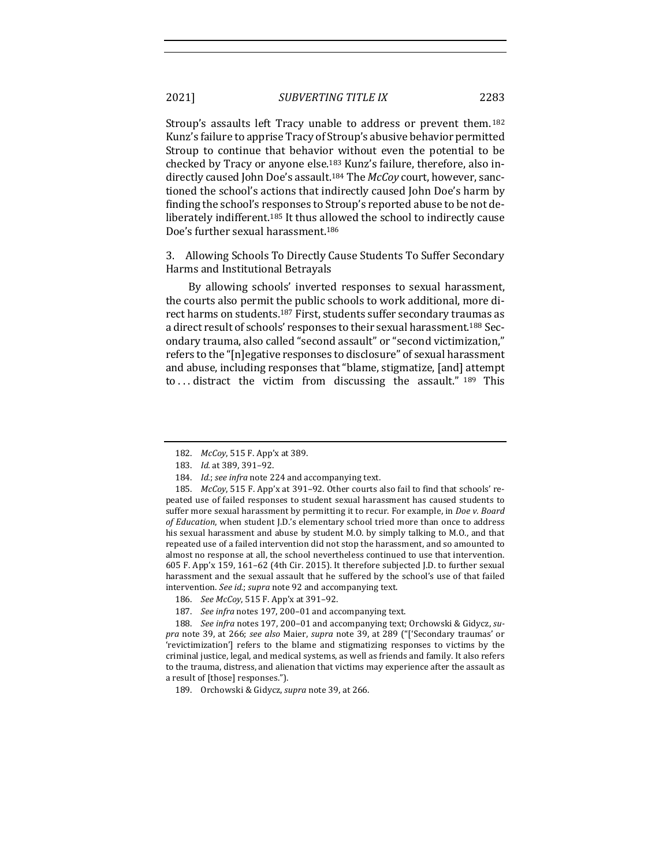Stroup's assaults left Tracy unable to address or prevent them.<sup>182</sup> Kunz's failure to apprise Tracy of Stroup's abusive behavior permitted Stroup to continue that behavior without even the potential to be checked by Tracy or anyone else.<sup>183</sup> Kunz's failure, therefore, also indirectly caused John Doe's assault.<sup>184</sup> The *McCoy* court, however, sanctioned the school's actions that indirectly caused John Doe's harm by finding the school's responses to Stroup's reported abuse to be not deliberately indifferent.<sup>185</sup> It thus allowed the school to indirectly cause Doe's further sexual harassment.<sup>186</sup>

3. Allowing Schools To Directly Cause Students To Suffer Secondary Harms and Institutional Betrayals

By allowing schools' inverted responses to sexual harassment, the courts also permit the public schools to work additional, more direct harms on students.<sup>187</sup> First, students suffer secondary traumas as a direct result of schools' responses to their sexual harassment.<sup>188</sup> Secondary trauma, also called "second assault" or "second victimization," refers to the "[n]egative responses to disclosure" of sexual harassment and abuse, including responses that "blame, stigmatize, [and] attempt to... distract the victim from discussing the assault."  $189$  This

<sup>182.</sup> *McCoy*, 515 F. App'x at 389.

<sup>183.</sup> *Id.* at 389, 391-92.

<sup>184.</sup> *Id.*; see infra note 224 and accompanying text.

<sup>185.</sup> *McCoy*, 515 F. App'x at 391-92. Other courts also fail to find that schools' repeated use of failed responses to student sexual harassment has caused students to suffer more sexual harassment by permitting it to recur. For example, in *Doe v. Board* of Education, when student J.D.'s elementary school tried more than once to address his sexual harassment and abuse by student M.O. by simply talking to M.O., and that repeated use of a failed intervention did not stop the harassment, and so amounted to almost no response at all, the school nevertheless continued to use that intervention. 605 F. App'x 159, 161-62 (4th Cir. 2015). It therefore subjected J.D. to further sexual harassment and the sexual assault that he suffered by the school's use of that failed intervention. See id.; supra note 92 and accompanying text.

<sup>186.</sup> *See McCoy*, 515 F. App'x at 391-92.

<sup>187.</sup> See infra notes 197, 200-01 and accompanying text.

<sup>188.</sup> See infra notes 197, 200-01 and accompanying text; Orchowski & Gidycz, su*pra* note 39, at 266; *see also* Maier, *supra* note 39, at 289 ("['Secondary traumas' or 'revictimization'] refers to the blame and stigmatizing responses to victims by the criminal justice, legal, and medical systems, as well as friends and family. It also refers to the trauma, distress, and alienation that victims may experience after the assault as a result of [those] responses.").

<sup>189.</sup> Orchowski & Gidycz, *supra* note 39, at 266.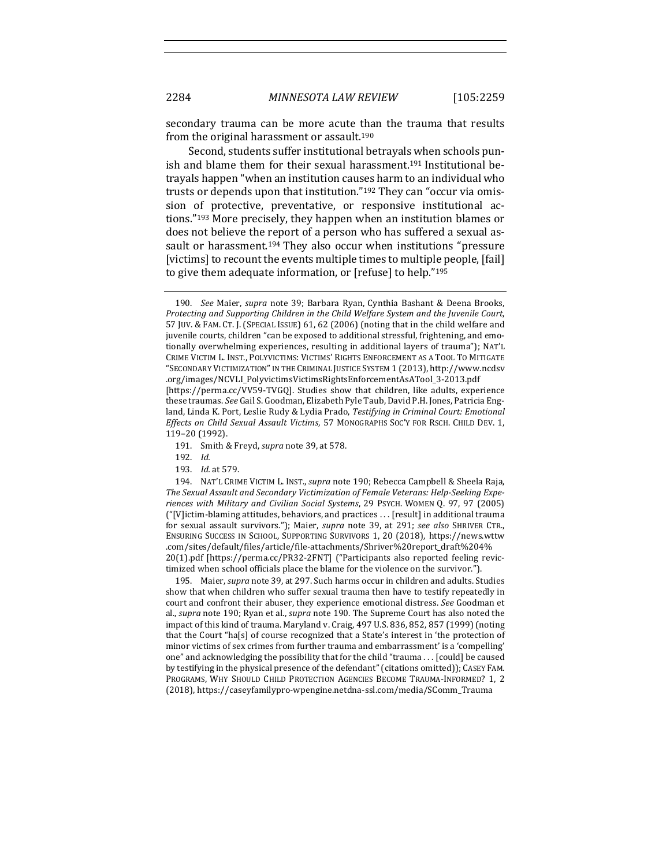secondary trauma can be more acute than the trauma that results from the original harassment or assault.<sup>190</sup>

Second, students suffer institutional betrayals when schools punish and blame them for their sexual harassment.<sup>191</sup> Institutional betrayals happen "when an institution causes harm to an individual who trusts or depends upon that institution."<sup>192</sup> They can "occur via omission of protective, preventative, or responsive institutional actions."<sup>193</sup> More precisely, they happen when an institution blames or does not believe the report of a person who has suffered a sexual assault or harassment.<sup>194</sup> They also occur when institutions "pressure [victims] to recount the events multiple times to multiple people, [fail] to give them adequate information, or [refuse] to help." $195$ 

- 191. Smith & Freyd, *supra* note 39, at 578.
- 192. *Id.*
- 193. *Id.* at 579.

194. NAT'L CRIME VICTIM L. INST., *supra* note 190; Rebecca Campbell & Sheela Raja, The Sexual Assault and Secondary Victimization of Female Veterans: Help-Seeking Expe*riences with Military and Civilian Social Systems*, 29 PSYCH. WOMEN Q. 97, 97 (2005) ("[V]ictim-blaming attitudes, behaviors, and practices . . . [result] in additional trauma for sexual assault survivors."); Maier, *supra* note 39, at 291; *see also* SHRIVER CTR., ENSURING SUCCESS IN SCHOOL, SUPPORTING SURVIVORS 1, 20 (2018), https://news.wttw .com/sites/default/files/article/file-attachments/Shriver%20report\_draft%204% 20(1).pdf [https://perma.cc/PR32-2FNT] ("Participants also reported feeling revictimized when school officials place the blame for the violence on the survivor.").

195. Maier, *supra* note 39, at 297. Such harms occur in children and adults. Studies show that when children who suffer sexual trauma then have to testify repeatedly in court and confront their abuser, they experience emotional distress. See Goodman et al., *supra* note 190; Ryan et al., *supra* note 190. The Supreme Court has also noted the impact of this kind of trauma. Maryland v. Craig, 497 U.S. 836, 852, 857 (1999) (noting that the Court "ha[s] of course recognized that a State's interest in 'the protection of minor victims of sex crimes from further trauma and embarrassment' is a 'compelling' one" and acknowledging the possibility that for the child "trauma  $\ldots$  [could] be caused by testifying in the physical presence of the defendant" (citations omitted)); CASEY FAM. PROGRAMS, WHY SHOULD CHILD PROTECTION AGENCIES BECOME TRAUMA-INFORMED? 1, 2 (2018), https://caseyfamilypro-wpengine.netdna-ssl.com/media/SComm\_Trauma

<sup>190.</sup> *See* Maier, *supra* note 39; Barbara Ryan, Cynthia Bashant & Deena Brooks, *Protecting and Supporting Children in the Child Welfare System and the Juvenile Court,* 57 JUV. & FAM. CT. J. (SPECIAL ISSUE) 61, 62 (2006) (noting that in the child welfare and juvenile courts, children "can be exposed to additional stressful, frightening, and emotionally overwhelming experiences, resulting in additional layers of trauma"); NAT'L CRIME VICTIM L. INST., POLYVICTIMS: VICTIMS' RIGHTS ENFORCEMENT AS A TOOL TO MITIGATE "SECONDARY VICTIMIZATION"IN THE CRIMINAL JUSTICE SYSTEM 1 (2013), http://www.ncdsv .org/images/NCVLI\_PolyvictimsVictimsRightsEnforcementAsATool\_3-2013.pdf [https://perma.cc/VV59-TVGQ]. Studies show that children, like adults, experience

these traumas. See Gail S. Goodman, Elizabeth Pyle Taub, David P.H. Jones, Patricia England, Linda K. Port, Leslie Rudy & Lydia Prado, Testifying in Criminal Court: Emotional *Effects on Child Sexual Assault Victims*, 57 MONOGRAPHS SOC'Y FOR RSCH. CHILD DEV. 1, 119–20 (1992).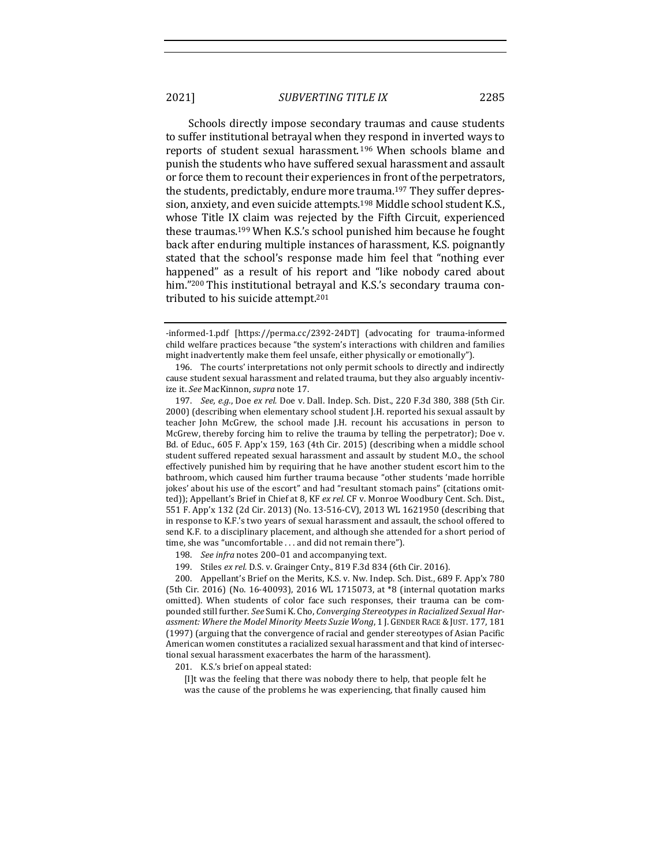Schools directly impose secondary traumas and cause students to suffer institutional betrayal when they respond in inverted ways to reports of student sexual harassment.<sup>196</sup> When schools blame and punish the students who have suffered sexual harassment and assault or force them to recount their experiences in front of the perpetrators, the students, predictably, endure more trauma.<sup>197</sup> They suffer depression, anxiety, and even suicide attempts.<sup>198</sup> Middle school student K.S., whose Title IX claim was rejected by the Fifth Circuit, experienced these traumas.<sup>199</sup> When K.S.'s school punished him because he fought back after enduring multiple instances of harassment, K.S. poignantly stated that the school's response made him feel that "nothing ever happened" as a result of his report and "like nobody cared about him."<sup>200</sup> This institutional betrayal and K.S.'s secondary trauma contributed to his suicide attempt.<sup>201</sup>

201. K.S.'s brief on appeal stated:

[I]t was the feeling that there was nobody there to help, that people felt he was the cause of the problems he was experiencing, that finally caused him

<sup>-</sup>informed-1.pdf [https://perma.cc/2392-24DT] (advocating for trauma-informed child welfare practices because "the system's interactions with children and families might inadvertently make them feel unsafe, either physically or emotionally").

<sup>196.</sup> The courts' interpretations not only permit schools to directly and indirectly cause student sexual harassment and related trauma, but they also arguably incentivize it. See MacKinnon, *supra* note 17.

<sup>197.</sup> *See, e.g.*, Doe ex rel. Doe v. Dall. Indep. Sch. Dist., 220 F.3d 380, 388 (5th Cir. 2000) (describing when elementary school student J.H. reported his sexual assault by teacher John McGrew, the school made J.H. recount his accusations in person to McGrew, thereby forcing him to relive the trauma by telling the perpetrator); Doe v. Bd. of Educ., 605 F. App'x 159, 163 (4th Cir. 2015) (describing when a middle school student suffered repeated sexual harassment and assault by student M.O., the school effectively punished him by requiring that he have another student escort him to the bathroom, which caused him further trauma because "other students 'made horrible jokes' about his use of the escort" and had "resultant stomach pains" (citations omitted)); Appellant's Brief in Chief at 8, KF ex rel. CF v. Monroe Woodbury Cent. Sch. Dist., 551 F. App'x 132 (2d Cir. 2013) (No. 13-516-CV), 2013 WL 1621950 (describing that in response to K.F.'s two years of sexual harassment and assault, the school offered to send K.F. to a disciplinary placement, and although she attended for a short period of time, she was "uncomfortable . . . and did not remain there").

<sup>198.</sup> *See infra* notes 200-01 and accompanying text.

<sup>199.</sup> Stiles ex rel. D.S. v. Grainger Cnty., 819 F.3d 834 (6th Cir. 2016).

<sup>200.</sup> Appellant's Brief on the Merits, K.S. v. Nw. Indep. Sch. Dist., 689 F. App'x 780 (5th Cir. 2016) (No. 16-40093), 2016 WL 1715073, at \*8 (internal quotation marks omitted). When students of color face such responses, their trauma can be compounded still further. See Sumi K. Cho, *Converging Stereotypes in Racialized Sexual Harassment: Where the Model Minority Meets Suzie Wong*, 1 J. GENDER RACE & JUST. 177, 181 (1997) (arguing that the convergence of racial and gender stereotypes of Asian Pacific American women constitutes a racialized sexual harassment and that kind of intersectional sexual harassment exacerbates the harm of the harassment).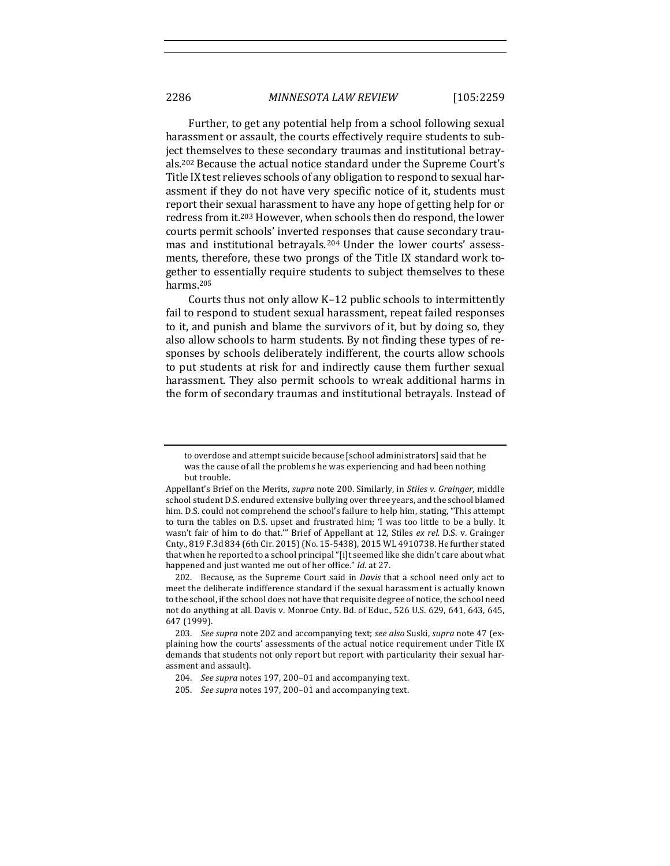Further, to get any potential help from a school following sexual harassment or assault, the courts effectively require students to subject themselves to these secondary traumas and institutional betrayals.<sup>202</sup> Because the actual notice standard under the Supreme Court's Title IX test relieves schools of any obligation to respond to sexual harassment if they do not have very specific notice of it, students must report their sexual harassment to have any hope of getting help for or redress from it.<sup>203</sup> However, when schools then do respond, the lower courts permit schools' inverted responses that cause secondary traumas and institutional betrayals.<sup>204</sup> Under the lower courts' assessments, therefore, these two prongs of the Title IX standard work together to essentially require students to subject themselves to these harms.205

Courts thus not only allow K-12 public schools to intermittently fail to respond to student sexual harassment, repeat failed responses to it, and punish and blame the survivors of it, but by doing so, they also allow schools to harm students. By not finding these types of responses by schools deliberately indifferent, the courts allow schools to put students at risk for and indirectly cause them further sexual harassment. They also permit schools to wreak additional harms in the form of secondary traumas and institutional betrayals. Instead of

to overdose and attempt suicide because [school administrators] said that he was the cause of all the problems he was experiencing and had been nothing but trouble.

Appellant's Brief on the Merits, *supra* note 200. Similarly, in *Stiles v. Grainger*, middle school student D.S. endured extensive bullying over three years, and the school blamed him. D.S. could not comprehend the school's failure to help him, stating, "This attempt to turn the tables on D.S. upset and frustrated him; 'I was too little to be a bully. It wasn't fair of him to do that."" Brief of Appellant at 12, Stiles ex rel. D.S. v. Grainger Cnty., 819 F.3d 834 (6th Cir. 2015) (No. 15-5438), 2015 WL 4910738. He further stated that when he reported to a school principal "[i]t seemed like she didn't care about what happened and just wanted me out of her office." *Id.* at 27.

<sup>202.</sup> Because, as the Supreme Court said in *Davis* that a school need only act to meet the deliberate indifference standard if the sexual harassment is actually known to the school, if the school does not have that requisite degree of notice, the school need not do anything at all. Davis v. Monroe Cnty. Bd. of Educ., 526 U.S. 629, 641, 643, 645, 647 (1999).

<sup>203.</sup> *See supra* note 202 and accompanying text; see also Suski, supra note 47 (explaining how the courts' assessments of the actual notice requirement under Title IX demands that students not only report but report with particularity their sexual harassment and assault).

<sup>204.</sup> *See supra* notes 197, 200-01 and accompanying text.

<sup>205.</sup> *See supra* notes 197, 200-01 and accompanying text.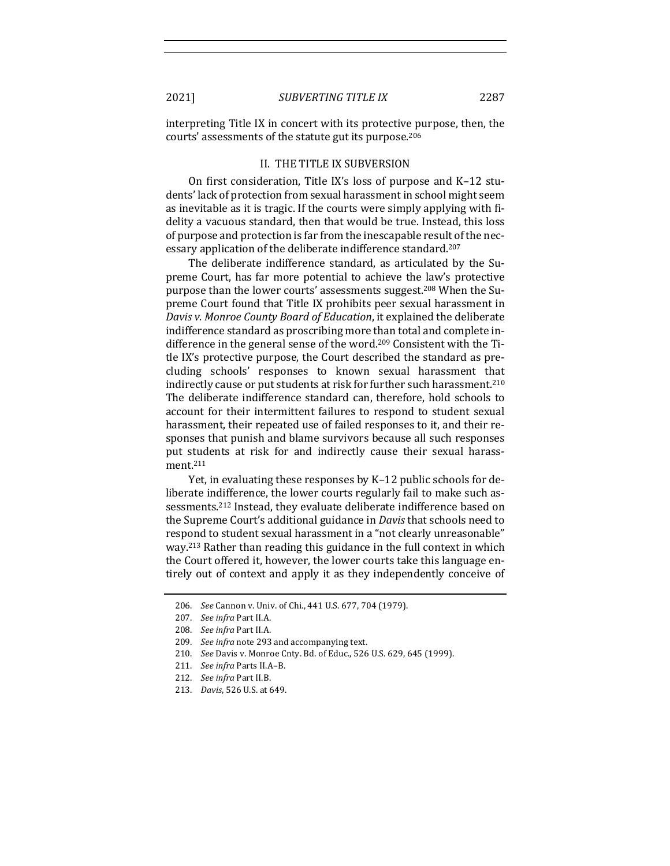interpreting Title IX in concert with its protective purpose, then, the courts' assessments of the statute gut its purpose.<sup>206</sup>

#### II. THE TITLE IX SUBVERSION

On first consideration, Title IX's loss of purpose and  $K-12$  students' lack of protection from sexual harassment in school might seem as inevitable as it is tragic. If the courts were simply applying with fidelity a vacuous standard, then that would be true. Instead, this loss of purpose and protection is far from the inescapable result of the necessary application of the deliberate indifference standard.<sup>207</sup>

The deliberate indifference standard, as articulated by the Supreme Court, has far more potential to achieve the law's protective purpose than the lower courts' assessments suggest.<sup>208</sup> When the Supreme Court found that Title IX prohibits peer sexual harassment in *Davis v. Monroe County Board of Education*, it explained the deliberate indifference standard as proscribing more than total and complete indifference in the general sense of the word.<sup>209</sup> Consistent with the Title IX's protective purpose, the Court described the standard as precluding schools' responses to known sexual harassment that indirectly cause or put students at risk for further such harassment.<sup>210</sup> The deliberate indifference standard can, therefore, hold schools to account for their intermittent failures to respond to student sexual harassment, their repeated use of failed responses to it, and their responses that punish and blame survivors because all such responses put students at risk for and indirectly cause their sexual harassment.211

Yet, in evaluating these responses by K-12 public schools for deliberate indifference, the lower courts regularly fail to make such assessments.<sup>212</sup> Instead, they evaluate deliberate indifference based on the Supreme Court's additional guidance in *Davis* that schools need to respond to student sexual harassment in a "not clearly unreasonable" way.<sup>213</sup> Rather than reading this guidance in the full context in which the Court offered it, however, the lower courts take this language entirely out of context and apply it as they independently conceive of

<sup>206.</sup> *See* Cannon v. Univ. of Chi., 441 U.S. 677, 704 (1979).

<sup>207.</sup> *See infra* Part II.A.

<sup>208.</sup> *See infra Part II.A.* 

<sup>209.</sup> *See infra* note 293 and accompanying text.

<sup>210.</sup> *See* Davis v. Monroe Cnty. Bd. of Educ., 526 U.S. 629, 645 (1999).

<sup>211.</sup> *See infra Parts II.A-B.* 

<sup>212.</sup> *See infra Part II.B.* 

<sup>213.</sup> *Davis*, 526 U.S. at 649.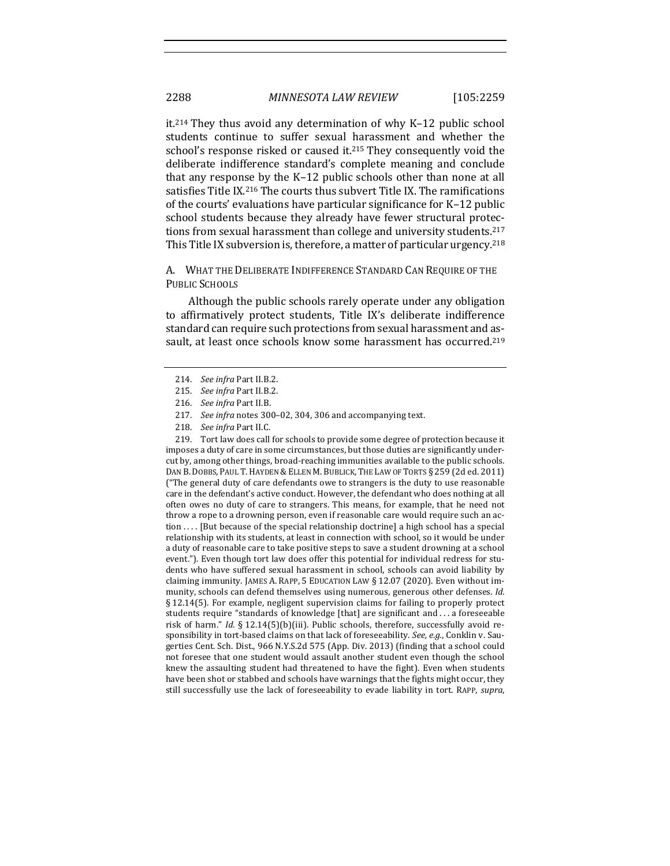it.<sup>214</sup> They thus avoid any determination of why K–12 public school students continue to suffer sexual harassment and whether the school's response risked or caused it.<sup>215</sup> They consequently void the deliberate indifference standard's complete meaning and conclude that any response by the  $K-12$  public schools other than none at all satisfies Title IX.<sup>216</sup> The courts thus subvert Title IX. The ramifications of the courts' evaluations have particular significance for K-12 public school students because they already have fewer structural protections from sexual harassment than college and university students.<sup>217</sup> This Title IX subversion is, therefore, a matter of particular urgency.<sup>218</sup>

A. WHAT THE DELIBERATE INDIFFERENCE STANDARD CAN REQUIRE OF THE PUBLIC SCHOOLS

Although the public schools rarely operate under any obligation to affirmatively protect students, Title IX's deliberate indifference standard can require such protections from sexual harassment and assault, at least once schools know some harassment has occurred.<sup>219</sup>

219. Tort law does call for schools to provide some degree of protection because it imposes a duty of care in some circumstances, but those duties are significantly undercut by, among other things, broad-reaching immunities available to the public schools. DAN B. DOBBS, PAUL T. HAYDEN & ELLEN M. BUBLICK, THE LAW OF TORTS § 259 (2d ed. 2011) ("The general duty of care defendants owe to strangers is the duty to use reasonable care in the defendant's active conduct. However, the defendant who does nothing at all often owes no duty of care to strangers. This means, for example, that he need not throw a rope to a drowning person, even if reasonable care would require such an action  $\dots$  [But because of the special relationship doctrine] a high school has a special relationship with its students, at least in connection with school, so it would be under a duty of reasonable care to take positive steps to save a student drowning at a school event."). Even though tort law does offer this potential for individual redress for students who have suffered sexual harassment in school, schools can avoid liability by claiming immunity. JAMES A. RAPP, 5 EDUCATION LAW  $\S$  12.07 (2020). Even without immunity, schools can defend themselves using numerous, generous other defenses. *Id.* § 12.14(5). For example, negligent supervision claims for failing to properly protect students require "standards of knowledge [that] are significant and . . . a foreseeable risk of harm." *Id.* § 12.14(5)(b)(iii). Public schools, therefore, successfully avoid responsibility in tort-based claims on that lack of foreseeability. See, e.g., Conklin v. Saugerties Cent. Sch. Dist., 966 N.Y.S.2d 575 (App. Div. 2013) (finding that a school could not foresee that one student would assault another student even though the school knew the assaulting student had threatened to have the fight). Even when students have been shot or stabbed and schools have warnings that the fights might occur, they still successfully use the lack of foreseeability to evade liability in tort. RAPP, *supra*,

<sup>214.</sup> *See infra Part II.B.2.* 

<sup>215.</sup> *See infra Part II.B.2.* 

<sup>216.</sup> *See infra Part II.B.* 

<sup>217.</sup> *See infra* notes 300-02, 304, 306 and accompanying text.

<sup>218.</sup> *See infra Part II.C.*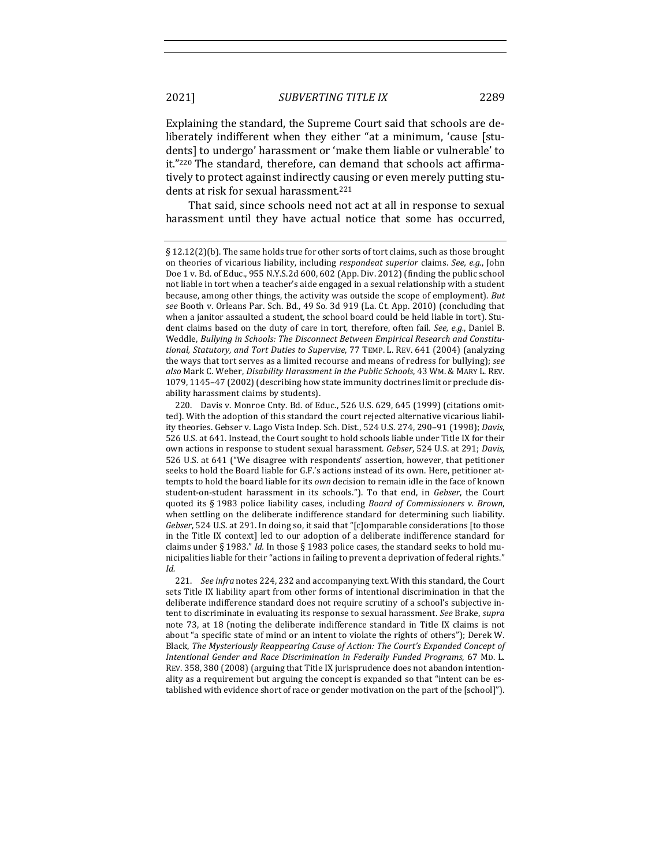Explaining the standard, the Supreme Court said that schools are deliberately indifferent when they either "at a minimum, 'cause [students] to undergo' harassment or 'make them liable or vulnerable' to it."<sup>220</sup> The standard, therefore, can demand that schools act affirmatively to protect against indirectly causing or even merely putting students at risk for sexual harassment.<sup>221</sup>

That said, since schools need not act at all in response to sexual harassment until they have actual notice that some has occurred,

221. *See infra* notes 224, 232 and accompanying text. With this standard, the Court sets Title IX liability apart from other forms of intentional discrimination in that the deliberate indifference standard does not require scrutiny of a school's subjective intent to discriminate in evaluating its response to sexual harassment. See Brake, *supra* note 73, at 18 (noting the deliberate indifference standard in Title IX claims is not about "a specific state of mind or an intent to violate the rights of others"); Derek W. Black, *The Mysteriously Reappearing Cause of Action: The Court's Expanded Concept of Intentional Gender and Race Discrimination in Federally Funded Programs*, 67 MD. L. REV. 358, 380 (2008) (arguing that Title IX jurisprudence does not abandon intentionality as a requirement but arguing the concept is expanded so that "intent can be established with evidence short of race or gender motivation on the part of the [school]").

<sup>§</sup>  $12.12(2)(b)$ . The same holds true for other sorts of tort claims, such as those brought on theories of vicarious liability, including *respondeat superior* claims. *See, e.g.*, John Doe 1 v. Bd. of Educ., 955 N.Y.S.2d 600, 602 (App. Div. 2012) (finding the public school not liable in tort when a teacher's aide engaged in a sexual relationship with a student because, among other things, the activity was outside the scope of employment). But see Booth v. Orleans Par. Sch. Bd., 49 So. 3d 919 (La. Ct. App. 2010) (concluding that when a janitor assaulted a student, the school board could be held liable in tort). Student claims based on the duty of care in tort, therefore, often fail. *See, e.g.*, Daniel B. Weddle, *Bullying in Schools: The Disconnect Between Empirical Research and Constitutional, Statutory, and Tort Duties to Supervise*, 77 TEMP. L. REV. 641 (2004) (analyzing the ways that tort serves as a limited recourse and means of redress for bullying); *see also* Mark C. Weber, *Disability Harassment in the Public Schools*, 43 WM. & MARY L. REV. 1079, 1145-47 (2002) (describing how state immunity doctrines limit or preclude disability harassment claims by students).

<sup>220.</sup> Davis v. Monroe Cnty. Bd. of Educ., 526 U.S. 629, 645 (1999) (citations omitted). With the adoption of this standard the court rejected alternative vicarious liability theories. Gebser v. Lago Vista Indep. Sch. Dist., 524 U.S. 274, 290-91 (1998); *Davis*, 526 U.S. at 641. Instead, the Court sought to hold schools liable under Title IX for their own actions in response to student sexual harassment. *Gebser*, 524 U.S. at 291; *Davis*, 526 U.S. at 641 ("We disagree with respondents' assertion, however, that petitioner seeks to hold the Board liable for G.F.'s actions instead of its own. Here, petitioner attempts to hold the board liable for its own decision to remain idle in the face of known student-on-student harassment in its schools."). To that end, in *Gebser*, the Court quoted its § 1983 police liability cases, including *Board of Commissioners v. Brown*, when settling on the deliberate indifference standard for determining such liability. *Gebser*, 524 U.S. at 291. In doing so, it said that "[c]omparable considerations [to those in the Title IX context] led to our adoption of a deliberate indifference standard for claims under § 1983." *Id.* In those § 1983 police cases, the standard seeks to hold municipalities liable for their "actions in failing to prevent a deprivation of federal rights." *Id.*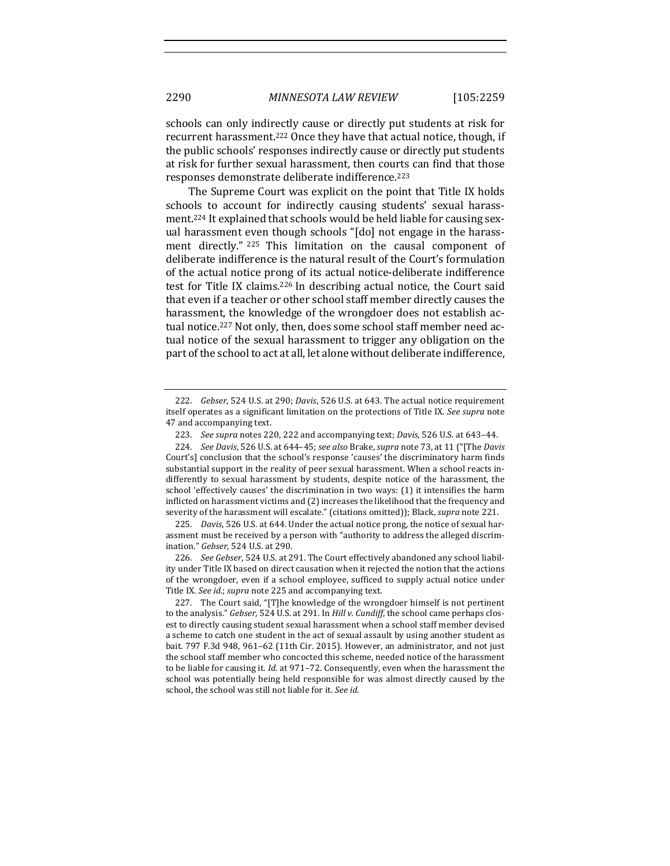schools can only indirectly cause or directly put students at risk for recurrent harassment.<sup>222</sup> Once they have that actual notice, though, if the public schools' responses indirectly cause or directly put students at risk for further sexual harassment, then courts can find that those responses demonstrate deliberate indifference.<sup>223</sup>

The Supreme Court was explicit on the point that Title IX holds schools to account for indirectly causing students' sexual harassment.<sup>224</sup> It explained that schools would be held liable for causing sexual harassment even though schools "[do] not engage in the harassment directly." <sup>225</sup> This limitation on the causal component of deliberate indifference is the natural result of the Court's formulation of the actual notice prong of its actual notice-deliberate indifference test for Title IX claims.<sup>226</sup> In describing actual notice, the Court said that even if a teacher or other school staff member directly causes the harassment, the knowledge of the wrongdoer does not establish actual notice.<sup>227</sup> Not only, then, does some school staff member need actual notice of the sexual harassment to trigger any obligation on the part of the school to act at all, let alone without deliberate indifference,

225. *Davis*, 526 U.S. at 644. Under the actual notice prong, the notice of sexual harassment must be received by a person with "authority to address the alleged discrimination." *Gebser*, 524 U.S. at 290.

226. *See Gebser*, 524 U.S. at 291. The Court effectively abandoned any school liability under Title IX based on direct causation when it rejected the notion that the actions of the wrongdoer, even if a school employee, sufficed to supply actual notice under Title IX. See id.; supra note 225 and accompanying text.

227. The Court said, "[T]he knowledge of the wrongdoer himself is not pertinent to the analysis." *Gebser*, 524 U.S. at 291. In *Hill v. Cundiff*, the school came perhaps closest to directly causing student sexual harassment when a school staff member devised a scheme to catch one student in the act of sexual assault by using another student as bait.  $797$  F.3d  $948$ ,  $961-62$  (11th Cir. 2015). However, an administrator, and not just the school staff member who concocted this scheme, needed notice of the harassment to be liable for causing it. *Id.* at 971-72. Consequently, even when the harassment the school was potentially being held responsible for was almost directly caused by the school, the school was still not liable for it. See id.

<sup>222.</sup> *Gebser*, 524 U.S. at 290; *Davis*, 526 U.S. at 643. The actual notice requirement itself operates as a significant limitation on the protections of Title IX. See *supra* note 47 and accompanying text.

<sup>223.</sup> *See supra* notes 220, 222 and accompanying text; *Davis*, 526 U.S. at 643-44.

<sup>224.</sup> *See Davis*, 526 U.S. at 644-45; *see also* Brake, *supra* note 73, at 11 ("[The *Davis* Court's] conclusion that the school's response 'causes' the discriminatory harm finds substantial support in the reality of peer sexual harassment. When a school reacts indifferently to sexual harassment by students, despite notice of the harassment, the school 'effectively causes' the discrimination in two ways:  $(1)$  it intensifies the harm inflicted on harassment victims and  $(2)$  increases the likelihood that the frequency and severity of the harassment will escalate." (citations omitted)); Black, *supra* note 221.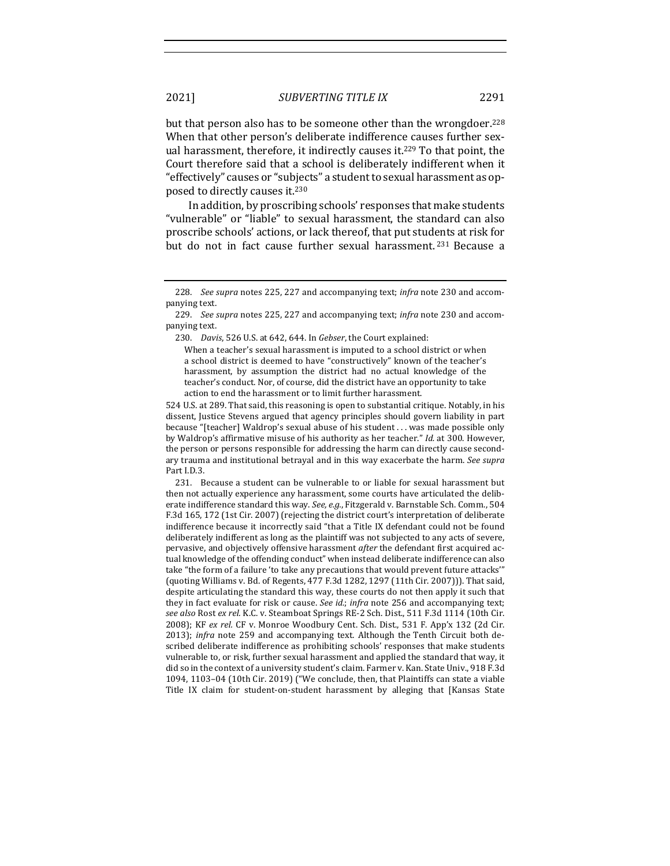but that person also has to be someone other than the wrongdoer.<sup>228</sup> When that other person's deliberate indifference causes further sexual harassment, therefore, it indirectly causes it.<sup>229</sup> To that point, the Court therefore said that a school is deliberately indifferent when it "effectively" causes or "subjects" a student to sexual harassment as opposed to directly causes it.<sup>230</sup>

In addition, by proscribing schools' responses that make students "vulnerable" or "liable" to sexual harassment, the standard can also proscribe schools' actions, or lack thereof, that put students at risk for but do not in fact cause further sexual harassment.<sup>231</sup> Because a

229. *See supra* notes 225, 227 and accompanying text; *infra* note 230 and accompanying text.

230. *Davis*, 526 U.S. at 642, 644. In *Gebser*, the Court explained:

When a teacher's sexual harassment is imputed to a school district or when a school district is deemed to have "constructively" known of the teacher's harassment, by assumption the district had no actual knowledge of the teacher's conduct. Nor, of course, did the district have an opportunity to take action to end the harassment or to limit further harassment.

524 U.S. at 289. That said, this reasoning is open to substantial critique. Notably, in his dissent, Justice Stevens argued that agency principles should govern liability in part because "[teacher] Waldrop's sexual abuse of his student . . . was made possible only by Waldrop's affirmative misuse of his authority as her teacher." *Id.* at 300. However, the person or persons responsible for addressing the harm can directly cause secondary trauma and institutional betrayal and in this way exacerbate the harm. See supra Part I.D.3.

231. Because a student can be vulnerable to or liable for sexual harassment but then not actually experience any harassment, some courts have articulated the deliberate indifference standard this way. See, e.g., Fitzgerald v. Barnstable Sch. Comm., 504 F.3d 165, 172 (1st Cir. 2007) (rejecting the district court's interpretation of deliberate indifference because it incorrectly said "that a Title IX defendant could not be found deliberately indifferent as long as the plaintiff was not subjected to any acts of severe, pervasive, and objectively offensive harassment after the defendant first acquired actual knowledge of the offending conduct" when instead deliberate indifference can also take "the form of a failure 'to take any precautions that would prevent future attacks'" (quoting Williams v. Bd. of Regents, 477 F.3d 1282, 1297 (11th Cir. 2007))). That said, despite articulating the standard this way, these courts do not then apply it such that they in fact evaluate for risk or cause. *See id.*; *infra* note 256 and accompanying text; see also Rost ex rel. K.C. v. Steamboat Springs RE-2 Sch. Dist., 511 F.3d 1114 (10th Cir. 2008); KF ex rel. CF v. Monroe Woodbury Cent. Sch. Dist., 531 F. App'x 132 (2d Cir. 2013); *infra* note 259 and accompanying text. Although the Tenth Circuit both described deliberate indifference as prohibiting schools' responses that make students vulnerable to, or risk, further sexual harassment and applied the standard that way, it did so in the context of a university student's claim. Farmer v. Kan. State Univ., 918 F.3d 1094, 1103-04 (10th Cir. 2019) ("We conclude, then, that Plaintiffs can state a viable Title IX claim for student-on-student harassment by alleging that [Kansas State

<sup>228.</sup> *See supra* notes 225, 227 and accompanying text; *infra* note 230 and accompanying text.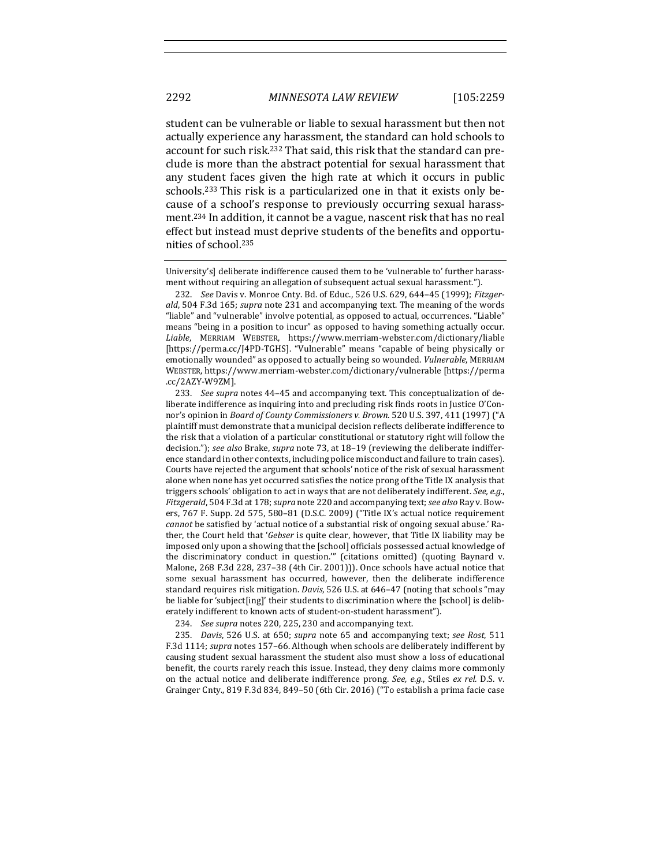student can be vulnerable or liable to sexual harassment but then not actually experience any harassment, the standard can hold schools to account for such risk.<sup>232</sup> That said, this risk that the standard can preclude is more than the abstract potential for sexual harassment that any student faces given the high rate at which it occurs in public schools.<sup>233</sup> This risk is a particularized one in that it exists only because of a school's response to previously occurring sexual harassment.<sup>234</sup> In addition, it cannot be a vague, nascent risk that has no real effect but instead must deprive students of the benefits and opportunities of school.<sup>235</sup>

University's] deliberate indifference caused them to be 'vulnerable to' further harassment without requiring an allegation of subsequent actual sexual harassment.").

232. *See* Davis v. Monroe Cnty. Bd. of Educ., 526 U.S. 629, 644-45 (1999); *Fitzger*ald, 504 F.3d 165; *supra* note 231 and accompanying text. The meaning of the words "liable" and "vulnerable" involve potential, as opposed to actual, occurrences. "Liable" means "being in a position to incur" as opposed to having something actually occur. Liable, MERRIAM WEBSTER, https://www.merriam-webster.com/dictionary/liable [https://perma.cc/J4PD-TGHS]. "Vulnerable" means "capable of being physically or emotionally wounded" as opposed to actually being so wounded. *Vulnerable*, MERRIAM WEBSTER, https://www.merriam-webster.com/dictionary/vulnerable [https://perma .cc/2AZY-W9ZM].

233. *See supra* notes 44–45 and accompanying text. This conceptualization of deliberate indifference as inquiring into and precluding risk finds roots in Justice O'Connor's opinion in *Board of County Commissioners v. Brown*. 520 U.S. 397, 411 (1997) ("A plaintiff must demonstrate that a municipal decision reflects deliberate indifference to the risk that a violation of a particular constitutional or statutory right will follow the decision."); see also Brake, *supra* note 73, at 18-19 (reviewing the deliberate indifference standard in other contexts, including police misconduct and failure to train cases). Courts have rejected the argument that schools' notice of the risk of sexual harassment alone when none has yet occurred satisfies the notice prong of the Title IX analysis that triggers schools' obligation to act in ways that are not deliberately indifferent. See, e.g., *Fitzgerald*, 504 F.3d at 178; *supra* note 220 and accompanying text; *see also* Ray v. Bowers,  $767$  F. Supp. 2d  $575$ ,  $580-81$  (D.S.C. 2009) ("Title IX's actual notice requirement *cannot* be satisfied by 'actual notice of a substantial risk of ongoing sexual abuse.' Rather, the Court held that 'Gebser is quite clear, however, that Title IX liability may be imposed only upon a showing that the [school] officials possessed actual knowledge of the discriminatory conduct in question."" (citations omitted) (quoting Baynard  $v$ . Malone, 268 F.3d 228, 237-38 (4th Cir. 2001))). Once schools have actual notice that some sexual harassment has occurred, however, then the deliberate indifference standard requires risk mitigation. *Davis*, 526 U.S. at 646-47 (noting that schools "may be liable for 'subject[ing]' their students to discrimination where the [school] is deliberately indifferent to known acts of student-on-student harassment").

234. *See supra* notes 220, 225, 230 and accompanying text.

235. *Davis*, 526 U.S. at 650; *supra* note 65 and accompanying text; see Rost, 511 F.3d 1114; *supra* notes 157-66. Although when schools are deliberately indifferent by causing student sexual harassment the student also must show a loss of educational benefit, the courts rarely reach this issue. Instead, they deny claims more commonly on the actual notice and deliberate indifference prong. See, e.g., Stiles ex rel. D.S. v. Grainger Cnty., 819 F.3d 834, 849-50 (6th Cir. 2016) ("To establish a prima facie case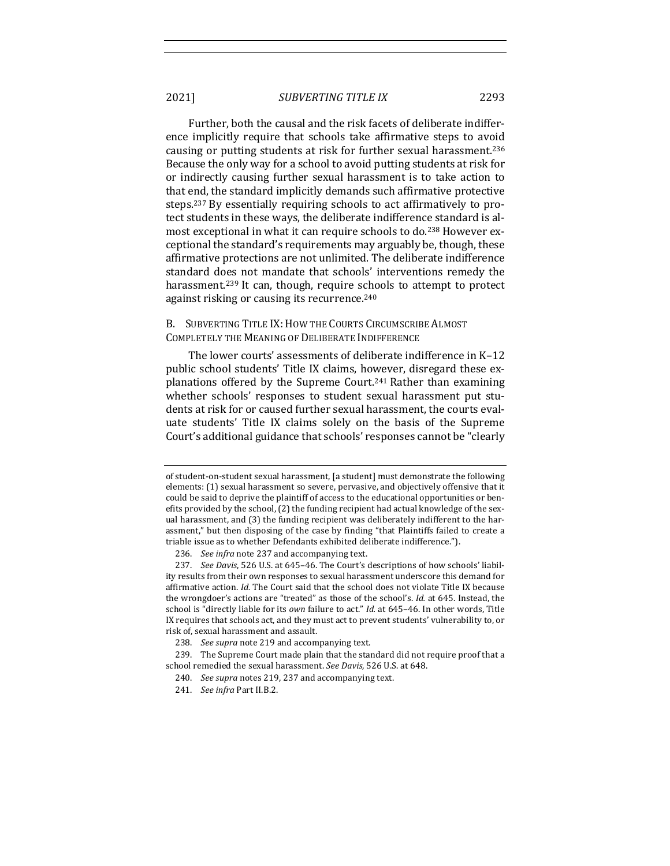Further, both the causal and the risk facets of deliberate indifference implicitly require that schools take affirmative steps to avoid causing or putting students at risk for further sexual harassment.<sup>236</sup> Because the only way for a school to avoid putting students at risk for or indirectly causing further sexual harassment is to take action to that end, the standard implicitly demands such affirmative protective steps.<sup>237</sup> By essentially requiring schools to act affirmatively to protect students in these ways, the deliberate indifference standard is almost exceptional in what it can require schools to do.<sup>238</sup> However exceptional the standard's requirements may arguably be, though, these affirmative protections are not unlimited. The deliberate indifference standard does not mandate that schools' interventions remedy the harassment.<sup>239</sup> It can, though, require schools to attempt to protect against risking or causing its recurrence.<sup>240</sup>

B. SUBVERTING TITLE IX: HOW THE COURTS CIRCUMSCRIBE ALMOST COMPLETELY THE MEANING OF DELIBERATE INDIFFERENCE

The lower courts' assessments of deliberate indifference in K-12 public school students' Title IX claims, however, disregard these explanations offered by the Supreme Court.<sup>241</sup> Rather than examining whether schools' responses to student sexual harassment put students at risk for or caused further sexual harassment, the courts evaluate students' Title IX claims solely on the basis of the Supreme Court's additional guidance that schools' responses cannot be "clearly

of student-on-student sexual harassment, [a student] must demonstrate the following elements: (1) sexual harassment so severe, pervasive, and objectively offensive that it could be said to deprive the plaintiff of access to the educational opportunities or benefits provided by the school, (2) the funding recipient had actual knowledge of the sexual harassment, and (3) the funding recipient was deliberately indifferent to the harassment," but then disposing of the case by finding "that Plaintiffs failed to create a triable issue as to whether Defendants exhibited deliberate indifference.").

<sup>236.</sup> *See infra* note 237 and accompanying text.

<sup>237.</sup> *See Davis*, 526 U.S. at 645-46. The Court's descriptions of how schools' liability results from their own responses to sexual harassment underscore this demand for affirmative action. *Id.* The Court said that the school does not violate Title IX because the wrongdoer's actions are "treated" as those of the school's. *Id.* at 645. Instead, the school is "directly liable for its *own* failure to act." *Id.* at 645–46. In other words, Title IX requires that schools act, and they must act to prevent students' vulnerability to, or risk of, sexual harassment and assault.

<sup>238.</sup> See supra note 219 and accompanying text.

<sup>239.</sup> The Supreme Court made plain that the standard did not require proof that a school remedied the sexual harassment. See Davis, 526 U.S. at 648.

<sup>240.</sup> *See supra* notes 219, 237 and accompanying text.

<sup>241.</sup> *See infra Part II.B.2.*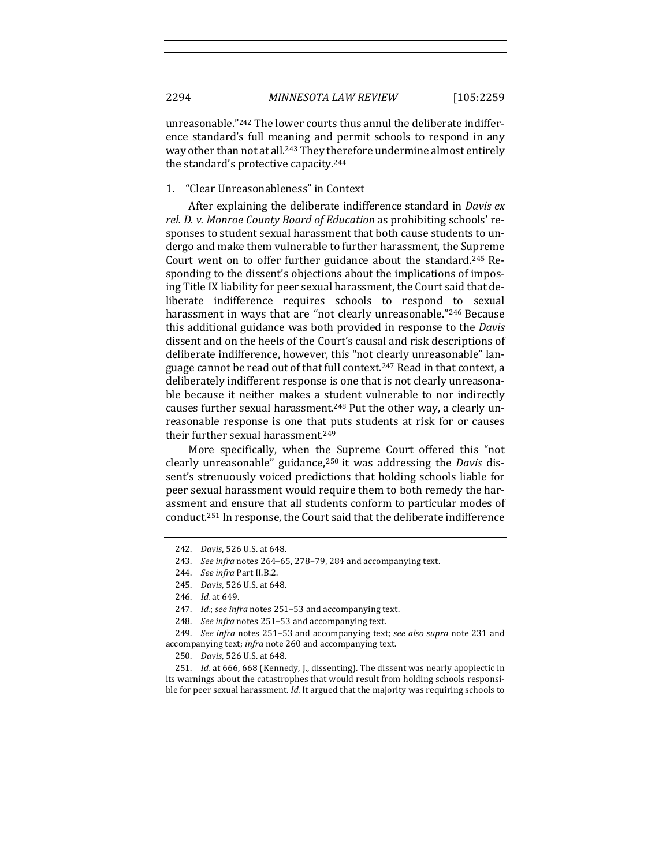unreasonable."<sup>242</sup> The lower courts thus annul the deliberate indifference standard's full meaning and permit schools to respond in any way other than not at all.<sup>243</sup> They therefore undermine almost entirely the standard's protective capacity.<sup>244</sup>

#### 1. "Clear Unreasonableness" in Context

After explaining the deliberate indifference standard in *Davis ex rel.* D. v. Monroe County Board of Education as prohibiting schools' responses to student sexual harassment that both cause students to undergo and make them vulnerable to further harassment, the Supreme Court went on to offer further guidance about the standard.<sup>245</sup> Responding to the dissent's objections about the implications of imposing Title IX liability for peer sexual harassment, the Court said that deliberate indifference requires schools to respond to sexual harassment in ways that are "not clearly unreasonable."<sup>246</sup> Because this additional guidance was both provided in response to the *Davis* dissent and on the heels of the Court's causal and risk descriptions of deliberate indifference, however, this "not clearly unreasonable" language cannot be read out of that full context.<sup>247</sup> Read in that context, a deliberately indifferent response is one that is not clearly unreasonable because it neither makes a student vulnerable to nor indirectly causes further sexual harassment.<sup>248</sup> Put the other way, a clearly unreasonable response is one that puts students at risk for or causes their further sexual harassment.<sup>249</sup>

More specifically, when the Supreme Court offered this "not clearly unreasonable" guidance,<sup>250</sup> it was addressing the *Davis* dissent's strenuously voiced predictions that holding schools liable for peer sexual harassment would require them to both remedy the harassment and ensure that all students conform to particular modes of conduct.<sup>251</sup> In response, the Court said that the deliberate indifference

251. *Id.* at 666, 668 (Kennedy, J., dissenting). The dissent was nearly apoplectic in its warnings about the catastrophes that would result from holding schools responsible for peer sexual harassment. *Id.* It argued that the majority was requiring schools to

<sup>242.</sup> *Davis*, 526 U.S. at 648.

<sup>243.</sup> *See infra* notes 264-65, 278-79, 284 and accompanying text.

<sup>244.</sup> *See infra Part II.B.2.* 

<sup>245.</sup> *Davis*, 526 U.S. at 648.

<sup>246.</sup> *Id.* at 649.

<sup>247.</sup> *Id.*; see infra notes 251-53 and accompanying text.

<sup>248.</sup> *See infra* notes 251–53 and accompanying text.

<sup>249.</sup> *See infra* notes 251–53 and accompanying text; *see also supra* note 231 and accompanying text; infra note 260 and accompanying text.

<sup>250.</sup> *Davis*, 526 U.S. at 648.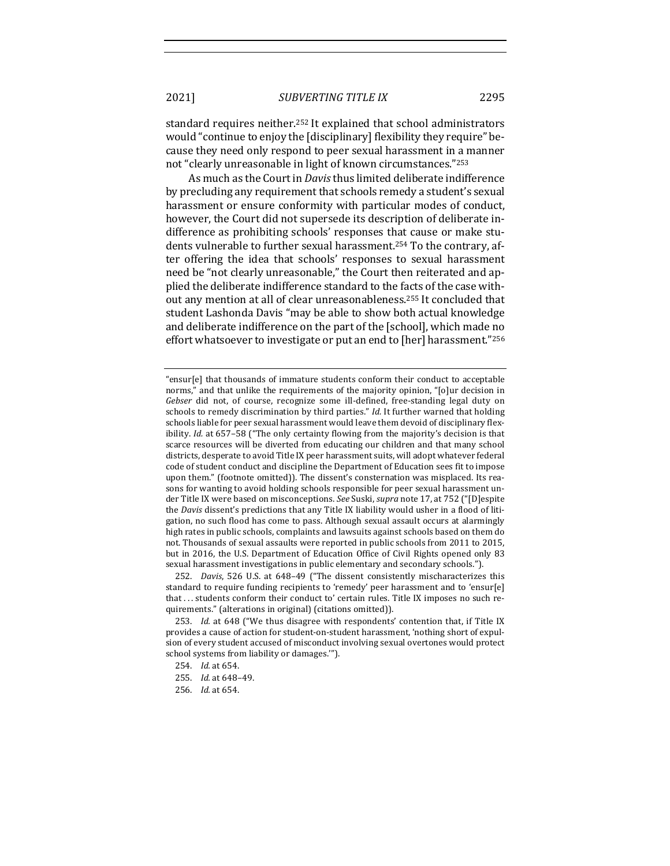standard requires neither.<sup>252</sup> It explained that school administrators would "continue to enjoy the [disciplinary] flexibility they require" because they need only respond to peer sexual harassment in a manner not "clearly unreasonable in light of known circumstances."253

As much as the Court in *Davis* thus limited deliberate indifference by precluding any requirement that schools remedy a student's sexual harassment or ensure conformity with particular modes of conduct, however, the Court did not supersede its description of deliberate indifference as prohibiting schools' responses that cause or make students vulnerable to further sexual harassment.<sup>254</sup> To the contrary, after offering the idea that schools' responses to sexual harassment need be "not clearly unreasonable," the Court then reiterated and applied the deliberate indifference standard to the facts of the case without any mention at all of clear unreasonableness.<sup>255</sup> It concluded that student Lashonda Davis "may be able to show both actual knowledge and deliberate indifference on the part of the [school], which made no effort whatsoever to investigate or put an end to [her] harassment."256

252. *Davis*, 526 U.S. at 648-49 ("The dissent consistently mischaracterizes this standard to require funding recipients to 'remedy' peer harassment and to 'ensur[e] that ... students conform their conduct to' certain rules. Title IX imposes no such requirements." (alterations in original) (citations omitted)).

253. *Id.* at 648 ("We thus disagree with respondents' contention that, if Title IX provides a cause of action for student-on-student harassment, 'nothing short of expulsion of every student accused of misconduct involving sexual overtones would protect school systems from liability or damages."").

256. *Id.* at 654.

<sup>&</sup>quot;ensur[e] that thousands of immature students conform their conduct to acceptable norms," and that unlike the requirements of the majority opinion, "[o]ur decision in Gebser did not, of course, recognize some ill-defined, free-standing legal duty on schools to remedy discrimination by third parties." *Id.* It further warned that holding schools liable for peer sexual harassment would leave them devoid of disciplinary flexibility. *Id.* at 657-58 ("The only certainty flowing from the majority's decision is that scarce resources will be diverted from educating our children and that many school districts, desperate to avoid Title IX peer harassment suits, will adopt whatever federal code of student conduct and discipline the Department of Education sees fit to impose upon them." (footnote omitted)). The dissent's consternation was misplaced. Its reasons for wanting to avoid holding schools responsible for peer sexual harassment under Title IX were based on misconceptions. See Suski, *supra* note 17, at 752 ("[D]espite the *Davis* dissent's predictions that any Title IX liability would usher in a flood of litigation, no such flood has come to pass. Although sexual assault occurs at alarmingly high rates in public schools, complaints and lawsuits against schools based on them do not. Thousands of sexual assaults were reported in public schools from 2011 to 2015, but in 2016, the U.S. Department of Education Office of Civil Rights opened only 83 sexual harassment investigations in public elementary and secondary schools.").

<sup>254.</sup> *Id.* at 654.

<sup>255.</sup> *Id.* at 648-49.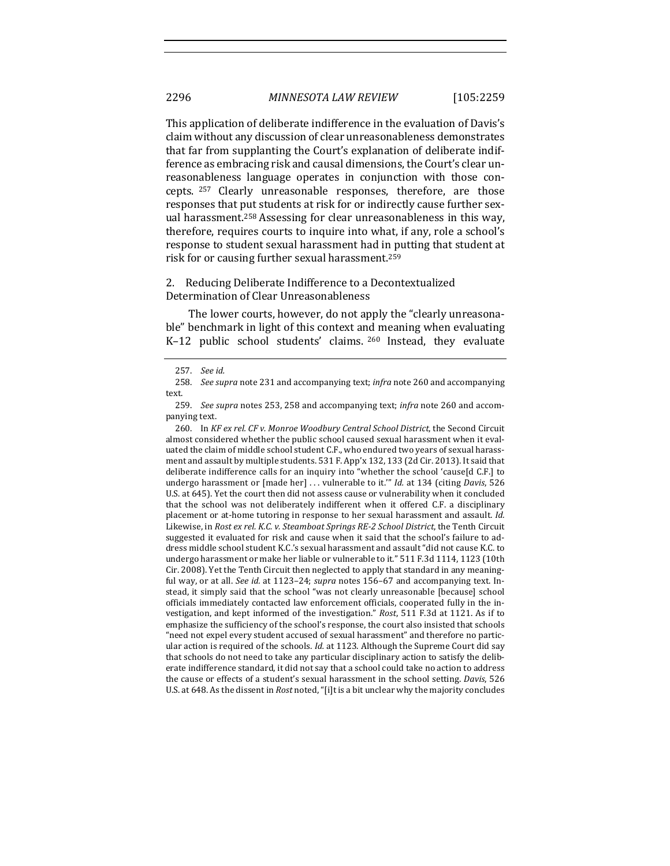This application of deliberate indifference in the evaluation of Davis's claim without any discussion of clear unreasonableness demonstrates that far from supplanting the Court's explanation of deliberate indifference as embracing risk and causal dimensions, the Court's clear unreasonableness language operates in conjunction with those concepts. <sup>257</sup> Clearly unreasonable responses, therefore, are those responses that put students at risk for or indirectly cause further sexual harassment.<sup>258</sup> Assessing for clear unreasonableness in this way, therefore, requires courts to inquire into what, if any, role a school's response to student sexual harassment had in putting that student at risk for or causing further sexual harassment.<sup>259</sup>

## 2. Reducing Deliberate Indifference to a Decontextualized Determination of Clear Unreasonableness

The lower courts, however, do not apply the "clearly unreasonable" benchmark in light of this context and meaning when evaluating K-12 public school students' claims.  $260$  Instead, they evaluate

260. In *KF ex rel. CF v. Monroe Woodbury Central School District*, the Second Circuit almost considered whether the public school caused sexual harassment when it evaluated the claim of middle school student C.F., who endured two years of sexual harassment and assault by multiple students. 531 F. App'x 132, 133 (2d Cir. 2013). It said that deliberate indifference calls for an inquiry into "whether the school 'cause[d C.F.] to undergo harassment or [made her] ... vulnerable to it."" *Id.* at 134 (citing *Davis*, 526 U.S. at 645). Yet the court then did not assess cause or vulnerability when it concluded that the school was not deliberately indifferent when it offered C.F. a disciplinary placement or at-home tutoring in response to her sexual harassment and assault. *Id.* Likewise, in *Rost ex rel. K.C. v. Steamboat Springs RE-2 School District*, the Tenth Circuit suggested it evaluated for risk and cause when it said that the school's failure to address middle school student K.C.'s sexual harassment and assault "did not cause K.C. to undergo harassment or make her liable or vulnerable to it." 511 F.3d 1114, 1123 (10th Cir. 2008). Yet the Tenth Circuit then neglected to apply that standard in any meaningful way, or at all. *See id.* at 1123–24; *supra* notes 156–67 and accompanying text. Instead, it simply said that the school "was not clearly unreasonable [because] school officials immediately contacted law enforcement officials, cooperated fully in the investigation, and kept informed of the investigation." *Rost*, 511 F.3d at 1121. As if to emphasize the sufficiency of the school's response, the court also insisted that schools "need not expel every student accused of sexual harassment" and therefore no particular action is required of the schools. *Id.* at 1123. Although the Supreme Court did say that schools do not need to take any particular disciplinary action to satisfy the deliberate indifference standard, it did not say that a school could take no action to address the cause or effects of a student's sexual harassment in the school setting. *Davis*, 526 U.S. at 648. As the dissent in *Rost* noted, "[i]t is a bit unclear why the majority concludes

<sup>257.</sup> *See id.*

<sup>258.</sup> *See supra* note 231 and accompanying text; *infra* note 260 and accompanying text.

<sup>259.</sup> *See supra* notes 253, 258 and accompanying text; *infra* note 260 and accompanying text.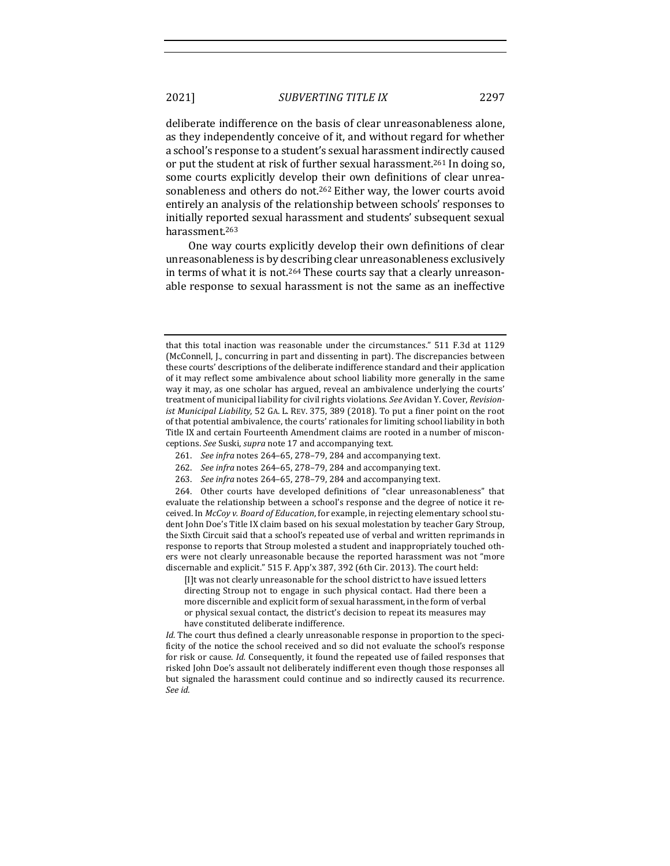deliberate indifference on the basis of clear unreasonableness alone, as they independently conceive of it, and without regard for whether a school's response to a student's sexual harassment indirectly caused or put the student at risk of further sexual harassment.<sup>261</sup> In doing so, some courts explicitly develop their own definitions of clear unreasonableness and others do not.<sup>262</sup> Either way, the lower courts avoid entirely an analysis of the relationship between schools' responses to initially reported sexual harassment and students' subsequent sexual harassment.263

One way courts explicitly develop their own definitions of clear unreasonableness is by describing clear unreasonableness exclusively in terms of what it is not.<sup>264</sup> These courts say that a clearly unreasonable response to sexual harassment is not the same as an ineffective

- 261. *See infra* notes 264-65, 278-79, 284 and accompanying text.
- 262. *See infra* notes 264-65, 278-79, 284 and accompanying text.
- 263. *See infra* notes 264–65, 278–79, 284 and accompanying text.

264. Other courts have developed definitions of "clear unreasonableness" that evaluate the relationship between a school's response and the degree of notice it received. In *McCoy v. Board of Education*, for example, in rejecting elementary school student John Doe's Title IX claim based on his sexual molestation by teacher Gary Stroup, the Sixth Circuit said that a school's repeated use of verbal and written reprimands in response to reports that Stroup molested a student and inappropriately touched others were not clearly unreasonable because the reported harassment was not "more discernable and explicit." 515 F. App'x 387, 392 (6th Cir. 2013). The court held:

[I]t was not clearly unreasonable for the school district to have issued letters directing Stroup not to engage in such physical contact. Had there been a more discernible and explicit form of sexual harassment, in the form of verbal or physical sexual contact, the district's decision to repeat its measures may have constituted deliberate indifference.

*Id.* The court thus defined a clearly unreasonable response in proportion to the specificity of the notice the school received and so did not evaluate the school's response for risk or cause. *Id.* Consequently, it found the repeated use of failed responses that risked John Doe's assault not deliberately indifferent even though those responses all but signaled the harassment could continue and so indirectly caused its recurrence. *See id.*

that this total inaction was reasonable under the circumstances." 511 F.3d at 1129 (McConnell, J., concurring in part and dissenting in part). The discrepancies between these courts' descriptions of the deliberate indifference standard and their application of it may reflect some ambivalence about school liability more generally in the same way it may, as one scholar has argued, reveal an ambivalence underlying the courts' treatment of municipal liability for civil rights violations. See Avidan Y. Cover, *Revisionist Municipal Liability*, 52 GA. L. REV. 375, 389 (2018). To put a finer point on the root of that potential ambivalence, the courts' rationales for limiting school liability in both Title IX and certain Fourteenth Amendment claims are rooted in a number of misconceptions. See Suski, *supra* note 17 and accompanying text.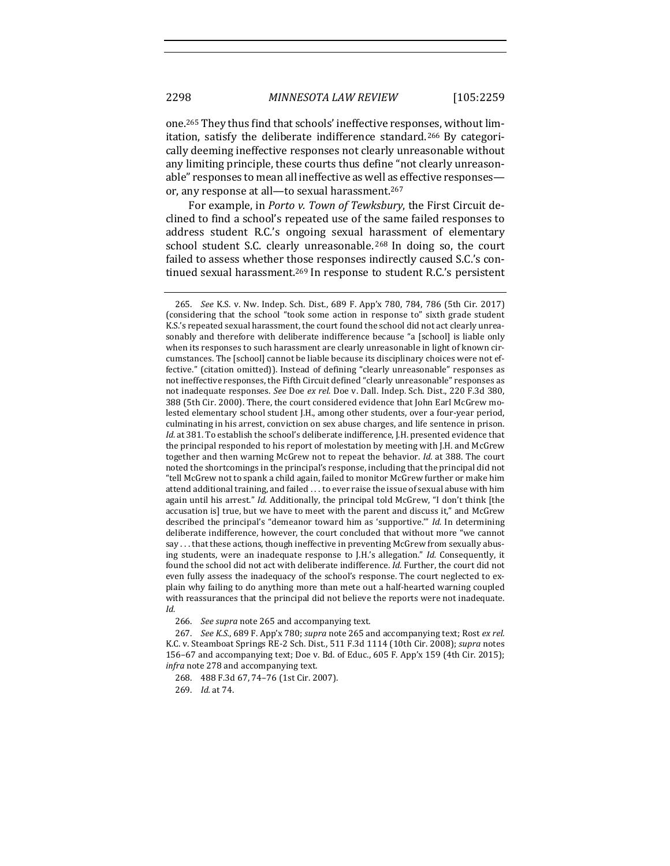one.<sup>265</sup> They thus find that schools' ineffective responses, without limitation, satisfy the deliberate indifference standard.<sup>266</sup> By categorically deeming ineffective responses not clearly unreasonable without any limiting principle, these courts thus define "not clearly unreasonable" responses to mean all ineffective as well as effective responses or, any response at all-to sexual harassment.<sup>267</sup>

For example, in *Porto v. Town of Tewksbury*, the First Circuit declined to find a school's repeated use of the same failed responses to address student R.C.'s ongoing sexual harassment of elementary school student S.C. clearly unreasonable. <sup>268</sup> In doing so, the court failed to assess whether those responses indirectly caused S.C.'s continued sexual harassment.<sup>269</sup> In response to student R.C.'s persistent

266. *See supra* note 265 and accompanying text.

<sup>265.</sup> *See* K.S. v. Nw. Indep. Sch. Dist., 689 F. App'x 780, 784, 786 (5th Cir. 2017) (considering that the school "took some action in response to" sixth grade student K.S.'s repeated sexual harassment, the court found the school did not act clearly unreasonably and therefore with deliberate indifference because "a [school] is liable only when its responses to such harassment are clearly unreasonable in light of known circumstances. The [school] cannot be liable because its disciplinary choices were not effective." (citation omitted)). Instead of defining "clearly unreasonable" responses as not ineffective responses, the Fifth Circuit defined "clearly unreasonable" responses as not inadequate responses. See Doe ex rel. Doe v. Dall. Indep. Sch. Dist., 220 F.3d 380, 388 (5th Cir. 2000). There, the court considered evidence that John Earl McGrew molested elementary school student [.H., among other students, over a four-year period, culminating in his arrest, conviction on sex abuse charges, and life sentence in prison. *Id.* at 381. To establish the school's deliberate indifference, J.H. presented evidence that the principal responded to his report of molestation by meeting with J.H. and McGrew together and then warning McGrew not to repeat the behavior. *Id.* at 388. The court noted the shortcomings in the principal's response, including that the principal did not "tell McGrew not to spank a child again, failed to monitor McGrew further or make him attend additional training, and failed ... to ever raise the issue of sexual abuse with him again until his arrest." Id. Additionally, the principal told McGrew, "I don't think [the accusation is] true, but we have to meet with the parent and discuss it," and McGrew described the principal's "demeanor toward him as 'supportive."" *Id.* In determining deliberate indifference, however, the court concluded that without more "we cannot say ... that these actions, though ineffective in preventing McGrew from sexually abusing students, were an inadequate response to J.H.'s allegation." *Id.* Consequently, it found the school did not act with deliberate indifference. *Id.* Further, the court did not even fully assess the inadequacy of the school's response. The court neglected to explain why failing to do anything more than mete out a half-hearted warning coupled with reassurances that the principal did not believe the reports were not inadequate. *Id.*

<sup>267.</sup> *See K.S.*, 689 F. App'x 780; *supra* note 265 and accompanying text; Rost ex rel. K.C. v. Steamboat Springs RE-2 Sch. Dist., 511 F.3d 1114 (10th Cir. 2008); *supra* notes 156-67 and accompanying text; Doe v. Bd. of Educ., 605 F. App'x 159 (4th Cir. 2015); *infra* note 278 and accompanying text.

<sup>268. 488</sup> F.3d 67, 74-76 (1st Cir. 2007).

<sup>269.</sup> *Id.* at 74.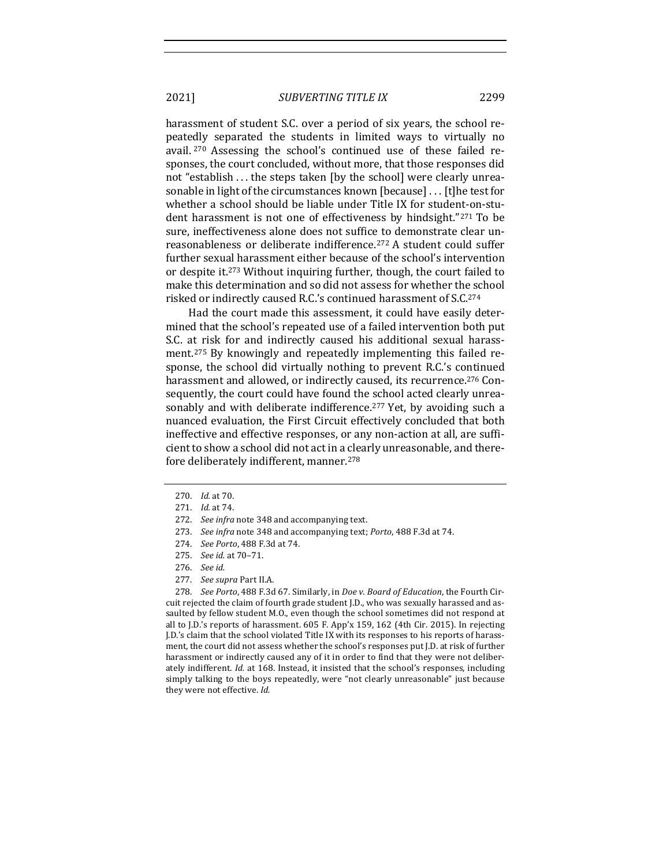harassment of student S.C. over a period of six years, the school repeatedly separated the students in limited ways to virtually no avail. <sup>270</sup> Assessing the school's continued use of these failed responses, the court concluded, without more, that those responses did not "establish . . . the steps taken [by the school] were clearly unreasonable in light of the circumstances known [because] . . . [t]he test for whether a school should be liable under Title IX for student-on-student harassment is not one of effectiveness by hindsight."271 To be sure, ineffectiveness alone does not suffice to demonstrate clear unreasonableness or deliberate indifference.<sup>272</sup> A student could suffer further sexual harassment either because of the school's intervention or despite it.<sup>273</sup> Without inquiring further, though, the court failed to make this determination and so did not assess for whether the school risked or indirectly caused R.C.'s continued harassment of S.C.<sup>274</sup>

Had the court made this assessment, it could have easily determined that the school's repeated use of a failed intervention both put S.C. at risk for and indirectly caused his additional sexual harassment.<sup>275</sup> By knowingly and repeatedly implementing this failed response, the school did virtually nothing to prevent R.C.'s continued harassment and allowed, or indirectly caused, its recurrence.<sup>276</sup> Consequently, the court could have found the school acted clearly unreasonably and with deliberate indifference.<sup>277</sup> Yet, by avoiding such a nuanced evaluation, the First Circuit effectively concluded that both ineffective and effective responses, or any non-action at all, are sufficient to show a school did not act in a clearly unreasonable, and therefore deliberately indifferent, manner.<sup>278</sup>

278. *See Porto*, 488 F.3d 67. Similarly, in *Doe v. Board of Education*, the Fourth Circuit rejected the claim of fourth grade student J.D., who was sexually harassed and assaulted by fellow student M.O., even though the school sometimes did not respond at all to J.D.'s reports of harassment.  $605$  F. App'x 159, 162 (4th Cir. 2015). In rejecting J.D.'s claim that the school violated Title IX with its responses to his reports of harassment, the court did not assess whether the school's responses put J.D. at risk of further harassment or indirectly caused any of it in order to find that they were not deliberately indifferent. *Id.* at 168. Instead, it insisted that the school's responses, including simply talking to the boys repeatedly, were "not clearly unreasonable" just because they were not effective. *Id.* 

<sup>270.</sup> *Id.* at 70.

<sup>271.</sup> *Id.* at 74.

<sup>272.</sup> *See infra* note 348 and accompanying text.

<sup>273.</sup> *See infra* note 348 and accompanying text; *Porto*, 488 F.3d at 74.

<sup>274.</sup> *See Porto*, 488 F.3d at 74.

<sup>275.</sup> *See id.* at 70–71.

<sup>276.</sup> *See id.*

<sup>277.</sup> See supra Part II.A.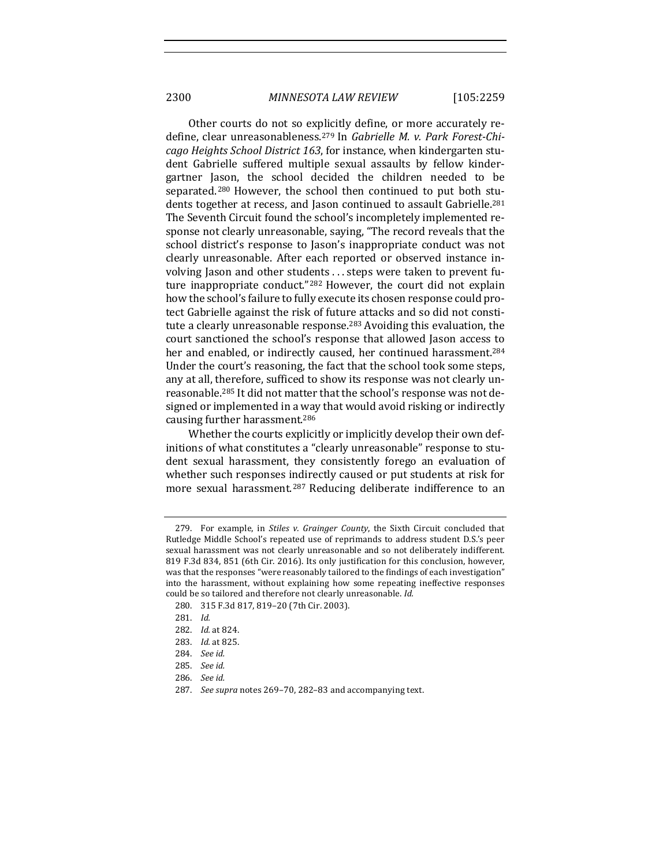2300 *MINNESOTA LAW REVIEW* [105:2259

Other courts do not so explicitly define, or more accurately redefine, clear unreasonableness.<sup>279</sup> In *Gabrielle M. v. Park Forest-Chicago Heights School District 163*, for instance, when kindergarten student Gabrielle suffered multiple sexual assaults by fellow kindergartner Jason, the school decided the children needed to be separated.<sup>280</sup> However, the school then continued to put both students together at recess, and Jason continued to assault Gabrielle.<sup>281</sup> The Seventh Circuit found the school's incompletely implemented response not clearly unreasonable, saying, "The record reveals that the school district's response to Jason's inappropriate conduct was not clearly unreasonable. After each reported or observed instance involving Jason and other students ... steps were taken to prevent future inappropriate conduct."<sup>282</sup> However, the court did not explain how the school's failure to fully execute its chosen response could protect Gabrielle against the risk of future attacks and so did not constitute a clearly unreasonable response.<sup>283</sup> Avoiding this evaluation, the court sanctioned the school's response that allowed Jason access to her and enabled, or indirectly caused, her continued harassment.<sup>284</sup> Under the court's reasoning, the fact that the school took some steps, any at all, therefore, sufficed to show its response was not clearly unreasonable.<sup>285</sup> It did not matter that the school's response was not designed or implemented in a way that would avoid risking or indirectly causing further harassment.<sup>286</sup>

Whether the courts explicitly or implicitly develop their own definitions of what constitutes a "clearly unreasonable" response to student sexual harassment, they consistently forego an evaluation of whether such responses indirectly caused or put students at risk for more sexual harassment.<sup>287</sup> Reducing deliberate indifference to an

<sup>279.</sup> For example, in *Stiles v. Grainger County*, the Sixth Circuit concluded that Rutledge Middle School's repeated use of reprimands to address student D.S.'s peer sexual harassment was not clearly unreasonable and so not deliberately indifferent. 819 F.3d 834, 851 (6th Cir. 2016). Its only justification for this conclusion, however, was that the responses "were reasonably tailored to the findings of each investigation" into the harassment, without explaining how some repeating ineffective responses could be so tailored and therefore not clearly unreasonable. Id.

<sup>280. 315</sup> F.3d 817, 819-20 (7th Cir. 2003).

<sup>281.</sup> *Id.*

<sup>282.</sup> *Id.* at 824.

<sup>283.</sup> *Id.* at 825.

<sup>284.</sup> *See id.*

<sup>285.</sup> *See id.*

<sup>286.</sup> *See id.*

<sup>287.</sup> *See supra* notes 269-70, 282-83 and accompanying text.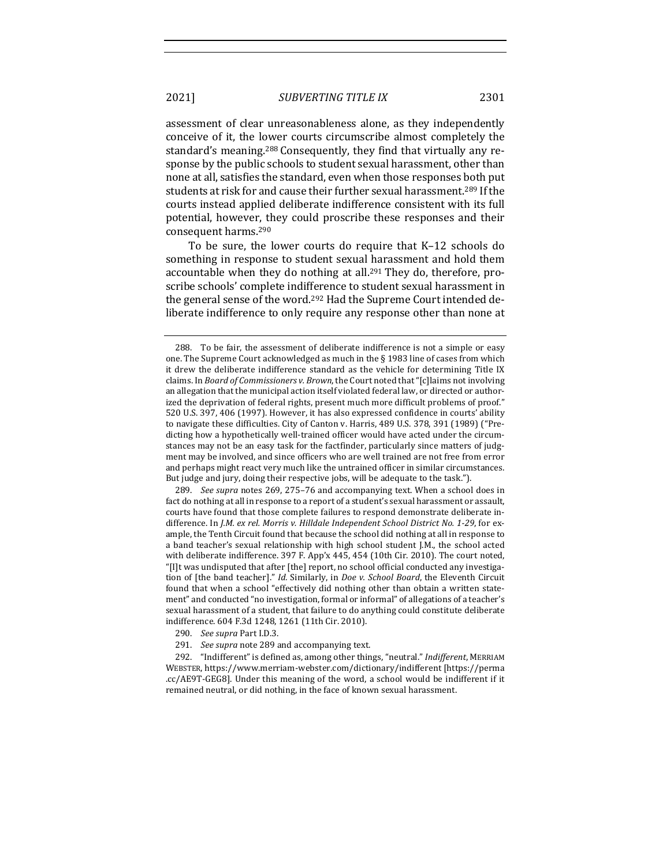assessment of clear unreasonableness alone, as they independently conceive of it, the lower courts circumscribe almost completely the standard's meaning.<sup>288</sup> Consequently, they find that virtually any response by the public schools to student sexual harassment, other than none at all, satisfies the standard, even when those responses both put students at risk for and cause their further sexual harassment.<sup>289</sup> If the courts instead applied deliberate indifference consistent with its full potential, however, they could proscribe these responses and their consequent harms.<sup>290</sup>

To be sure, the lower courts do require that K-12 schools do something in response to student sexual harassment and hold them accountable when they do nothing at all.<sup>291</sup> They do, therefore, proscribe schools' complete indifference to student sexual harassment in the general sense of the word.<sup>292</sup> Had the Supreme Court intended deliberate indifference to only require any response other than none at

289. *See supra* notes 269, 275–76 and accompanying text. When a school does in fact do nothing at all in response to a report of a student's sexual harassment or assault, courts have found that those complete failures to respond demonstrate deliberate indifference. In *J.M. ex rel. Morris v. Hilldale Independent School District No. 1-29*, for example, the Tenth Circuit found that because the school did nothing at all in response to a band teacher's sexual relationship with high school student J.M., the school acted with deliberate indifference. 397 F. App'x 445, 454 (10th Cir. 2010). The court noted, "[I]t was undisputed that after [the] report, no school official conducted any investigation of [the band teacher]." *Id.* Similarly, in *Doe v. School Board*, the Eleventh Circuit found that when a school "effectively did nothing other than obtain a written statement" and conducted "no investigation, formal or informal" of allegations of a teacher's sexual harassment of a student, that failure to do anything could constitute deliberate indifference. 604 F.3d 1248, 1261 (11th Cir. 2010).

- 290. *See supra* Part I.D.3.
- 291. *See supra* note 289 and accompanying text.

292. "Indifferent" is defined as, among other things, "neutral." *Indifferent*, MERRIAM WEBSTER, https://www.merriam-webster.com/dictionary/indifferent [https://perma .cc/AE9T-GEG8]. Under this meaning of the word, a school would be indifferent if it remained neutral, or did nothing, in the face of known sexual harassment.

<sup>288.</sup> To be fair, the assessment of deliberate indifference is not a simple or easy one. The Supreme Court acknowledged as much in the  $\S$  1983 line of cases from which it drew the deliberate indifference standard as the vehicle for determining Title IX claims. In *Board of Commissioners v. Brown*, the Court noted that "[c]laims not involving an allegation that the municipal action itself violated federal law, or directed or authorized the deprivation of federal rights, present much more difficult problems of proof." 520 U.S. 397, 406 (1997). However, it has also expressed confidence in courts' ability to navigate these difficulties. City of Canton v. Harris, 489 U.S. 378, 391 (1989) ("Predicting how a hypothetically well-trained officer would have acted under the circumstances may not be an easy task for the factfinder, particularly since matters of judgment may be involved, and since officers who are well trained are not free from error and perhaps might react very much like the untrained officer in similar circumstances. But judge and jury, doing their respective jobs, will be adequate to the task.").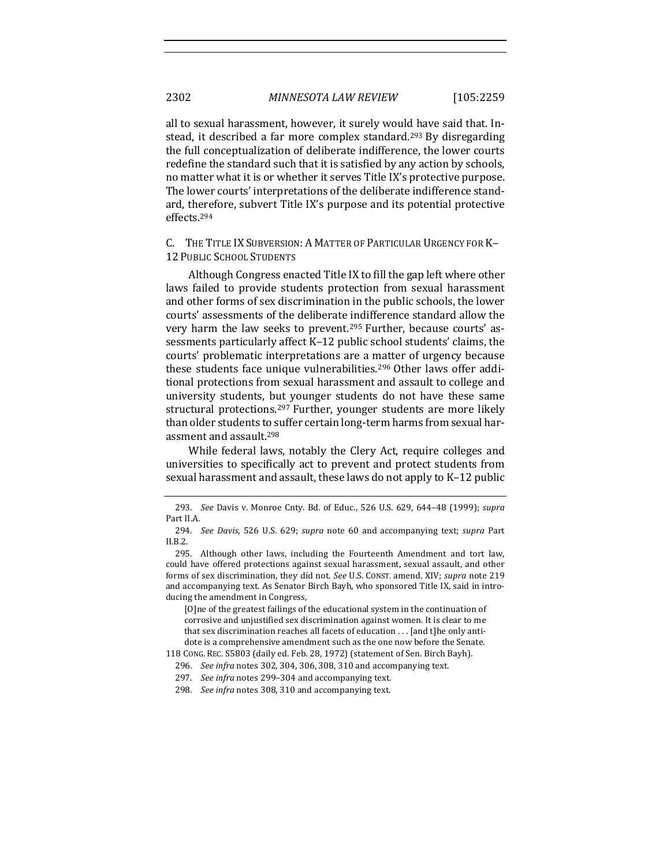all to sexual harassment, however, it surely would have said that. Instead, it described a far more complex standard.<sup>293</sup> By disregarding the full conceptualization of deliberate indifference, the lower courts redefine the standard such that it is satisfied by any action by schools, no matter what it is or whether it serves Title IX's protective purpose. The lower courts' interpretations of the deliberate indifference standard, therefore, subvert Title IX's purpose and its potential protective effects.294

C. THE TITLE IX SUBVERSION: A MATTER OF PARTICULAR URGENCY FOR K-**12 PUBLIC SCHOOL STUDENTS** 

Although Congress enacted Title IX to fill the gap left where other laws failed to provide students protection from sexual harassment and other forms of sex discrimination in the public schools, the lower courts' assessments of the deliberate indifference standard allow the very harm the law seeks to prevent.<sup>295</sup> Further, because courts' assessments particularly affect K-12 public school students' claims, the courts' problematic interpretations are a matter of urgency because these students face unique vulnerabilities.<sup>296</sup> Other laws offer additional protections from sexual harassment and assault to college and university students, but younger students do not have these same structural protections.<sup>297</sup> Further, younger students are more likely than older students to suffer certain long-term harms from sexual harassment and assault.<sup>298</sup>

While federal laws, notably the Clery Act, require colleges and universities to specifically act to prevent and protect students from sexual harassment and assault, these laws do not apply to K-12 public

[O]ne of the greatest failings of the educational system in the continuation of corrosive and unjustified sex discrimination against women. It is clear to me that sex discrimination reaches all facets of education  $\dots$  [and t]he only antidote is a comprehensive amendment such as the one now before the Senate.

118 CONG. REC. S5803 (daily ed. Feb. 28, 1972) (statement of Sen. Birch Bayh).

<sup>293.</sup> *See* Davis v. Monroe Cnty. Bd. of Educ., 526 U.S. 629, 644-48 (1999); *supra* Part II.A.

<sup>294.</sup> *See Davis*, 526 U.S. 629; *supra* note 60 and accompanying text; *supra* Part II.B.2.

<sup>295.</sup> Although other laws, including the Fourteenth Amendment and tort law, could have offered protections against sexual harassment, sexual assault, and other forms of sex discrimination, they did not. See U.S. CONST. amend. XIV; *supra* note 219 and accompanying text. As Senator Birch Bayh, who sponsored Title IX, said in introducing the amendment in Congress,

<sup>296.</sup> *See infra* notes 302, 304, 306, 308, 310 and accompanying text.

<sup>297.</sup> *See infra* notes 299-304 and accompanying text.

<sup>298.</sup> *See infra* notes 308, 310 and accompanying text.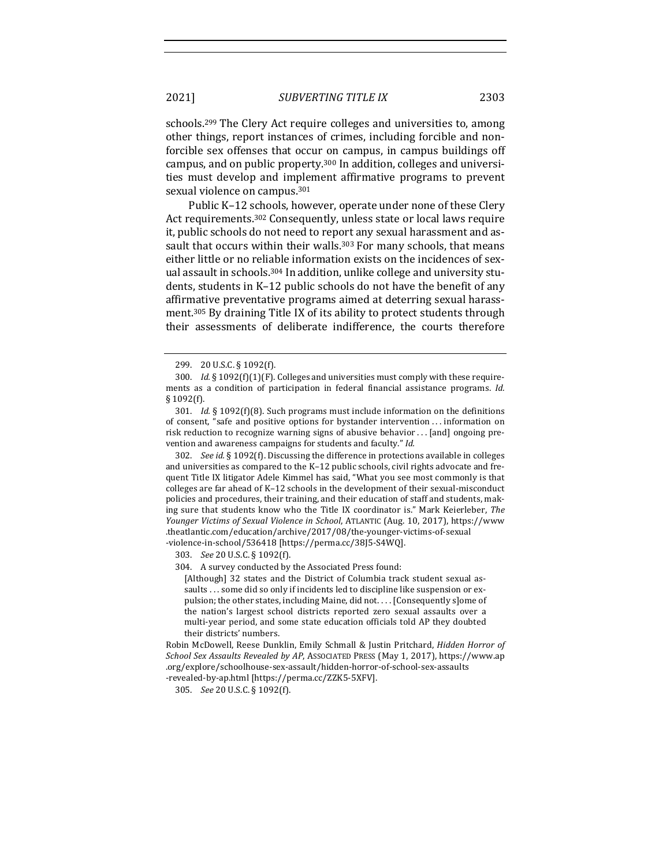schools.<sup>299</sup> The Clery Act require colleges and universities to, among other things, report instances of crimes, including forcible and nonforcible sex offenses that occur on campus, in campus buildings off campus, and on public property.<sup>300</sup> In addition, colleges and universities must develop and implement affirmative programs to prevent sexual violence on campus.<sup>301</sup>

Public K-12 schools, however, operate under none of these Clery Act requirements.<sup>302</sup> Consequently, unless state or local laws require it, public schools do not need to report any sexual harassment and assault that occurs within their walls.<sup>303</sup> For many schools, that means either little or no reliable information exists on the incidences of sexual assault in schools.<sup>304</sup> In addition, unlike college and university students, students in K-12 public schools do not have the benefit of any affirmative preventative programs aimed at deterring sexual harassment.<sup>305</sup> By draining Title IX of its ability to protect students through their assessments of deliberate indifference, the courts therefore

302. *See id.* § 1092(f). Discussing the difference in protections available in colleges and universities as compared to the K-12 public schools, civil rights advocate and frequent Title IX litigator Adele Kimmel has said, "What you see most commonly is that colleges are far ahead of K-12 schools in the development of their sexual-misconduct policies and procedures, their training, and their education of staff and students, making sure that students know who the Title IX coordinator is." Mark Keierleber, The Younger Victims of Sexual Violence in School, ATLANTIC (Aug. 10, 2017), https://www .theatlantic.com/education/archive/2017/08/the-younger-victims-of-sexual -violence-in-school/536418 [https://perma.cc/38J5-S4WQ].

303. *See* 20 U.S.C. § 1092(f).

304. A survey conducted by the Associated Press found:

[Although] 32 states and the District of Columbia track student sexual assaults . . . some did so only if incidents led to discipline like suspension or expulsion; the other states, including Maine, did not.  $\ldots$  [Consequently s]ome of the nation's largest school districts reported zero sexual assaults over a multi-year period, and some state education officials told AP they doubted their districts' numbers.

Robin McDowell, Reese Dunklin, Emily Schmall & Justin Pritchard, *Hidden Horror of* School Sex Assaults Revealed by AP, ASSOCIATED PRESS (May 1, 2017), https://www.ap .org/explore/schoolhouse-sex-assault/hidden-horror-of-school-sex-assaults -revealed-by-ap.html [https://perma.cc/ZZK5-5XFV].

305. *See* 20 U.S.C. § 1092(f).

<sup>299.</sup> 20 U.S.C. § 1092(f).

<sup>300.</sup> *Id.*  $\S 1092(f)(1)(F)$ . Colleges and universities must comply with these requirements as a condition of participation in federal financial assistance programs. *Id.* § 1092(f).

<sup>301.</sup> *Id.* § 1092(f)(8). Such programs must include information on the definitions of consent, "safe and positive options for bystander intervention ... information on risk reduction to recognize warning signs of abusive behavior  $\dots$  [and] ongoing prevention and awareness campaigns for students and faculty." Id.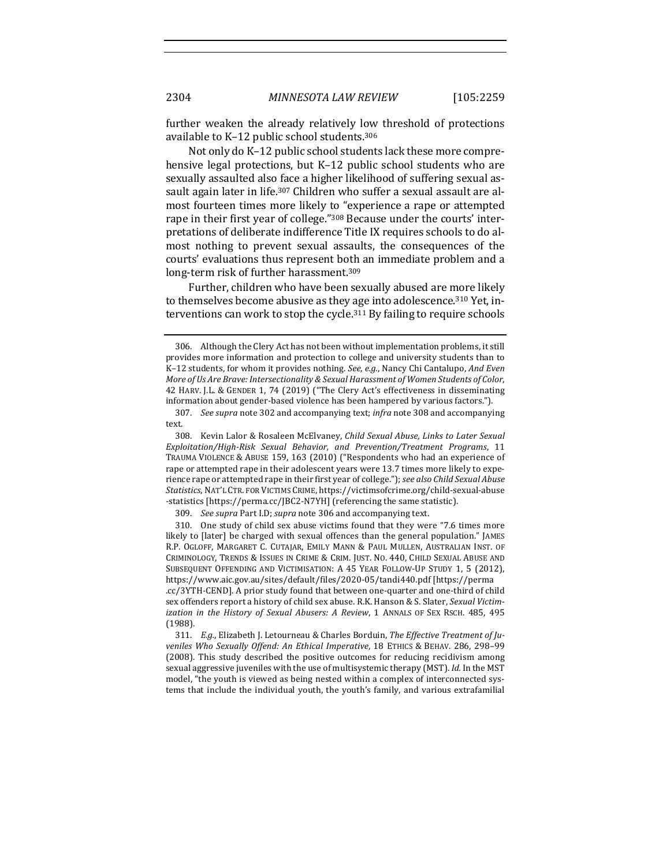further weaken the already relatively low threshold of protections available to K-12 public school students.<sup>306</sup>

Not only do K-12 public school students lack these more comprehensive legal protections, but  $K-12$  public school students who are sexually assaulted also face a higher likelihood of suffering sexual assault again later in life.<sup>307</sup> Children who suffer a sexual assault are almost fourteen times more likely to "experience a rape or attempted rape in their first year of college."<sup>308</sup> Because under the courts' interpretations of deliberate indifference Title IX requires schools to do almost nothing to prevent sexual assaults, the consequences of the courts' evaluations thus represent both an immediate problem and a long-term risk of further harassment.<sup>309</sup>

Further, children who have been sexually abused are more likely to themselves become abusive as they age into adolescence.<sup>310</sup> Yet, interventions can work to stop the cycle.<sup>311</sup> By failing to require schools

309. See supra Part I.D; supra note 306 and accompanying text.

310. One study of child sex abuse victims found that they were "7.6 times more likely to [later] be charged with sexual offences than the general population." JAMES R.P. OGLOFF, MARGARET C. CUTAJAR, EMILY MANN & PAUL MULLEN, AUSTRALIAN INST. OF CRIMINOLOGY, TRENDS & ISSUES IN CRIME & CRIM. JUST. NO. 440, CHILD SEXUAL ABUSE AND SUBSEQUENT OFFENDING AND VICTIMISATION: A 45 YEAR FOLLOW-UP STUDY 1, 5 (2012), https://www.aic.gov.au/sites/default/files/2020-05/tandi440.pdf [https://perma .cc/3YTH-CEND]. A prior study found that between one-quarter and one-third of child sex offenders report a history of child sex abuse. R.K. Hanson & S. Slater, *Sexual Victimization in the History of Sexual Abusers: A Review, 1 ANNALS OF SEX RSCH. 485, 495* (1988).

311. E.q., Elizabeth J. Letourneau & Charles Borduin, *The Effective Treatment of Ju*veniles Who Sexually Offend: An Ethical Imperative, 18 ETHICS & BEHAV. 286, 298-99 (2008). This study described the positive outcomes for reducing recidivism among sexual aggressive juveniles with the use of multisystemic therapy (MST). *Id.* In the MST model, "the youth is viewed as being nested within a complex of interconnected systems that include the individual youth, the youth's family, and various extrafamilial

<sup>306.</sup> Although the Clery Act has not been without implementation problems, it still provides more information and protection to college and university students than to K-12 students, for whom it provides nothing. *See, e.g.*, Nancy Chi Cantalupo, *And Even More of Us Are Brave: Intersectionality & Sexual Harassment of Women Students of Color,* 42 HARV. J.L. & GENDER 1, 74 (2019) ("The Clery Act's effectiveness in disseminating information about gender-based violence has been hampered by various factors.").

<sup>307.</sup> *See supra* note 302 and accompanying text; *infra* note 308 and accompanying text.

<sup>308.</sup> Kevin Lalor & Rosaleen McElvaney, *Child Sexual Abuse, Links to Later Sexual Exploitation/High-Risk Sexual Behavior, and Prevention/Treatment Programs*, 11 TRAUMA VIOLENCE & ABUSE 159, 163 (2010) ("Respondents who had an experience of rape or attempted rape in their adolescent years were 13.7 times more likely to experience rape or attempted rape in their first year of college."); *see also Child Sexual Abuse Statistics*, NAT'L CTR. FOR VICTIMS CRIME, https://victimsofcrime.org/child-sexual-abuse -statistics [https://perma.cc/JBC2-N7YH] (referencing the same statistic).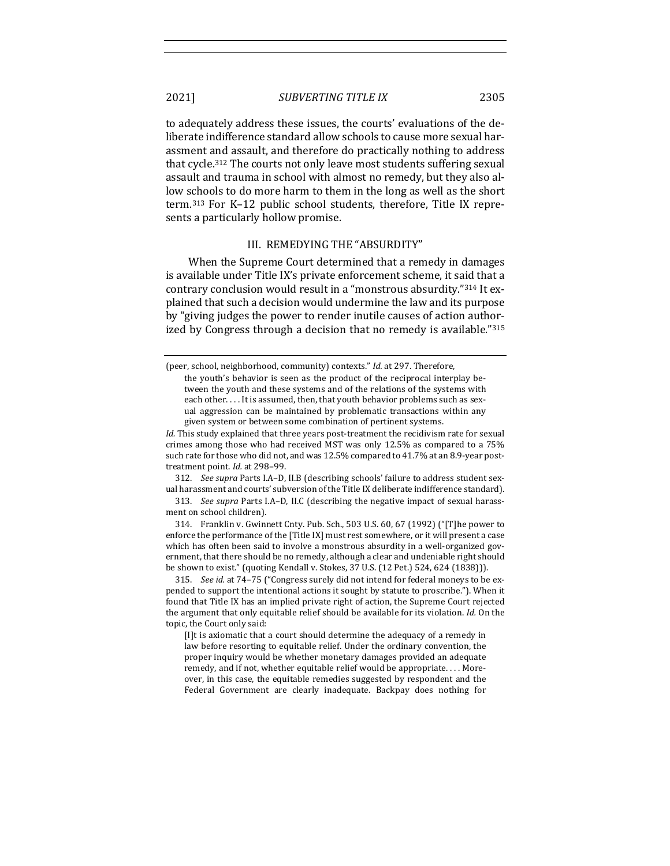to adequately address these issues, the courts' evaluations of the deliberate indifference standard allow schools to cause more sexual harassment and assault, and therefore do practically nothing to address that cycle.<sup>312</sup> The courts not only leave most students suffering sexual assault and trauma in school with almost no remedy, but they also allow schools to do more harm to them in the long as well as the short term.<sup>313</sup> For K-12 public school students, therefore, Title IX represents a particularly hollow promise.

#### III. REMEDYING THE "ABSURDITY"

When the Supreme Court determined that a remedy in damages is available under Title IX's private enforcement scheme, it said that a contrary conclusion would result in a "monstrous absurdity."314 It explained that such a decision would undermine the law and its purpose by "giving judges the power to render inutile causes of action authorized by Congress through a decision that no remedy is available."315

312. *See supra* Parts I.A–D, II.B (describing schools' failure to address student sexual harassment and courts' subversion of the Title IX deliberate indifference standard).

313. *See supra* Parts I.A–D, II.C (describing the negative impact of sexual harassment on school children).

314. Franklin v. Gwinnett Cnty. Pub. Sch., 503 U.S. 60, 67 (1992) ("[T]he power to enforce the performance of the [Title IX] must rest somewhere, or it will present a case which has often been said to involve a monstrous absurdity in a well-organized government, that there should be no remedy, although a clear and undeniable right should be shown to exist." (quoting Kendall v. Stokes, 37 U.S. (12 Pet.) 524, 624 (1838))).

315. *See id.* at 74-75 ("Congress surely did not intend for federal moneys to be expended to support the intentional actions it sought by statute to proscribe."). When it found that Title IX has an implied private right of action, the Supreme Court rejected the argument that only equitable relief should be available for its violation. *Id.* On the topic, the Court only said:

[I]t is axiomatic that a court should determine the adequacy of a remedy in law before resorting to equitable relief. Under the ordinary convention, the proper inquiry would be whether monetary damages provided an adequate remedy, and if not, whether equitable relief would be appropriate.... Moreover, in this case, the equitable remedies suggested by respondent and the Federal Government are clearly inadequate. Backpay does nothing for

<sup>(</sup>peer, school, neighborhood, community) contexts." *Id.* at 297. Therefore,

the youth's behavior is seen as the product of the reciprocal interplay between the youth and these systems and of the relations of the systems with each other.... It is assumed, then, that youth behavior problems such as sexual aggression can be maintained by problematic transactions within any given system or between some combination of pertinent systems.

*Id.* This study explained that three years post-treatment the recidivism rate for sexual crimes among those who had received MST was only  $12.5\%$  as compared to a  $75\%$ such rate for those who did not, and was 12.5% compared to 41.7% at an 8.9-year posttreatment point. *Id.* at 298-99.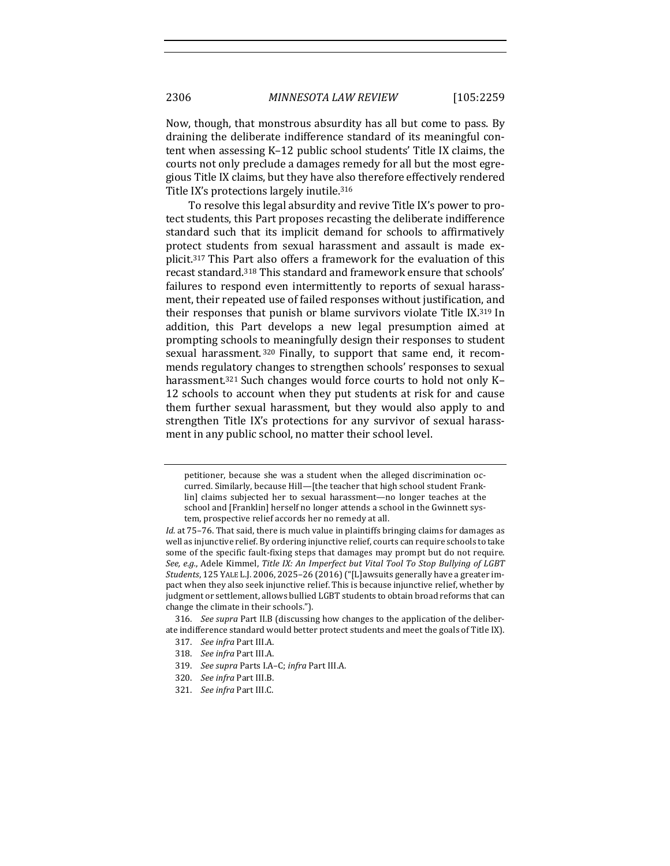Now, though, that monstrous absurdity has all but come to pass. By draining the deliberate indifference standard of its meaningful content when assessing K-12 public school students' Title IX claims, the courts not only preclude a damages remedy for all but the most egregious Title IX claims, but they have also therefore effectively rendered Title IX's protections largely inutile.<sup>316</sup>

To resolve this legal absurdity and revive Title IX's power to protect students, this Part proposes recasting the deliberate indifference standard such that its implicit demand for schools to affirmatively protect students from sexual harassment and assault is made explicit.<sup>317</sup> This Part also offers a framework for the evaluation of this recast standard.<sup>318</sup> This standard and framework ensure that schools' failures to respond even intermittently to reports of sexual harassment, their repeated use of failed responses without justification, and their responses that punish or blame survivors violate Title IX.<sup>319</sup> In addition, this Part develops a new legal presumption aimed at prompting schools to meaningfully design their responses to student sexual harassment.<sup>320</sup> Finally, to support that same end, it recommends regulatory changes to strengthen schools' responses to sexual harassment.<sup>321</sup> Such changes would force courts to hold not only K-12 schools to account when they put students at risk for and cause them further sexual harassment, but they would also apply to and strengthen Title IX's protections for any survivor of sexual harassment in any public school, no matter their school level.

316. *See supra* Part II.B (discussing how changes to the application of the deliberate indifference standard would better protect students and meet the goals of Title IX).

- 317. *See infra Part III.A.*
- 318. *See infra Part III.A.*
- 319. *See supra* Parts I.A-C; *infra* Part III.A.
- 320. *See infra Part III.B.*
- 321. See infra Part III.C.

petitioner, because she was a student when the alleged discrimination occurred. Similarly, because Hill-[the teacher that high school student Franklin] claims subjected her to sexual harassment—no longer teaches at the school and [Franklin] herself no longer attends a school in the Gwinnett system, prospective relief accords her no remedy at all.

*Id.* at 75–76. That said, there is much value in plaintiffs bringing claims for damages as well as injunctive relief. By ordering injunctive relief, courts can require schools to take some of the specific fault-fixing steps that damages may prompt but do not require. See, e.g., Adele Kimmel, *Title IX: An Imperfect but Vital Tool To Stop Bullying of LGBT Students*, 125 YALE L.J. 2006, 2025–26 (2016) ("[L]awsuits generally have a greater impact when they also seek injunctive relief. This is because injunctive relief, whether by judgment or settlement, allows bullied LGBT students to obtain broad reforms that can change the climate in their schools.").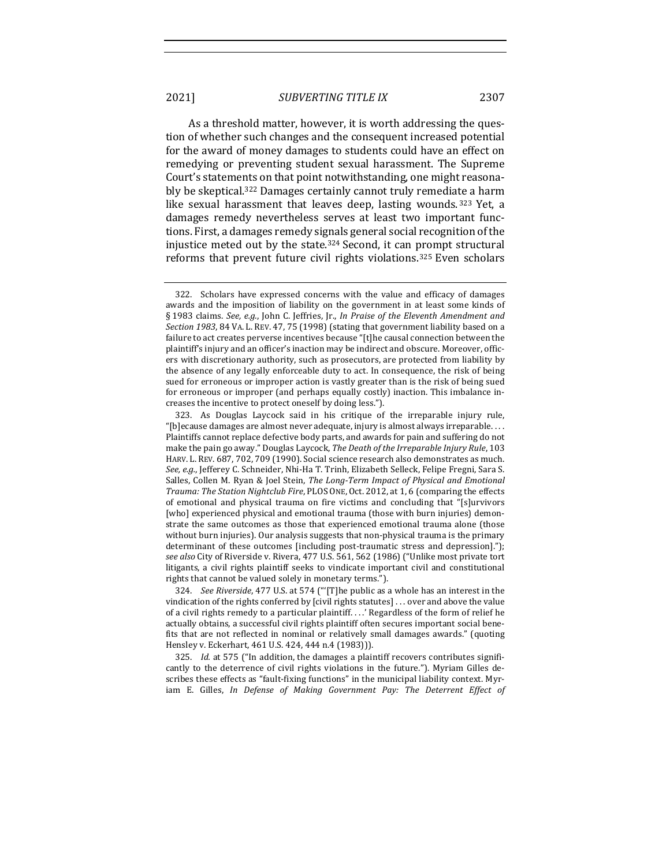As a threshold matter, however, it is worth addressing the question of whether such changes and the consequent increased potential for the award of money damages to students could have an effect on remedying or preventing student sexual harassment. The Supreme Court's statements on that point notwithstanding, one might reasonably be skeptical.<sup>322</sup> Damages certainly cannot truly remediate a harm like sexual harassment that leaves deep, lasting wounds. 323 Yet, a damages remedy nevertheless serves at least two important functions. First, a damages remedy signals general social recognition of the injustice meted out by the state. $324$  Second, it can prompt structural reforms that prevent future civil rights violations.<sup>325</sup> Even scholars

324. *See Riverside*, 477 U.S. at 574 ("'[T]he public as a whole has an interest in the vindication of the rights conferred by [civil rights statutes] . . . over and above the value of a civil rights remedy to a particular plaintiff. . . .' Regardless of the form of relief he actually obtains, a successful civil rights plaintiff often secures important social benefits that are not reflected in nominal or relatively small damages awards." (quoting Hensley v. Eckerhart, 461 U.S. 424, 444 n.4 (1983))).

325. *Id.* at 575 ("In addition, the damages a plaintiff recovers contributes significantly to the deterrence of civil rights violations in the future."). Myriam Gilles describes these effects as "fault-fixing functions" in the municipal liability context. Myriam E. Gilles, *In Defense of Making Government Pay: The Deterrent Effect of* 

<sup>322.</sup> Scholars have expressed concerns with the value and efficacy of damages awards and the imposition of liability on the government in at least some kinds of § 1983 claims. See, e.g., John C. Jeffries, Jr., *In Praise of the Eleventh Amendment and* Section 1983, 84 VA. L. REV. 47, 75 (1998) (stating that government liability based on a failure to act creates perverse incentives because "[t]he causal connection between the plaintiff's injury and an officer's inaction may be indirect and obscure. Moreover, officers with discretionary authority, such as prosecutors, are protected from liability by the absence of any legally enforceable duty to act. In consequence, the risk of being sued for erroneous or improper action is vastly greater than is the risk of being sued for erroneous or improper (and perhaps equally costly) inaction. This imbalance increases the incentive to protect oneself by doing less.").

<sup>323.</sup> As Douglas Laycock said in his critique of the irreparable injury rule, "[b]ecause damages are almost never adequate, injury is almost always irreparable. . . . Plaintiffs cannot replace defective body parts, and awards for pain and suffering do not make the pain go away." Douglas Laycock, *The Death of the Irreparable Injury Rule*, 103 HARV. L. REV. 687, 702, 709 (1990). Social science research also demonstrates as much. See, e.g., Jefferey C. Schneider, Nhi-Ha T. Trinh, Elizabeth Selleck, Felipe Fregni, Sara S. Salles, Collen M. Ryan & Joel Stein, *The Long-Term Impact of Physical and Emotional* Trauma: The Station Nightclub Fire, PLOS ONE, Oct. 2012, at 1, 6 (comparing the effects of emotional and physical trauma on fire victims and concluding that "[s]urvivors [who] experienced physical and emotional trauma (those with burn injuries) demonstrate the same outcomes as those that experienced emotional trauma alone (those without burn injuries). Our analysis suggests that non-physical trauma is the primary determinant of these outcomes [including post-traumatic stress and depression]."); see also City of Riverside v. Rivera, 477 U.S. 561, 562 (1986) ("Unlike most private tort litigants, a civil rights plaintiff seeks to vindicate important civil and constitutional rights that cannot be valued solely in monetary terms.").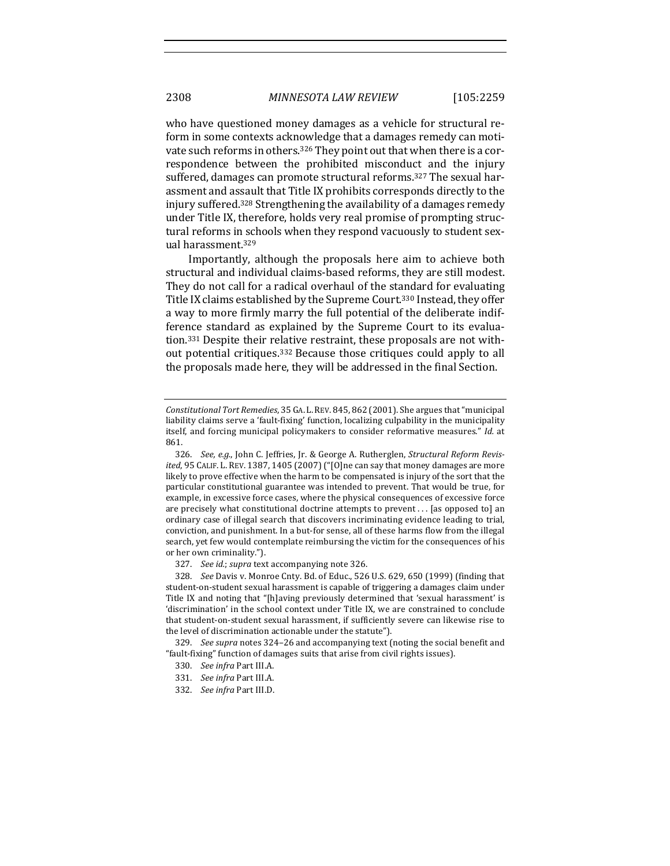who have questioned money damages as a vehicle for structural reform in some contexts acknowledge that a damages remedy can motivate such reforms in others.<sup>326</sup> They point out that when there is a correspondence between the prohibited misconduct and the injury suffered, damages can promote structural reforms.<sup>327</sup> The sexual harassment and assault that Title IX prohibits corresponds directly to the injury suffered.<sup>328</sup> Strengthening the availability of a damages remedy under Title IX, therefore, holds very real promise of prompting structural reforms in schools when they respond vacuously to student sexual harassment.<sup>329</sup>

Importantly, although the proposals here aim to achieve both structural and individual claims-based reforms, they are still modest. They do not call for a radical overhaul of the standard for evaluating Title IX claims established by the Supreme Court.<sup>330</sup> Instead, they offer a way to more firmly marry the full potential of the deliberate indifference standard as explained by the Supreme Court to its evaluation.<sup>331</sup> Despite their relative restraint, these proposals are not without potential critiques.<sup>332</sup> Because those critiques could apply to all the proposals made here, they will be addressed in the final Section.

327. *See id.*; *supra* text accompanying note 326.

328. *See* Davis v. Monroe Cnty. Bd. of Educ., 526 U.S. 629, 650 (1999) (finding that student-on-student sexual harassment is capable of triggering a damages claim under Title IX and noting that "[h]aving previously determined that 'sexual harassment' is 'discrimination' in the school context under Title IX, we are constrained to conclude that student-on-student sexual harassment, if sufficiently severe can likewise rise to the level of discrimination actionable under the statute").

329. *See supra* notes 324-26 and accompanying text (noting the social benefit and "fault-fixing" function of damages suits that arise from civil rights issues).

- 330. See infra Part III.A.
- 331. See infra Part III.A.
- 332. *See infra Part III.D.*

Constitutional Tort Remedies, 35 GA. L. REV. 845, 862 (2001). She argues that "municipal liability claims serve a 'fault-fixing' function, localizing culpability in the municipality itself, and forcing municipal policymakers to consider reformative measures." *Id.* at 861.

<sup>326.</sup> See, e.g., John C. Jeffries, Jr. & George A. Rutherglen, *Structural Reform Revisited*, 95 CALIF. L. REV. 1387, 1405 (2007) ("[O]ne can say that money damages are more likely to prove effective when the harm to be compensated is injury of the sort that the particular constitutional guarantee was intended to prevent. That would be true, for example, in excessive force cases, where the physical consequences of excessive force are precisely what constitutional doctrine attempts to prevent  $\dots$  [as opposed to] an ordinary case of illegal search that discovers incriminating evidence leading to trial, conviction, and punishment. In a but-for sense, all of these harms flow from the illegal search, yet few would contemplate reimbursing the victim for the consequences of his or her own criminality.").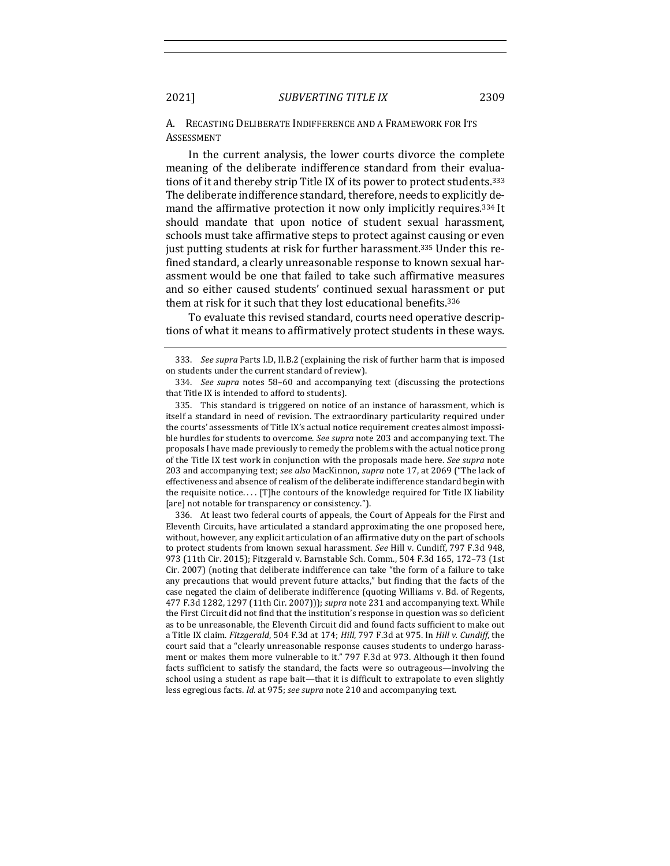A. RECASTING DELIBERATE INDIFFERENCE AND A FRAMEWORK FOR ITS ASSESSMENT

In the current analysis, the lower courts divorce the complete meaning of the deliberate indifference standard from their evaluations of it and thereby strip Title IX of its power to protect students.<sup>333</sup> The deliberate indifference standard, therefore, needs to explicitly demand the affirmative protection it now only implicitly requires.<sup>334</sup> It should mandate that upon notice of student sexual harassment, schools must take affirmative steps to protect against causing or even just putting students at risk for further harassment.<sup>335</sup> Under this refined standard, a clearly unreasonable response to known sexual harassment would be one that failed to take such affirmative measures and so either caused students' continued sexual harassment or put them at risk for it such that they lost educational benefits.<sup>336</sup>

To evaluate this revised standard, courts need operative descriptions of what it means to affirmatively protect students in these ways.

336. At least two federal courts of appeals, the Court of Appeals for the First and Eleventh Circuits, have articulated a standard approximating the one proposed here, without, however, any explicit articulation of an affirmative duty on the part of schools to protect students from known sexual harassment. See Hill v. Cundiff, 797 F.3d 948, 973 (11th Cir. 2015); Fitzgerald v. Barnstable Sch. Comm., 504 F.3d 165, 172-73 (1st Cir. 2007) (noting that deliberate indifference can take "the form of a failure to take any precautions that would prevent future attacks," but finding that the facts of the case negated the claim of deliberate indifference (quoting Williams v. Bd. of Regents, 477 F.3d 1282, 1297 (11th Cir. 2007))); *supra* note 231 and accompanying text. While the First Circuit did not find that the institution's response in question was so deficient as to be unreasonable, the Eleventh Circuit did and found facts sufficient to make out a Title IX claim. *Fitzgerald*, 504 F.3d at 174; *Hill*, 797 F.3d at 975. In *Hill v. Cundiff*, the court said that a "clearly unreasonable response causes students to undergo harassment or makes them more vulnerable to it." 797 F.3d at 973. Although it then found facts sufficient to satisfy the standard, the facts were so outrageous—involving the school using a student as rape bait—that it is difficult to extrapolate to even slightly less egregious facts. *Id.* at 975; *see supra* note 210 and accompanying text.

<sup>333.</sup> *See supra* Parts I.D, II.B.2 (explaining the risk of further harm that is imposed on students under the current standard of review).

<sup>334.</sup> *See supra* notes 58-60 and accompanying text (discussing the protections that Title IX is intended to afford to students).

<sup>335.</sup> This standard is triggered on notice of an instance of harassment, which is itself a standard in need of revision. The extraordinary particularity required under the courts' assessments of Title IX's actual notice requirement creates almost impossible hurdles for students to overcome. See supra note 203 and accompanying text. The proposals I have made previously to remedy the problems with the actual notice prong of the Title IX test work in conjunction with the proposals made here. See supra note 203 and accompanying text; see also MacKinnon, supra note 17, at 2069 ("The lack of effectiveness and absence of realism of the deliberate indifference standard begin with the requisite notice.... [T]he contours of the knowledge required for Title IX liability [are] not notable for transparency or consistency.").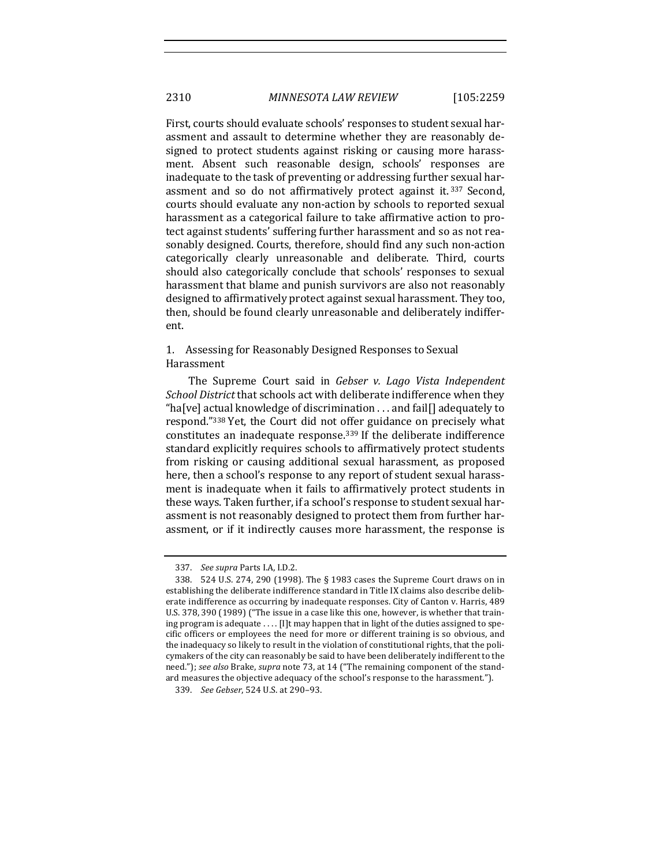First, courts should evaluate schools' responses to student sexual harassment and assault to determine whether they are reasonably designed to protect students against risking or causing more harassment. Absent such reasonable design, schools' responses are inadequate to the task of preventing or addressing further sexual harassment and so do not affirmatively protect against it.<sup>337</sup> Second, courts should evaluate any non-action by schools to reported sexual harassment as a categorical failure to take affirmative action to protect against students' suffering further harassment and so as not reasonably designed. Courts, therefore, should find any such non-action categorically clearly unreasonable and deliberate. Third, courts should also categorically conclude that schools' responses to sexual harassment that blame and punish survivors are also not reasonably designed to affirmatively protect against sexual harassment. They too, then, should be found clearly unreasonable and deliberately indifferent. 

1. Assessing for Reasonably Designed Responses to Sexual Harassment

The Supreme Court said in *Gebser v. Lago Vista Independent School District* that schools act with deliberate indifference when they "ha[ve] actual knowledge of discrimination  $\dots$  and fail[] adequately to respond."338 Yet, the Court did not offer guidance on precisely what constitutes an inadequate response.<sup>339</sup> If the deliberate indifference standard explicitly requires schools to affirmatively protect students from risking or causing additional sexual harassment, as proposed here, then a school's response to any report of student sexual harassment is inadequate when it fails to affirmatively protect students in these ways. Taken further, if a school's response to student sexual harassment is not reasonably designed to protect them from further harassment, or if it indirectly causes more harassment, the response is

<sup>337.</sup> *See supra* Parts I.A, I.D.2.

<sup>338. 524</sup> U.S. 274, 290 (1998). The § 1983 cases the Supreme Court draws on in establishing the deliberate indifference standard in Title IX claims also describe deliberate indifference as occurring by inadequate responses. City of Canton v. Harris, 489 U.S. 378, 390 (1989) ("The issue in a case like this one, however, is whether that training program is adequate .... [I]t may happen that in light of the duties assigned to specific officers or employees the need for more or different training is so obvious, and the inadequacy so likely to result in the violation of constitutional rights, that the policymakers of the city can reasonably be said to have been deliberately indifferent to the need."); see also Brake, supra note 73, at 14 ("The remaining component of the standard measures the objective adequacy of the school's response to the harassment.").

<sup>339.</sup> *See Gebser*, 524 U.S. at 290-93.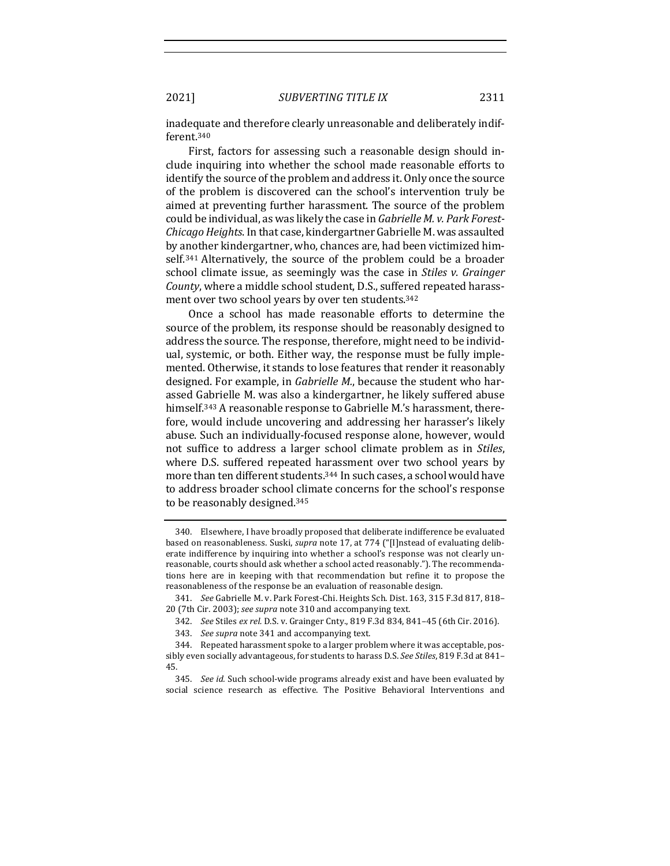inadequate and therefore clearly unreasonable and deliberately indifferent.340

First, factors for assessing such a reasonable design should include inquiring into whether the school made reasonable efforts to identify the source of the problem and address it. Only once the source of the problem is discovered can the school's intervention truly be aimed at preventing further harassment. The source of the problem could be individual, as was likely the case in *Gabrielle M. v. Park Forest-Chicago Heights*. In that case, kindergartner Gabrielle M. was assaulted by another kindergartner, who, chances are, had been victimized himself.<sup>341</sup> Alternatively, the source of the problem could be a broader school climate issue, as seemingly was the case in *Stiles v. Grainger County*, where a middle school student, D.S., suffered repeated harassment over two school years by over ten students.<sup>342</sup>

Once a school has made reasonable efforts to determine the source of the problem, its response should be reasonably designed to address the source. The response, therefore, might need to be individual, systemic, or both. Either way, the response must be fully implemented. Otherwise, it stands to lose features that render it reasonably designed. For example, in *Gabrielle M.*, because the student who harassed Gabrielle M. was also a kindergartner, he likely suffered abuse himself.<sup>343</sup> A reasonable response to Gabrielle M.'s harassment, therefore, would include uncovering and addressing her harasser's likely abuse. Such an individually-focused response alone, however, would not suffice to address a larger school climate problem as in *Stiles*, where D.S. suffered repeated harassment over two school years by more than ten different students.<sup>344</sup> In such cases, a school would have to address broader school climate concerns for the school's response to be reasonably designed.<sup>345</sup>

<sup>340.</sup> Elsewhere, I have broadly proposed that deliberate indifference be evaluated based on reasonableness. Suski, *supra* note 17, at 774 ("[I]nstead of evaluating deliberate indifference by inquiring into whether a school's response was not clearly unreasonable, courts should ask whether a school acted reasonably."). The recommendations here are in keeping with that recommendation but refine it to propose the reasonableness of the response be an evaluation of reasonable design.

<sup>341.</sup> *See* Gabrielle M. v. Park Forest-Chi. Heights Sch. Dist. 163, 315 F.3d 817, 818-20 (7th Cir. 2003); see supra note 310 and accompanying text.

<sup>342.</sup> *See* Stiles *ex rel.* D.S. v. Grainger Cnty., 819 F.3d 834, 841-45 (6th Cir. 2016).

<sup>343.</sup> *See supra* note 341 and accompanying text.

<sup>344.</sup> Repeated harassment spoke to a larger problem where it was acceptable, possibly even socially advantageous, for students to harass D.S. *See Stiles*, 819 F.3d at 841-45.

<sup>345.</sup> *See id.* Such school-wide programs already exist and have been evaluated by social science research as effective. The Positive Behavioral Interventions and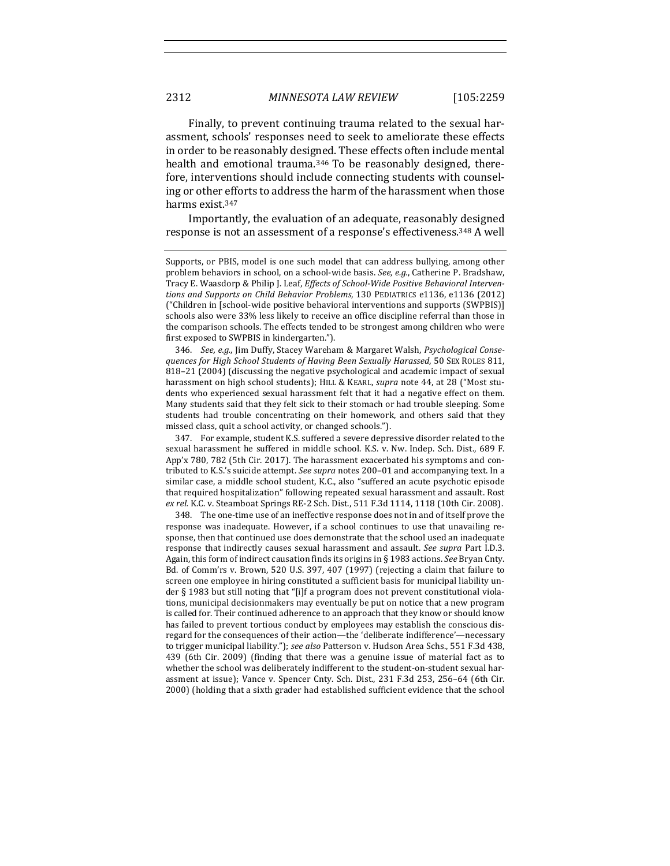Finally, to prevent continuing trauma related to the sexual harassment, schools' responses need to seek to ameliorate these effects in order to be reasonably designed. These effects often include mental health and emotional trauma.<sup>346</sup> To be reasonably designed, therefore, interventions should include connecting students with counseling or other efforts to address the harm of the harassment when those harms exist.<sup>347</sup>

Importantly, the evaluation of an adequate, reasonably designed response is not an assessment of a response's effectiveness.<sup>348</sup> A well

346. See, e.g., Jim Duffy, Stacey Wareham & Margaret Walsh, Psychological Conse*quences for High School Students of Having Been Sexually Harassed*, 50 SEX ROLES 811, 818-21 (2004) (discussing the negative psychological and academic impact of sexual harassment on high school students); HILL & KEARL, *supra* note 44, at 28 ("Most students who experienced sexual harassment felt that it had a negative effect on them. Many students said that they felt sick to their stomach or had trouble sleeping. Some students had trouble concentrating on their homework, and others said that they missed class, quit a school activity, or changed schools.").

347. For example, student K.S. suffered a severe depressive disorder related to the sexual harassment he suffered in middle school. K.S. v. Nw. Indep. Sch. Dist., 689 F. App'x 780, 782 (5th Cir. 2017). The harassment exacerbated his symptoms and contributed to K.S.'s suicide attempt. See supra notes 200-01 and accompanying text. In a similar case, a middle school student, K.C., also "suffered an acute psychotic episode that required hospitalization" following repeated sexual harassment and assault. Rost ex rel. K.C. v. Steamboat Springs RE-2 Sch. Dist., 511 F.3d 1114, 1118 (10th Cir. 2008).

348. The one-time use of an ineffective response does not in and of itself prove the response was inadequate. However, if a school continues to use that unavailing response, then that continued use does demonstrate that the school used an inadequate response that indirectly causes sexual harassment and assault. See supra Part I.D.3. Again, this form of indirect causation finds its origins in § 1983 actions. See Bryan Cnty. Bd. of Comm'rs v. Brown, 520 U.S. 397, 407 (1997) (rejecting a claim that failure to screen one employee in hiring constituted a sufficient basis for municipal liability under  $\S$  1983 but still noting that "[i]f a program does not prevent constitutional violations, municipal decisionmakers may eventually be put on notice that a new program is called for. Their continued adherence to an approach that they know or should know has failed to prevent tortious conduct by employees may establish the conscious disregard for the consequences of their action—the 'deliberate indifference'—necessary to trigger municipal liability."); see also Patterson v. Hudson Area Schs., 551 F.3d 438, 439 (6th Cir. 2009) (finding that there was a genuine issue of material fact as to whether the school was deliberately indifferent to the student-on-student sexual harassment at issue); Vance v. Spencer Cnty. Sch. Dist., 231 F.3d 253, 256-64 (6th Cir. 2000) (holding that a sixth grader had established sufficient evidence that the school

Supports, or PBIS, model is one such model that can address bullying, among other problem behaviors in school, on a school-wide basis. See, e.g., Catherine P. Bradshaw, Tracy E. Waasdorp & Philip J. Leaf, *Effects of School-Wide Positive Behavioral Interventions and Supports on Child Behavior Problems*, 130 PEDIATRICS e1136, e1136 (2012) ("Children in [school-wide positive behavioral interventions and supports (SWPBIS)] schools also were 33% less likely to receive an office discipline referral than those in the comparison schools. The effects tended to be strongest among children who were first exposed to SWPBIS in kindergarten.").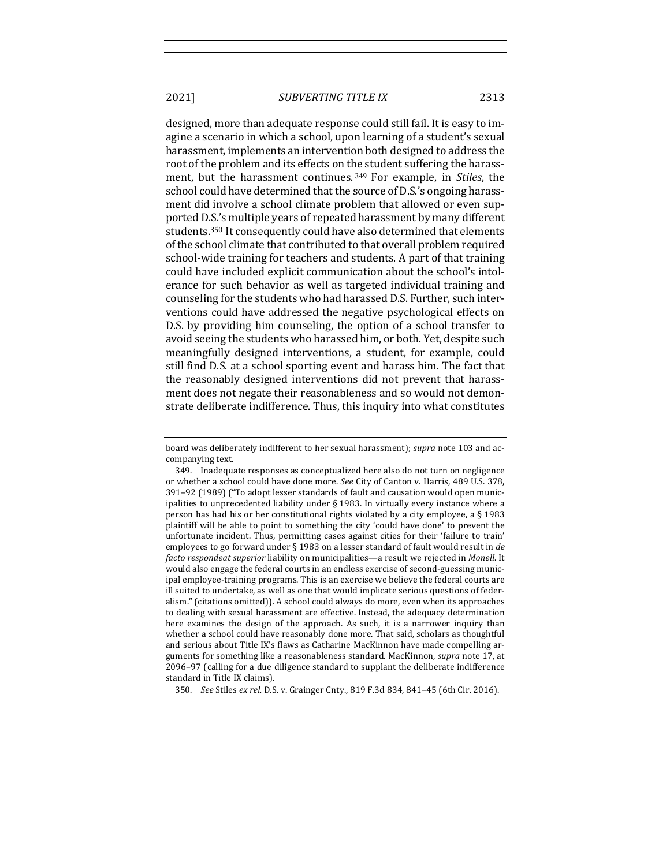designed, more than adequate response could still fail. It is easy to imagine a scenario in which a school, upon learning of a student's sexual harassment, implements an intervention both designed to address the root of the problem and its effects on the student suffering the harassment, but the harassment continues.<sup>349</sup> For example, in *Stiles*, the school could have determined that the source of D.S.'s ongoing harassment did involve a school climate problem that allowed or even supported D.S.'s multiple years of repeated harassment by many different students.<sup>350</sup> It consequently could have also determined that elements of the school climate that contributed to that overall problem required school-wide training for teachers and students. A part of that training could have included explicit communication about the school's intolerance for such behavior as well as targeted individual training and counseling for the students who had harassed D.S. Further, such interventions could have addressed the negative psychological effects on D.S. by providing him counseling, the option of a school transfer to avoid seeing the students who harassed him, or both. Yet, despite such meaningfully designed interventions, a student, for example, could still find D.S. at a school sporting event and harass him. The fact that the reasonably designed interventions did not prevent that harassment does not negate their reasonableness and so would not demonstrate deliberate indifference. Thus, this inquiry into what constitutes

board was deliberately indifferent to her sexual harassment); *supra* note 103 and accompanying text.

<sup>349.</sup> Inadequate responses as conceptualized here also do not turn on negligence or whether a school could have done more. See City of Canton v. Harris, 489 U.S. 378, 391–92 (1989) ("To adopt lesser standards of fault and causation would open municipalities to unprecedented liability under § 1983. In virtually every instance where a person has had his or her constitutional rights violated by a city employee, a § 1983 plaintiff will be able to point to something the city 'could have done' to prevent the unfortunate incident. Thus, permitting cases against cities for their 'failure to train' employees to go forward under § 1983 on a lesser standard of fault would result in *de facto respondeat superior* liability on municipalities—a result we rejected in *Monell*. It would also engage the federal courts in an endless exercise of second-guessing municipal employee-training programs. This is an exercise we believe the federal courts are ill suited to undertake, as well as one that would implicate serious questions of federalism." (citations omitted)). A school could always do more, even when its approaches to dealing with sexual harassment are effective. Instead, the adequacy determination here examines the design of the approach. As such, it is a narrower inquiry than whether a school could have reasonably done more. That said, scholars as thoughtful and serious about Title IX's flaws as Catharine MacKinnon have made compelling arguments for something like a reasonableness standard. MacKinnon, *supra* note 17, at 2096-97 (calling for a due diligence standard to supplant the deliberate indifference standard in Title IX claims).

<sup>350.</sup> *See* Stiles *ex rel.* D.S. v. Grainger Cnty., 819 F.3d 834, 841-45 (6th Cir. 2016).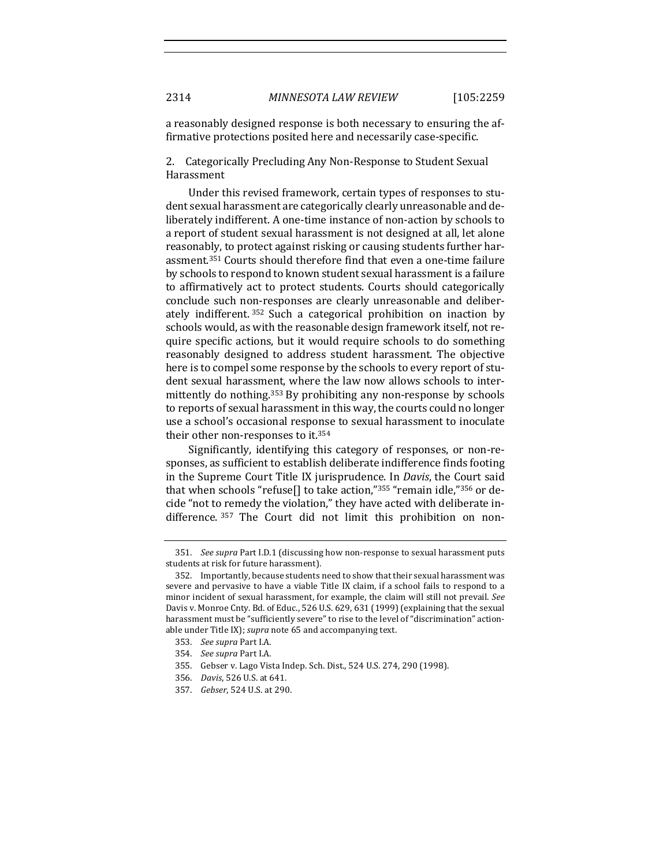a reasonably designed response is both necessary to ensuring the affirmative protections posited here and necessarily case-specific.

2. Categorically Precluding Any Non-Response to Student Sexual Harassment

Under this revised framework, certain types of responses to student sexual harassment are categorically clearly unreasonable and deliberately indifferent. A one-time instance of non-action by schools to a report of student sexual harassment is not designed at all, let alone reasonably, to protect against risking or causing students further harassment.<sup>351</sup> Courts should therefore find that even a one-time failure by schools to respond to known student sexual harassment is a failure to affirmatively act to protect students. Courts should categorically conclude such non-responses are clearly unreasonable and deliberately indifferent.<sup>352</sup> Such a categorical prohibition on inaction by schools would, as with the reasonable design framework itself, not require specific actions, but it would require schools to do something reasonably designed to address student harassment. The objective here is to compel some response by the schools to every report of student sexual harassment, where the law now allows schools to intermittently do nothing.<sup>353</sup> By prohibiting any non-response by schools to reports of sexual harassment in this way, the courts could no longer use a school's occasional response to sexual harassment to inoculate their other non-responses to it.<sup>354</sup>

Significantly, identifying this category of responses, or non-responses, as sufficient to establish deliberate indifference finds footing in the Supreme Court Title IX jurisprudence. In *Davis*, the Court said that when schools "refuse[] to take action," $355$  "remain idle," $356$  or decide "not to remedy the violation," they have acted with deliberate indifference. 357 The Court did not limit this prohibition on non-

355. Gebser v. Lago Vista Indep. Sch. Dist., 524 U.S. 274, 290 (1998).

<sup>351.</sup> *See supra Part I.D.1* (discussing how non-response to sexual harassment puts students at risk for future harassment).

<sup>352.</sup> Importantly, because students need to show that their sexual harassment was severe and pervasive to have a viable Title IX claim, if a school fails to respond to a minor incident of sexual harassment, for example, the claim will still not prevail. See Davis v. Monroe Cnty. Bd. of Educ., 526 U.S. 629, 631 (1999) (explaining that the sexual harassment must be "sufficiently severe" to rise to the level of "discrimination" actionable under Title IX); *supra* note 65 and accompanying text.

<sup>353.</sup> *See supra* Part I.A.

<sup>354.</sup> *See supra* Part I.A.

<sup>356.</sup> *Davis*, 526 U.S. at 641.

<sup>357.</sup> *Gebser*, 524 U.S. at 290.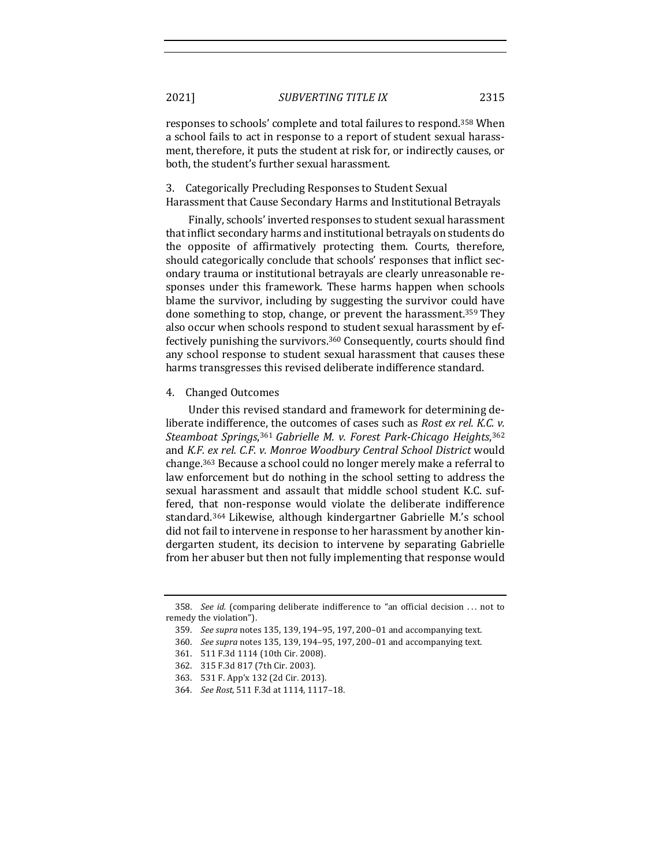responses to schools' complete and total failures to respond.<sup>358</sup> When a school fails to act in response to a report of student sexual harassment, therefore, it puts the student at risk for, or indirectly causes, or both, the student's further sexual harassment.

3. Categorically Precluding Responses to Student Sexual

Harassment that Cause Secondary Harms and Institutional Betrayals

Finally, schools' inverted responses to student sexual harassment that inflict secondary harms and institutional betrayals on students do the opposite of affirmatively protecting them. Courts, therefore, should categorically conclude that schools' responses that inflict secondary trauma or institutional betrayals are clearly unreasonable responses under this framework. These harms happen when schools blame the survivor, including by suggesting the survivor could have done something to stop, change, or prevent the harassment.<sup>359</sup> They also occur when schools respond to student sexual harassment by effectively punishing the survivors.<sup>360</sup> Consequently, courts should find any school response to student sexual harassment that causes these harms transgresses this revised deliberate indifference standard.

#### 4. Changed Outcomes

Under this revised standard and framework for determining deliberate indifference, the outcomes of cases such as *Rost ex rel. K.C. v. Steamboat Springs*,361 *Gabrielle M. v. Forest Park-Chicago Heights*,362 and *K.F. ex rel. C.F. v. Monroe Woodbury Central School District* would change.<sup>363</sup> Because a school could no longer merely make a referral to law enforcement but do nothing in the school setting to address the sexual harassment and assault that middle school student K.C. suffered, that non-response would violate the deliberate indifference standard.<sup>364</sup> Likewise, although kindergartner Gabrielle M.'s school did not fail to intervene in response to her harassment by another kindergarten student, its decision to intervene by separating Gabrielle from her abuser but then not fully implementing that response would

362. 315 F.3d 817 (7th Cir. 2003).

<sup>358.</sup> *See id.* (comparing deliberate indifference to "an official decision ... not to remedy the violation").

<sup>359.</sup> *See supra* notes 135, 139, 194-95, 197, 200-01 and accompanying text.

<sup>360.</sup> *See supra* notes 135, 139, 194-95, 197, 200-01 and accompanying text.

<sup>361. 511</sup> F.3d 1114 (10th Cir. 2008).

<sup>363. 531</sup> F. App'x 132 (2d Cir. 2013).

<sup>364.</sup> *See Rost*, 511 F.3d at 1114, 1117-18.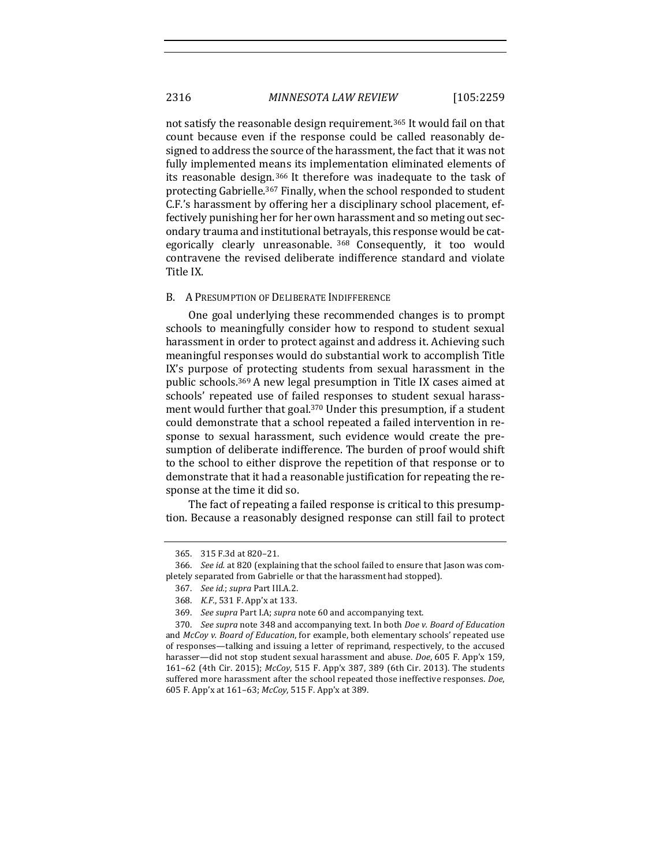not satisfy the reasonable design requirement.<sup>365</sup> It would fail on that count because even if the response could be called reasonably designed to address the source of the harassment, the fact that it was not fully implemented means its implementation eliminated elements of its reasonable design.<sup>366</sup> It therefore was inadequate to the task of protecting Gabrielle.<sup>367</sup> Finally, when the school responded to student C.F.'s harassment by offering her a disciplinary school placement, effectively punishing her for her own harassment and so meting out secondary trauma and institutional betrayals, this response would be categorically clearly unreasonable. 368 Consequently, it too would contravene the revised deliberate indifference standard and violate Title IX.

#### B. A PRESUMPTION OF DELIBERATE INDIFFERENCE

One goal underlying these recommended changes is to prompt schools to meaningfully consider how to respond to student sexual harassment in order to protect against and address it. Achieving such meaningful responses would do substantial work to accomplish Title IX's purpose of protecting students from sexual harassment in the public schools.<sup>369</sup> A new legal presumption in Title IX cases aimed at schools' repeated use of failed responses to student sexual harassment would further that goal.<sup>370</sup> Under this presumption, if a student could demonstrate that a school repeated a failed intervention in response to sexual harassment, such evidence would create the presumption of deliberate indifference. The burden of proof would shift to the school to either disprove the repetition of that response or to demonstrate that it had a reasonable justification for repeating the response at the time it did so.

The fact of repeating a failed response is critical to this presumption. Because a reasonably designed response can still fail to protect

<sup>365. 315</sup> F.3d at 820-21.

<sup>366.</sup> *See id.* at 820 (explaining that the school failed to ensure that Jason was completely separated from Gabrielle or that the harassment had stopped).

<sup>367.</sup> *See id.*; *supra* Part III.A.2.

<sup>368.</sup> *K.F.*, 531 F. App'x at 133.

<sup>369.</sup> *See supra* Part I.A; *supra* note 60 and accompanying text.

<sup>370.</sup> *See supra* note 348 and accompanying text. In both *Doe v. Board of Education* and *McCoy v. Board of Education*, for example, both elementary schools' repeated use of responses—talking and issuing a letter of reprimand, respectively, to the accused harasser—did not stop student sexual harassment and abuse. *Doe*, 605 F. App'x 159, 161-62 (4th Cir. 2015); *McCoy*, 515 F. App'x 387, 389 (6th Cir. 2013). The students suffered more harassment after the school repeated those ineffective responses. *Doe*, 605 F. App'x at 161–63; *McCoy*, 515 F. App'x at 389.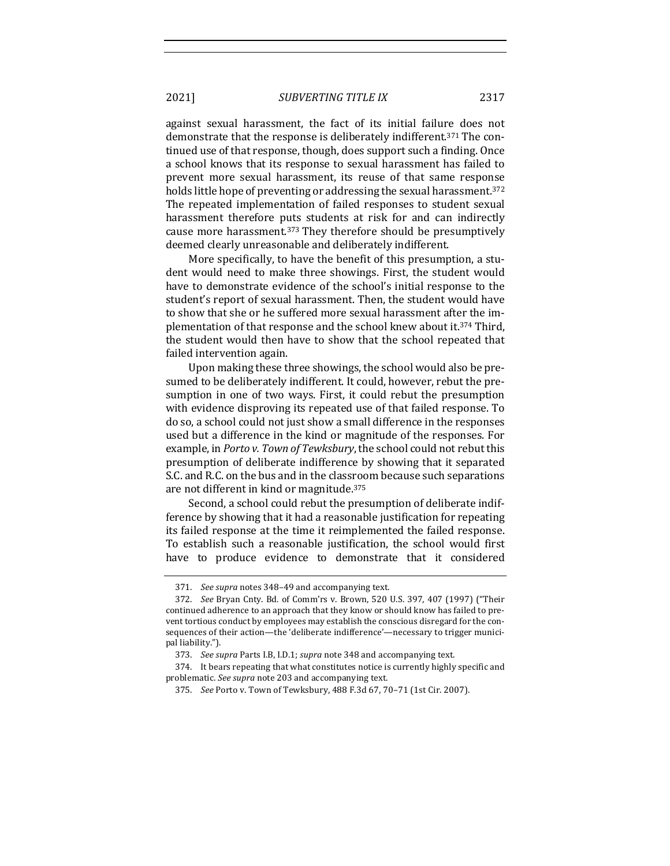against sexual harassment, the fact of its initial failure does not demonstrate that the response is deliberately indifferent.<sup>371</sup> The continued use of that response, though, does support such a finding. Once a school knows that its response to sexual harassment has failed to prevent more sexual harassment, its reuse of that same response holds little hope of preventing or addressing the sexual harassment.<sup>372</sup> The repeated implementation of failed responses to student sexual harassment therefore puts students at risk for and can indirectly cause more harassment.<sup>373</sup> They therefore should be presumptively deemed clearly unreasonable and deliberately indifferent.

More specifically, to have the benefit of this presumption, a student would need to make three showings. First, the student would have to demonstrate evidence of the school's initial response to the student's report of sexual harassment. Then, the student would have to show that she or he suffered more sexual harassment after the implementation of that response and the school knew about it.<sup>374</sup> Third, the student would then have to show that the school repeated that failed intervention again.

Upon making these three showings, the school would also be presumed to be deliberately indifferent. It could, however, rebut the presumption in one of two ways. First, it could rebut the presumption with evidence disproving its repeated use of that failed response. To do so, a school could not just show a small difference in the responses used but a difference in the kind or magnitude of the responses. For example, in *Porto v. Town of Tewksbury*, the school could not rebut this presumption of deliberate indifference by showing that it separated S.C. and R.C. on the bus and in the classroom because such separations are not different in kind or magnitude.<sup>375</sup>

Second, a school could rebut the presumption of deliberate indifference by showing that it had a reasonable justification for repeating its failed response at the time it reimplemented the failed response. To establish such a reasonable justification, the school would first have to produce evidence to demonstrate that it considered

<sup>371.</sup> *See supra* notes 348-49 and accompanying text.

<sup>372.</sup> *See* Bryan Cnty. Bd. of Comm'rs v. Brown, 520 U.S. 397, 407 (1997) ("Their continued adherence to an approach that they know or should know has failed to prevent tortious conduct by employees may establish the conscious disregard for the consequences of their action—the 'deliberate indifference'—necessary to trigger municipal liability.").

<sup>373.</sup> See supra Parts I.B, I.D.1; *supra* note 348 and accompanying text.

<sup>374.</sup> It bears repeating that what constitutes notice is currently highly specific and problematic. See supra note 203 and accompanying text.

<sup>375.</sup> *See* Porto v. Town of Tewksbury, 488 F.3d 67, 70-71 (1st Cir. 2007).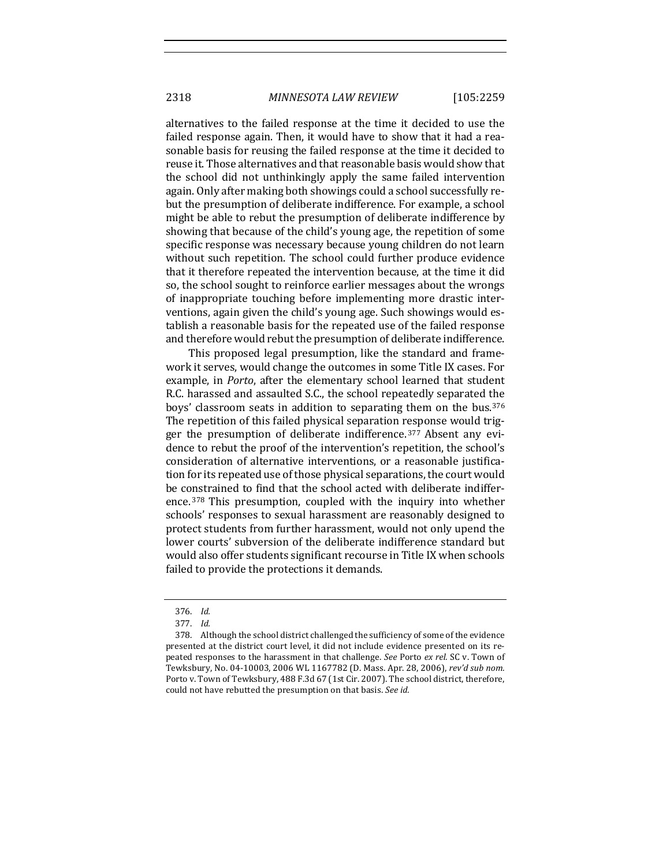2318 *MINNESOTA LAW REVIEW* [105:2259

alternatives to the failed response at the time it decided to use the failed response again. Then, it would have to show that it had a reasonable basis for reusing the failed response at the time it decided to reuse it. Those alternatives and that reasonable basis would show that the school did not unthinkingly apply the same failed intervention again. Only after making both showings could a school successfully rebut the presumption of deliberate indifference. For example, a school might be able to rebut the presumption of deliberate indifference by showing that because of the child's young age, the repetition of some specific response was necessary because young children do not learn without such repetition. The school could further produce evidence that it therefore repeated the intervention because, at the time it did so, the school sought to reinforce earlier messages about the wrongs of inappropriate touching before implementing more drastic interventions, again given the child's young age. Such showings would establish a reasonable basis for the repeated use of the failed response and therefore would rebut the presumption of deliberate indifference.

This proposed legal presumption, like the standard and framework it serves, would change the outcomes in some Title IX cases. For example, in *Porto*, after the elementary school learned that student R.C. harassed and assaulted S.C., the school repeatedly separated the boys' classroom seats in addition to separating them on the bus.<sup>376</sup> The repetition of this failed physical separation response would trigger the presumption of deliberate indifference.<sup>377</sup> Absent any evidence to rebut the proof of the intervention's repetition, the school's consideration of alternative interventions, or a reasonable justification for its repeated use of those physical separations, the court would be constrained to find that the school acted with deliberate indifference.  $378$  This presumption, coupled with the inquiry into whether schools' responses to sexual harassment are reasonably designed to protect students from further harassment, would not only upend the lower courts' subversion of the deliberate indifference standard but would also offer students significant recourse in Title IX when schools failed to provide the protections it demands.

<sup>376.</sup> *Id.*

<sup>377.</sup> *Id.*

<sup>378.</sup> Although the school district challenged the sufficiency of some of the evidence presented at the district court level, it did not include evidence presented on its repeated responses to the harassment in that challenge. *See* Porto *ex rel.* SC v. Town of Tewksbury, No. 04-10003, 2006 WL 1167782 (D. Mass. Apr. 28, 2006), rev'd sub nom. Porto v. Town of Tewksbury, 488 F.3d 67 (1st Cir. 2007). The school district, therefore, could not have rebutted the presumption on that basis. See id.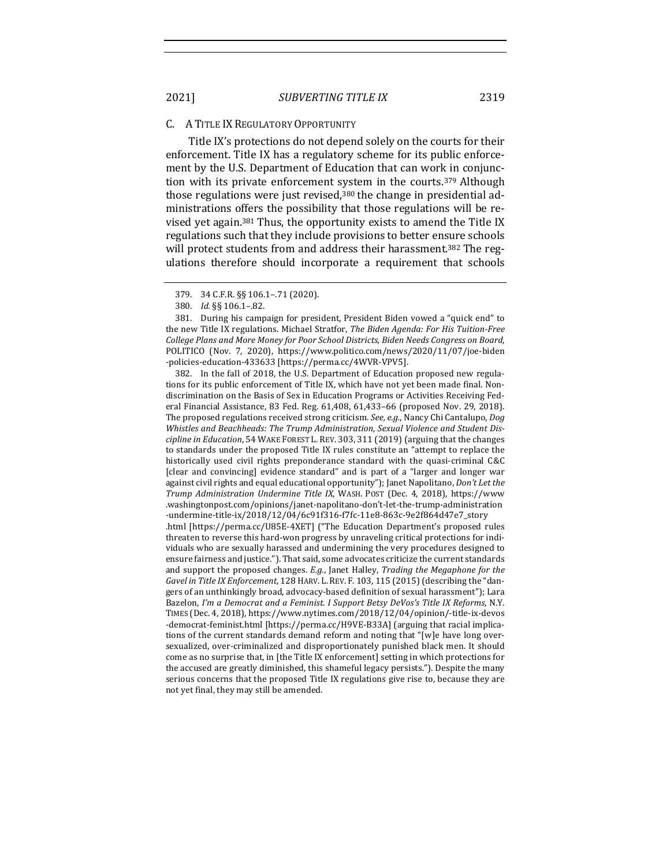#### C. A TITLE IX REGULATORY OPPORTUNITY

Title IX's protections do not depend solely on the courts for their enforcement. Title IX has a regulatory scheme for its public enforcement by the U.S. Department of Education that can work in conjunction with its private enforcement system in the courts.<sup>379</sup> Although those regulations were just revised, $380$  the change in presidential administrations offers the possibility that those regulations will be revised yet again.<sup>381</sup> Thus, the opportunity exists to amend the Title IX regulations such that they include provisions to better ensure schools will protect students from and address their harassment.<sup>382</sup> The regulations therefore should incorporate a requirement that schools

381. During his campaign for president, President Biden vowed a "quick end" to the new Title IX regulations. Michael Stratfor, *The Biden Agenda: For His Tuition-Free College Plans and More Money for Poor School Districts, Biden Needs Congress on Board*, POLITICO (Nov. 7, 2020), https://www.politico.com/news/2020/11/07/joe-biden -policies-education-433633 [https://perma.cc/4WVR-VPV5].

382. In the fall of 2018, the U.S. Department of Education proposed new regulations for its public enforcement of Title IX, which have not yet been made final. Nondiscrimination on the Basis of Sex in Education Programs or Activities Receiving Federal Financial Assistance, 83 Fed. Reg. 61,408, 61,433-66 (proposed Nov. 29, 2018). The proposed regulations received strong criticism. *See, e.g.*, Nancy Chi Cantalupo, *Dog* Whistles and Beachheads: The Trump Administration, Sexual Violence and Student Dis*cipline in Education*, 54 WAKE FOREST L. REV. 303, 311 (2019) (arguing that the changes to standards under the proposed Title IX rules constitute an "attempt to replace the historically used civil rights preponderance standard with the quasi-criminal C&C [clear and convincing] evidence standard" and is part of a "larger and longer war against civil rights and equal educational opportunity"); Janet Napolitano, *Don't Let the Trump Administration Undermine Title IX*, WASH. POST (Dec. 4, 2018), https://www .washingtonpost.com/opinions/janet-napolitano-don't-let-the-trump-administration -undermine-title-ix/2018/12/04/6c91f316-f7fc-11e8-863c-9e2f864d47e7\_story .html [https://perma.cc/U85E-4XET] ("The Education Department's proposed rules

threaten to reverse this hard-won progress by unraveling critical protections for individuals who are sexually harassed and undermining the very procedures designed to ensure fairness and justice."). That said, some advocates criticize the current standards and support the proposed changes. *E.g.*, Janet Halley, *Trading the Megaphone for the Gavel in Title IX Enforcement*, 128 HARV. L. REV. F. 103, 115 (2015) (describing the "dangers of an unthinkingly broad, advocacy-based definition of sexual harassment"); Lara Bazelon, I'm a Democrat and a Feminist. I Support Betsy DeVos's Title IX Reforms, N.Y. TIMES (Dec. 4, 2018), https://www.nytimes.com/2018/12/04/opinion/-title-ix-devos -democrat-feminist.html [https://perma.cc/H9VE-B33A] (arguing that racial implications of the current standards demand reform and noting that "[w]e have long oversexualized, over-criminalized and disproportionately punished black men. It should come as no surprise that, in [the Title IX enforcement] setting in which protections for the accused are greatly diminished, this shameful legacy persists."). Despite the many serious concerns that the proposed Title IX regulations give rise to, because they are not yet final, they may still be amended.

<sup>379.</sup> 34 C.F.R. §§ 106.1–.71 (2020).

<sup>380.</sup> *Id.* §§ 106.1–.82.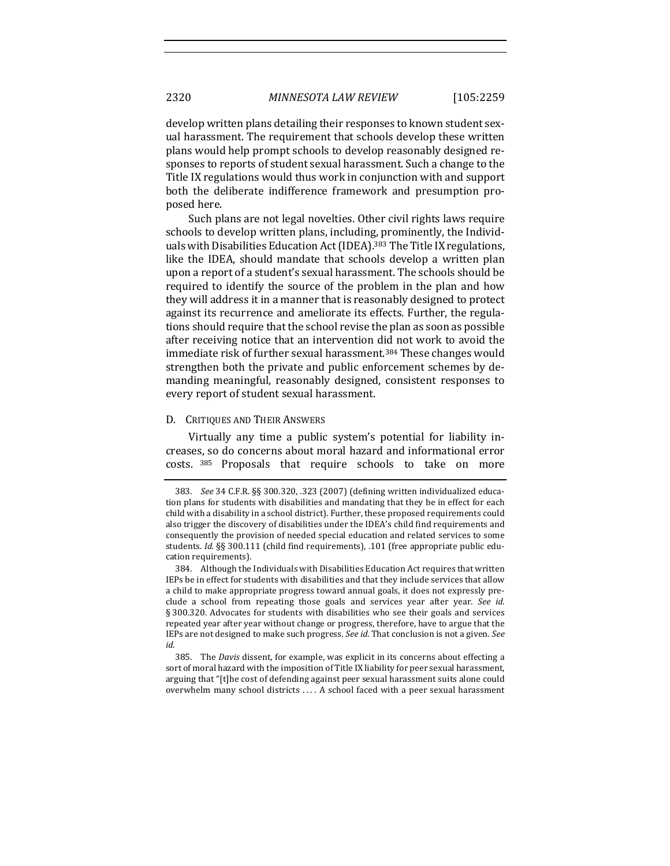develop written plans detailing their responses to known student sexual harassment. The requirement that schools develop these written plans would help prompt schools to develop reasonably designed responses to reports of student sexual harassment. Such a change to the Title IX regulations would thus work in conjunction with and support both the deliberate indifference framework and presumption proposed here.

Such plans are not legal novelties. Other civil rights laws require schools to develop written plans, including, prominently, the Individuals with Disabilities Education Act (IDEA).<sup>383</sup> The Title IX regulations, like the IDEA, should mandate that schools develop a written plan upon a report of a student's sexual harassment. The schools should be required to identify the source of the problem in the plan and how they will address it in a manner that is reasonably designed to protect against its recurrence and ameliorate its effects. Further, the regulations should require that the school revise the plan as soon as possible after receiving notice that an intervention did not work to avoid the immediate risk of further sexual harassment.<sup>384</sup> These changes would strengthen both the private and public enforcement schemes by demanding meaningful, reasonably designed, consistent responses to every report of student sexual harassment.

#### D. CRITIQUES AND THEIR ANSWERS

Virtually any time a public system's potential for liability increases, so do concerns about moral hazard and informational error costs. 385 Proposals that require schools to take on more

<sup>383.</sup> See 34 C.F.R. §§ 300.320, .323 (2007) (defining written individualized education plans for students with disabilities and mandating that they be in effect for each child with a disability in a school district). Further, these proposed requirements could also trigger the discovery of disabilities under the IDEA's child find requirements and consequently the provision of needed special education and related services to some students. *Id.* §§ 300.111 (child find requirements), .101 (free appropriate public education requirements).

<sup>384.</sup> Although the Individuals with Disabilities Education Act requires that written IEPs be in effect for students with disabilities and that they include services that allow a child to make appropriate progress toward annual goals, it does not expressly preclude a school from repeating those goals and services year after year. See id. § 300.320. Advocates for students with disabilities who see their goals and services repeated year after year without change or progress, therefore, have to argue that the IEPs are not designed to make such progress. *See id.* That conclusion is not a given. *See id.*

<sup>385.</sup> The *Davis* dissent, for example, was explicit in its concerns about effecting a sort of moral hazard with the imposition of Title IX liability for peer sexual harassment, arguing that "[t]he cost of defending against peer sexual harassment suits alone could overwhelm many school districts .... A school faced with a peer sexual harassment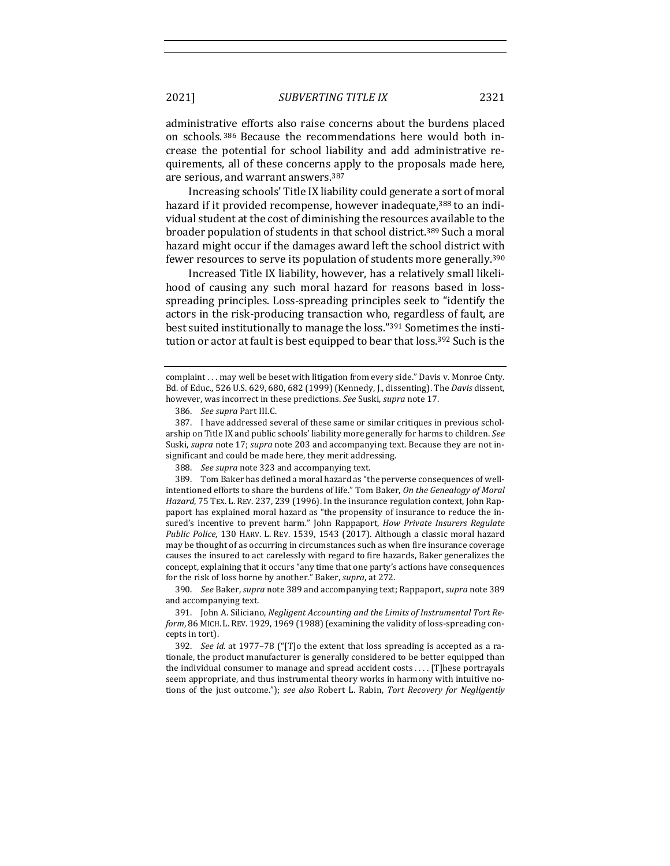administrative efforts also raise concerns about the burdens placed on schools. 386 Because the recommendations here would both increase the potential for school liability and add administrative requirements, all of these concerns apply to the proposals made here, are serious, and warrant answers.<sup>387</sup>

Increasing schools' Title IX liability could generate a sort of moral hazard if it provided recompense, however inadequate,<sup>388</sup> to an individual student at the cost of diminishing the resources available to the broader population of students in that school district.<sup>389</sup> Such a moral hazard might occur if the damages award left the school district with fewer resources to serve its population of students more generally.<sup>390</sup>

Increased Title IX liability, however, has a relatively small likelihood of causing any such moral hazard for reasons based in lossspreading principles. Loss-spreading principles seek to "identify the actors in the risk-producing transaction who, regardless of fault, are best suited institutionally to manage the loss."<sup>391</sup> Sometimes the institution or actor at fault is best equipped to bear that loss.<sup>392</sup> Such is the

390. *See* Baker, *supra* note 389 and accompanying text; Rappaport, *supra* note 389 and accompanying text.

complaint . . . may well be beset with litigation from every side." Davis v. Monroe Cnty. Bd. of Educ., 526 U.S. 629, 680, 682 (1999) (Kennedy, J., dissenting). The *Davis* dissent, however, was incorrect in these predictions. See Suski, *supra* note 17.

<sup>386.</sup> See supra Part III.C.

<sup>387.</sup> I have addressed several of these same or similar critiques in previous scholarship on Title IX and public schools' liability more generally for harms to children. See Suski, *supra* note 17; *supra* note 203 and accompanying text. Because they are not insignificant and could be made here, they merit addressing.

<sup>388.</sup> *See supra* note 323 and accompanying text.

<sup>389.</sup> Tom Baker has defined a moral hazard as "the perverse consequences of wellintentioned efforts to share the burdens of life." Tom Baker, On the Genealogy of Moral *Hazard*, 75 TEX. L. REV. 237, 239 (1996). In the insurance regulation context, John Rappaport has explained moral hazard as "the propensity of insurance to reduce the insured's incentive to prevent harm." John Rappaport, *How Private Insurers Regulate* Public Police, 130 HARV. L. REV. 1539, 1543 (2017). Although a classic moral hazard may be thought of as occurring in circumstances such as when fire insurance coverage causes the insured to act carelessly with regard to fire hazards, Baker generalizes the concept, explaining that it occurs "any time that one party's actions have consequences for the risk of loss borne by another." Baker, *supra*, at 272.

<sup>391.</sup> John A. Siliciano, *Negligent Accounting and the Limits of Instrumental Tort Reform*, 86 MICH. L. REV. 1929, 1969 (1988) (examining the validity of loss-spreading concepts in tort).

<sup>392.</sup> *See id.* at 1977–78 ("[T]o the extent that loss spreading is accepted as a rationale, the product manufacturer is generally considered to be better equipped than the individual consumer to manage and spread accident  $costs$ .... [T]hese portrayals seem appropriate, and thus instrumental theory works in harmony with intuitive notions of the just outcome."); see also Robert L. Rabin, Tort Recovery for Negligently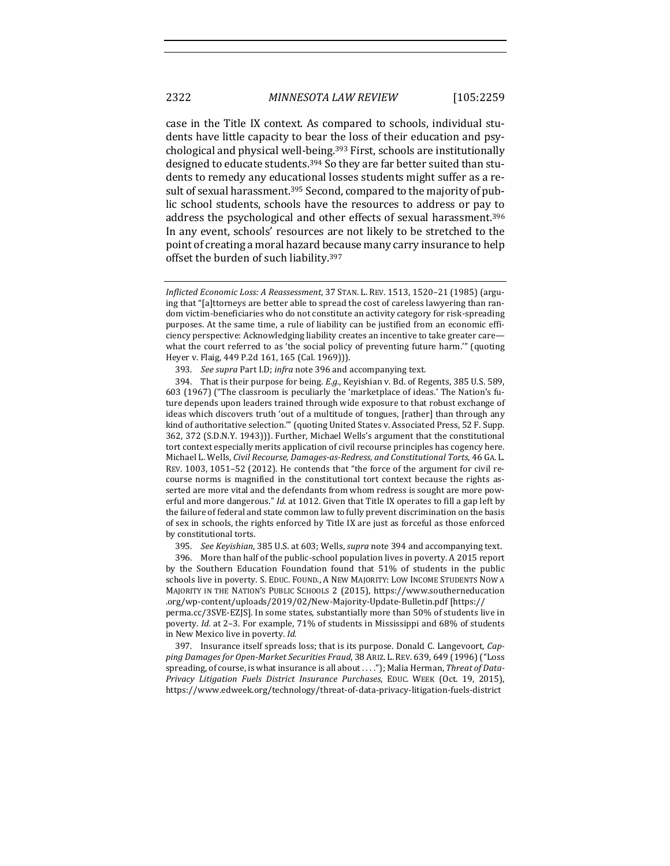case in the Title IX context. As compared to schools, individual students have little capacity to bear the loss of their education and psychological and physical well-being.<sup>393</sup> First, schools are institutionally designed to educate students.<sup>394</sup> So they are far better suited than students to remedy any educational losses students might suffer as a result of sexual harassment.<sup>395</sup> Second, compared to the majority of public school students, schools have the resources to address or pay to address the psychological and other effects of sexual harassment.<sup>396</sup> In any event, schools' resources are not likely to be stretched to the point of creating a moral hazard because many carry insurance to help offset the burden of such liability.<sup>397</sup>

394. That is their purpose for being. *E.g.*, Kevishian v. Bd. of Regents, 385 U.S. 589. 603 (1967) ("The classroom is peculiarly the 'marketplace of ideas.' The Nation's future depends upon leaders trained through wide exposure to that robust exchange of ideas which discovers truth 'out of a multitude of tongues, [rather] than through any kind of authoritative selection."" (quoting United States v. Associated Press, 52 F. Supp. 362, 372 (S.D.N.Y. 1943))). Further, Michael Wells's argument that the constitutional tort context especially merits application of civil recourse principles has cogency here. Michael L. Wells, *Civil Recourse, Damages-as-Redress, and Constitutional Torts*, 46 GA. L. REV. 1003, 1051-52 (2012). He contends that "the force of the argument for civil recourse norms is magnified in the constitutional tort context because the rights asserted are more vital and the defendants from whom redress is sought are more powerful and more dangerous." *Id.* at 1012. Given that Title IX operates to fill a gap left by the failure of federal and state common law to fully prevent discrimination on the basis of sex in schools, the rights enforced by Title IX are just as forceful as those enforced by constitutional torts.

395. See Keyishian, 385 U.S. at 603; Wells, *supra* note 394 and accompanying text.

396. More than half of the public-school population lives in poverty. A 2015 report by the Southern Education Foundation found that 51% of students in the public schools live in poverty. S. EDUC. FOUND., A NEW MAJORITY: LOW INCOME STUDENTS NOW A MAJORITY IN THE NATION'S PUBLIC SCHOOLS 2 (2015), https://www.southerneducation .org/wp-content/uploads/2019/02/New-Majority-Update-Bulletin.pdf [https:// perma.cc/3SVE-EZJS]. In some states, substantially more than 50% of students live in poverty. *Id.* at 2-3. For example, 71% of students in Mississippi and 68% of students in New Mexico live in poverty. *Id.* 

397. Insurance itself spreads loss; that is its purpose. Donald C. Langevoort, *Capping Damages for Open-Market Securities Fraud*, 38 ARIZ. L. REV. 639, 649 (1996) ("Loss spreading, of course, is what insurance is all about . . . ."); Malia Herman, Threat of Data-*Privacy Litigation Fuels District Insurance Purchases*, EDUC. WEEK (Oct. 19, 2015), https://www.edweek.org/technology/threat-of-data-privacy-litigation-fuels-district

*Inflicted Economic Loss: A Reassessment*, 37 STAN. L. REV. 1513, 1520–21 (1985) (arguing that "[a]ttorneys are better able to spread the cost of careless lawyering than random victim-beneficiaries who do not constitute an activity category for risk-spreading purposes. At the same time, a rule of liability can be justified from an economic efficiency perspective: Acknowledging liability creates an incentive to take greater care what the court referred to as 'the social policy of preventing future harm.'" (quoting Heyer v. Flaig, 449 P.2d 161, 165 (Cal. 1969))).

<sup>393.</sup> *See supra* Part I.D; *infra* note 396 and accompanying text.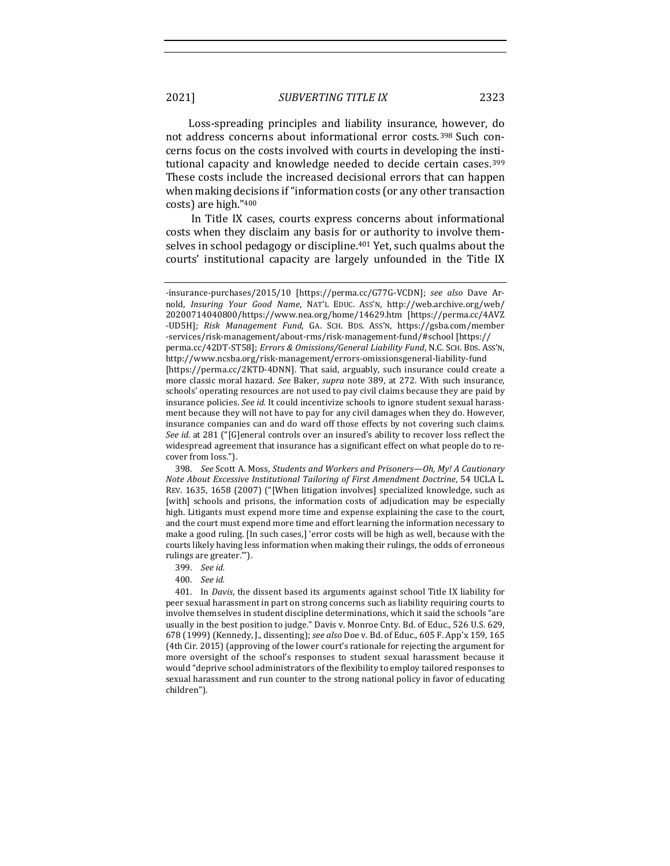Loss-spreading principles and liability insurance, however, do not address concerns about informational error costs.<sup>398</sup> Such concerns focus on the costs involved with courts in developing the institutional capacity and knowledge needed to decide certain cases.<sup>399</sup> These costs include the increased decisional errors that can happen when making decisions if "information costs (or any other transaction costs) are high."400

In Title IX cases, courts express concerns about informational costs when they disclaim any basis for or authority to involve themselves in school pedagogy or discipline.<sup>401</sup> Yet, such qualms about the courts' institutional capacity are largely unfounded in the Title IX

398. *See* Scott A. Moss, *Students and Workers and Prisoners--Oh, My! A Cautionary Note About Excessive Institutional Tailoring of First Amendment Doctrine*, 54 UCLA L. REV. 1635, 1658 (2007) ("[When litigation involves] specialized knowledge, such as [with] schools and prisons, the information costs of adjudication may be especially high. Litigants must expend more time and expense explaining the case to the court, and the court must expend more time and effort learning the information necessary to make a good ruling. [In such cases,] 'error costs will be high as well, because with the courts likely having less information when making their rulings, the odds of erroneous rulings are greater."").

399. *See id.*

400. *See id.*

401. In *Davis*, the dissent based its arguments against school Title IX liability for peer sexual harassment in part on strong concerns such as liability requiring courts to involve themselves in student discipline determinations, which it said the schools "are usually in the best position to judge." Davis v. Monroe Cnty. Bd. of Educ., 526 U.S. 629, 678 (1999) (Kennedy, J., dissenting); *see also* Doe v. Bd. of Educ., 605 F. App'x 159, 165 (4th Cir. 2015) (approving of the lower court's rationale for rejecting the argument for more oversight of the school's responses to student sexual harassment because it would "deprive school administrators of the flexibility to employ tailored responses to sexual harassment and run counter to the strong national policy in favor of educating children").

<sup>-</sup>insurance-purchases/2015/10 [https://perma.cc/G77G-VCDN]; see also Dave Arnold, *Insuring Your Good Name*, NAT'L EDUC. Ass'N, http://web.archive.org/web/ 20200714040800/https://www.nea.org/home/14629.htm [https://perma.cc/4AVZ -UD5H]; Risk Management Fund, GA. SCH. BDS. Ass'N, https://gsba.com/member -services/risk-management/about-rms/risk-management-fund/#school [https://

perma.cc/42DT-ST58]; *Errors & Omissions/General Liability Fund*, N.C. SCH. BDS. Ass'N, http://www.ncsba.org/risk-management/errors-omissionsgeneral-liability-fund

<sup>[</sup>https://perma.cc/2KTD-4DNN]. That said, arguably, such insurance could create a more classic moral hazard. See Baker, *supra* note 389, at 272. With such insurance, schools' operating resources are not used to pay civil claims because they are paid by insurance policies. See id. It could incentivize schools to ignore student sexual harassment because they will not have to pay for any civil damages when they do. However, insurance companies can and do ward off those effects by not covering such claims. *See id.* at 281 ("[G]eneral controls over an insured's ability to recover loss reflect the widespread agreement that insurance has a significant effect on what people do to recover from loss.").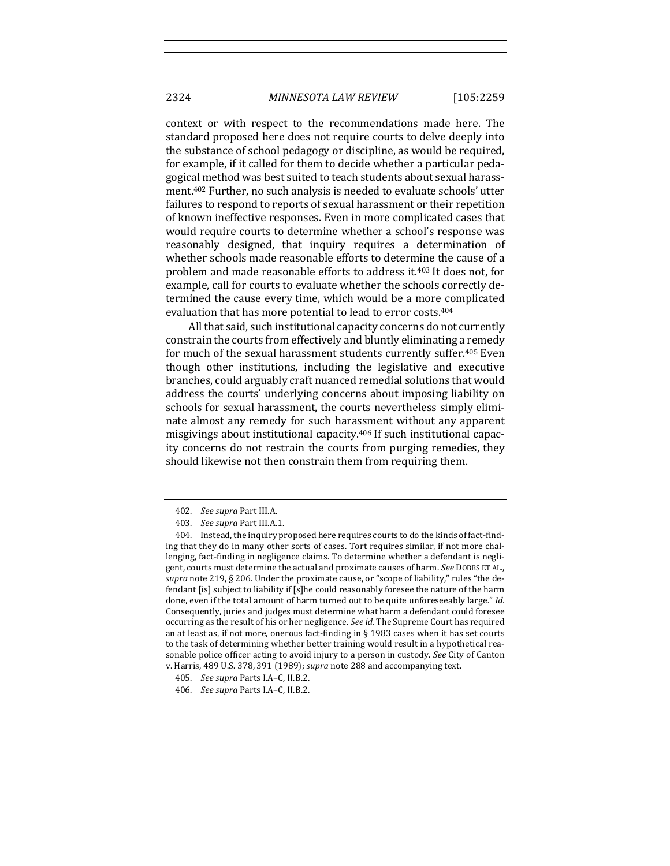context or with respect to the recommendations made here. The standard proposed here does not require courts to delve deeply into the substance of school pedagogy or discipline, as would be required, for example, if it called for them to decide whether a particular pedagogical method was best suited to teach students about sexual harassment.<sup>402</sup> Further, no such analysis is needed to evaluate schools' utter failures to respond to reports of sexual harassment or their repetition of known ineffective responses. Even in more complicated cases that would require courts to determine whether a school's response was reasonably designed, that inquiry requires a determination of whether schools made reasonable efforts to determine the cause of a problem and made reasonable efforts to address it.<sup>403</sup> It does not, for example, call for courts to evaluate whether the schools correctly determined the cause every time, which would be a more complicated evaluation that has more potential to lead to error costs.<sup>404</sup>

All that said, such institutional capacity concerns do not currently constrain the courts from effectively and bluntly eliminating a remedy for much of the sexual harassment students currently suffer.<sup>405</sup> Even though other institutions, including the legislative and executive branches, could arguably craft nuanced remedial solutions that would address the courts' underlying concerns about imposing liability on schools for sexual harassment, the courts nevertheless simply eliminate almost any remedy for such harassment without any apparent misgivings about institutional capacity.<sup>406</sup> If such institutional capacity concerns do not restrain the courts from purging remedies, they should likewise not then constrain them from requiring them.

<sup>402.</sup> *See supra* Part III.A.

<sup>403.</sup> *See supra Part III.A.1.* 

<sup>404.</sup> Instead, the inquiry proposed here requires courts to do the kinds of fact-finding that they do in many other sorts of cases. Tort requires similar, if not more challenging, fact-finding in negligence claims. To determine whether a defendant is negligent, courts must determine the actual and proximate causes of harm. See DOBBS ET AL., *supra* note 219, § 206. Under the proximate cause, or "scope of liability," rules "the defendant [is] subject to liability if [s]he could reasonably foresee the nature of the harm done, even if the total amount of harm turned out to be quite unforeseeably large." *Id.* Consequently, juries and judges must determine what harm a defendant could foresee occurring as the result of his or her negligence. *See id*. The Supreme Court has required an at least as, if not more, onerous fact-finding in § 1983 cases when it has set courts to the task of determining whether better training would result in a hypothetical reasonable police officer acting to avoid injury to a person in custody. See City of Canton v. Harris, 489 U.S. 378, 391 (1989); *supra* note 288 and accompanying text.

<sup>405.</sup> *See supra* Parts I.A-C, II.B.2.

<sup>406.</sup> *See supra* Parts I.A–C, II.B.2.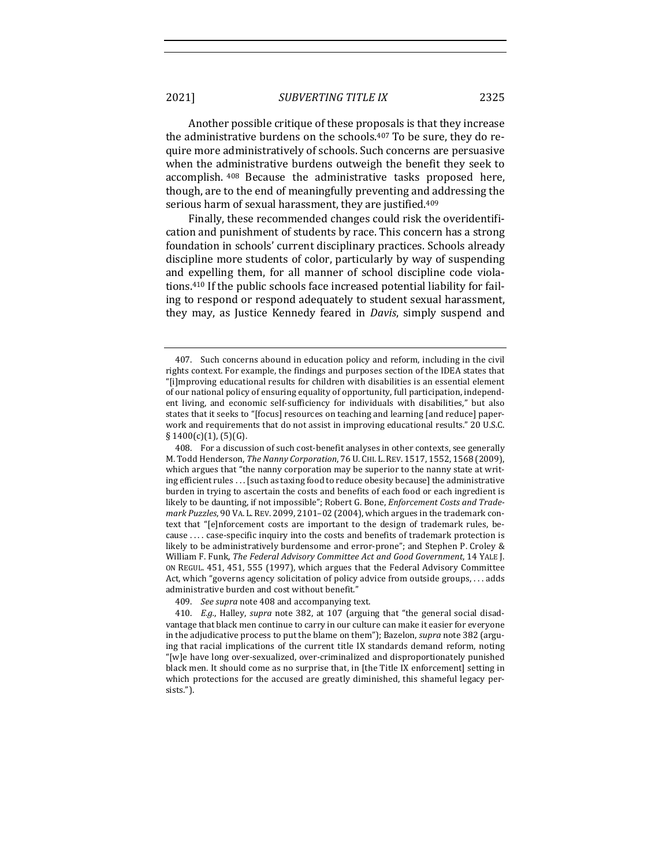Another possible critique of these proposals is that they increase the administrative burdens on the schools.407 To be sure, they do require more administratively of schools. Such concerns are persuasive when the administrative burdens outweigh the benefit they seek to accomplish. <sup>408</sup> Because the administrative tasks proposed here, though, are to the end of meaningfully preventing and addressing the serious harm of sexual harassment, they are justified.409

Finally, these recommended changes could risk the overidentification and punishment of students by race. This concern has a strong foundation in schools' current disciplinary practices. Schools already discipline more students of color, particularly by way of suspending and expelling them, for all manner of school discipline code violations.410 If the public schools face increased potential liability for failing to respond or respond adequately to student sexual harassment, they may, as Justice Kennedy feared in *Davis*, simply suspend and

409. *See supra* note 408 and accompanying text.

<sup>407.</sup> Such concerns abound in education policy and reform, including in the civil rights context. For example, the findings and purposes section of the IDEA states that "[i]mproving educational results for children with disabilities is an essential element of our national policy of ensuring equality of opportunity, full participation, independent living, and economic self-sufficiency for individuals with disabilities," but also states that it seeks to "[focus] resources on teaching and learning [and reduce] paperwork and requirements that do not assist in improving educational results." 20 U.S.C.  $\S$  1400(c)(1), (5)(G).

<sup>408.</sup> For a discussion of such cost-benefit analyses in other contexts, see generally M. Todd Henderson, *The Nanny Corporation*, 76 U. CHI. L. REV. 1517, 1552, 1568 (2009), which argues that "the nanny corporation may be superior to the nanny state at writing efficient rules . . . [such as taxing food to reduce obesity because] the administrative burden in trying to ascertain the costs and benefits of each food or each ingredient is likely to be daunting, if not impossible"; Robert G. Bone, *Enforcement Costs and Trademark Puzzles*, 90 VA. L. REV. 2099, 2101-02 (2004), which argues in the trademark context that "[e]nforcement costs are important to the design of trademark rules, because .... case-specific inquiry into the costs and benefits of trademark protection is likely to be administratively burdensome and error-prone"; and Stephen P. Croley & William F. Funk, *The Federal Advisory Committee Act and Good Government*, 14 YALE J. ON REGUL. 451, 451, 555 (1997), which argues that the Federal Advisory Committee Act, which "governs agency solicitation of policy advice from outside groups, ... adds administrative burden and cost without benefit."

<sup>410.</sup> E.g., Halley, *supra* note 382, at 107 (arguing that "the general social disadvantage that black men continue to carry in our culture can make it easier for everyone in the adjudicative process to put the blame on them"); Bazelon, *supra* note 382 (arguing that racial implications of the current title IX standards demand reform, noting "[w]e have long over-sexualized, over-criminalized and disproportionately punished black men. It should come as no surprise that, in [the Title IX enforcement] setting in which protections for the accused are greatly diminished, this shameful legacy persists.").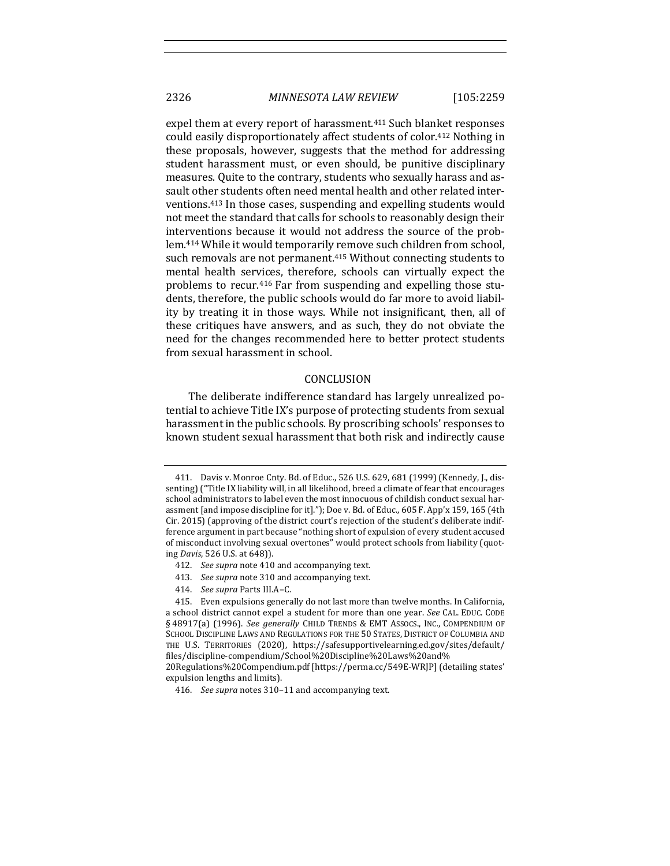expel them at every report of harassment.411 Such blanket responses could easily disproportionately affect students of color.412 Nothing in these proposals, however, suggests that the method for addressing student harassment must, or even should, be punitive disciplinary measures. Quite to the contrary, students who sexually harass and assault other students often need mental health and other related interventions.413 In those cases, suspending and expelling students would not meet the standard that calls for schools to reasonably design their interventions because it would not address the source of the problem.414 While it would temporarily remove such children from school, such removals are not permanent.415 Without connecting students to mental health services, therefore, schools can virtually expect the problems to recur.416 Far from suspending and expelling those students, therefore, the public schools would do far more to avoid liability by treating it in those ways. While not insignificant, then, all of these critiques have answers, and as such, they do not obviate the need for the changes recommended here to better protect students from sexual harassment in school.

## **CONCLUSION**

The deliberate indifference standard has largely unrealized potential to achieve Title IX's purpose of protecting students from sexual harassment in the public schools. By proscribing schools' responses to known student sexual harassment that both risk and indirectly cause

- 413. See supra note 310 and accompanying text.
- 414. *See supra* Parts III.A-C.

<sup>411.</sup> Davis v. Monroe Cnty. Bd. of Educ., 526 U.S. 629, 681 (1999) (Kennedy, J., dissenting) ("Title IX liability will, in all likelihood, breed a climate of fear that encourages school administrators to label even the most innocuous of childish conduct sexual harassment [and impose discipline for it]."); Doe v. Bd. of Educ., 605 F. App'x 159, 165 (4th Cir. 2015) (approving of the district court's rejection of the student's deliberate indifference argument in part because "nothing short of expulsion of every student accused of misconduct involving sexual overtones" would protect schools from liability (quoting *Davis*, 526 U.S. at 648)).

<sup>412.</sup> *See supra* note 410 and accompanying text.

<sup>415.</sup> Even expulsions generally do not last more than twelve months. In California, a school district cannot expel a student for more than one year. See CAL. EDUC. CODE § 48917(a) (1996). *See generally* CHILD TRENDS & EMT Assocs., INC., COMPENDIUM OF SCHOOL DISCIPLINE LAWS AND REGULATIONS FOR THE 50 STATES, DISTRICT OF COLUMBIA AND THE U.S. TERRITORIES (2020), https://safesupportivelearning.ed.gov/sites/default/ files/discipline-compendium/School%20Discipline%20Laws%20and%

<sup>20</sup>Regulations%20Compendium.pdf [https://perma.cc/549E-WRJP] (detailing states' expulsion lengths and limits).

<sup>416.</sup> *See supra* notes 310-11 and accompanying text.